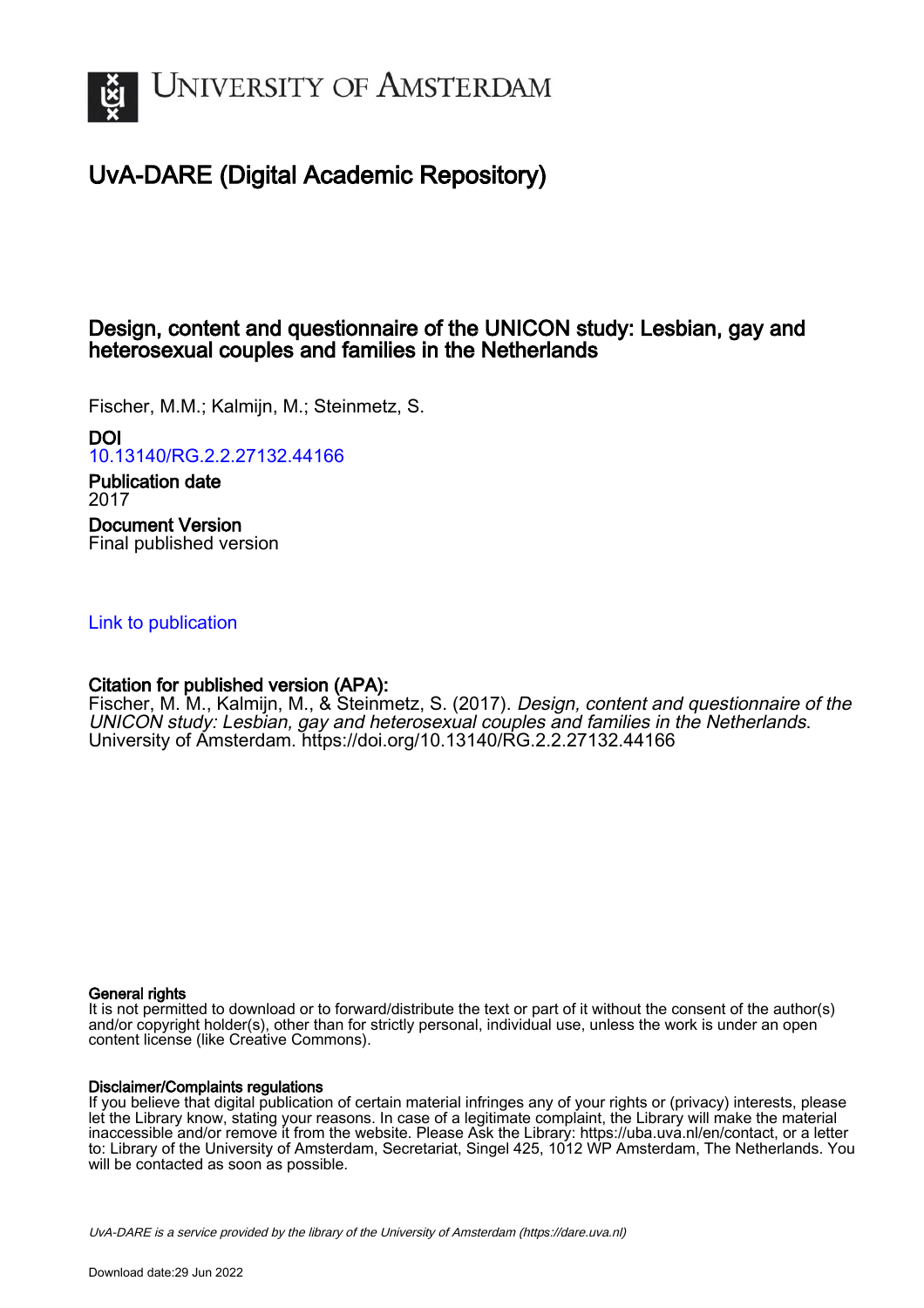

# UvA-DARE (Digital Academic Repository)

# Design, content and questionnaire of the UNICON study: Lesbian, gay and heterosexual couples and families in the Netherlands

Fischer, M.M.; Kalmijn, M.; Steinmetz, S.

DOI

[10.13140/RG.2.2.27132.44166](https://doi.org/10.13140/RG.2.2.27132.44166)

Publication date 2017 Document Version Final published version

# [Link to publication](https://dare.uva.nl/personal/pure/en/publications/design-content-and-questionnaire-of-the-unicon-study-lesbian-gay-and-heterosexual-couples-and-families-in-the-netherlands(d7a835f9-7c1b-448b-8047-a9779f5710db).html)

# Citation for published version (APA):

Fischer, M. M., Kalmijn, M., & Steinmetz, S. (2017). Design, content and questionnaire of the UNICON study: Lesbian, gay and heterosexual couples and families in the Netherlands. University of Amsterdam.<https://doi.org/10.13140/RG.2.2.27132.44166>

#### General rights

It is not permitted to download or to forward/distribute the text or part of it without the consent of the author(s) and/or copyright holder(s), other than for strictly personal, individual use, unless the work is under an open content license (like Creative Commons).

#### Disclaimer/Complaints regulations

If you believe that digital publication of certain material infringes any of your rights or (privacy) interests, please let the Library know, stating your reasons. In case of a legitimate complaint, the Library will make the material inaccessible and/or remove it from the website. Please Ask the Library: https://uba.uva.nl/en/contact, or a letter to: Library of the University of Amsterdam, Secretariat, Singel 425, 1012 WP Amsterdam, The Netherlands. You will be contacted as soon as possible.

UvA-DARE is a service provided by the library of the University of Amsterdam (http*s*://dare.uva.nl)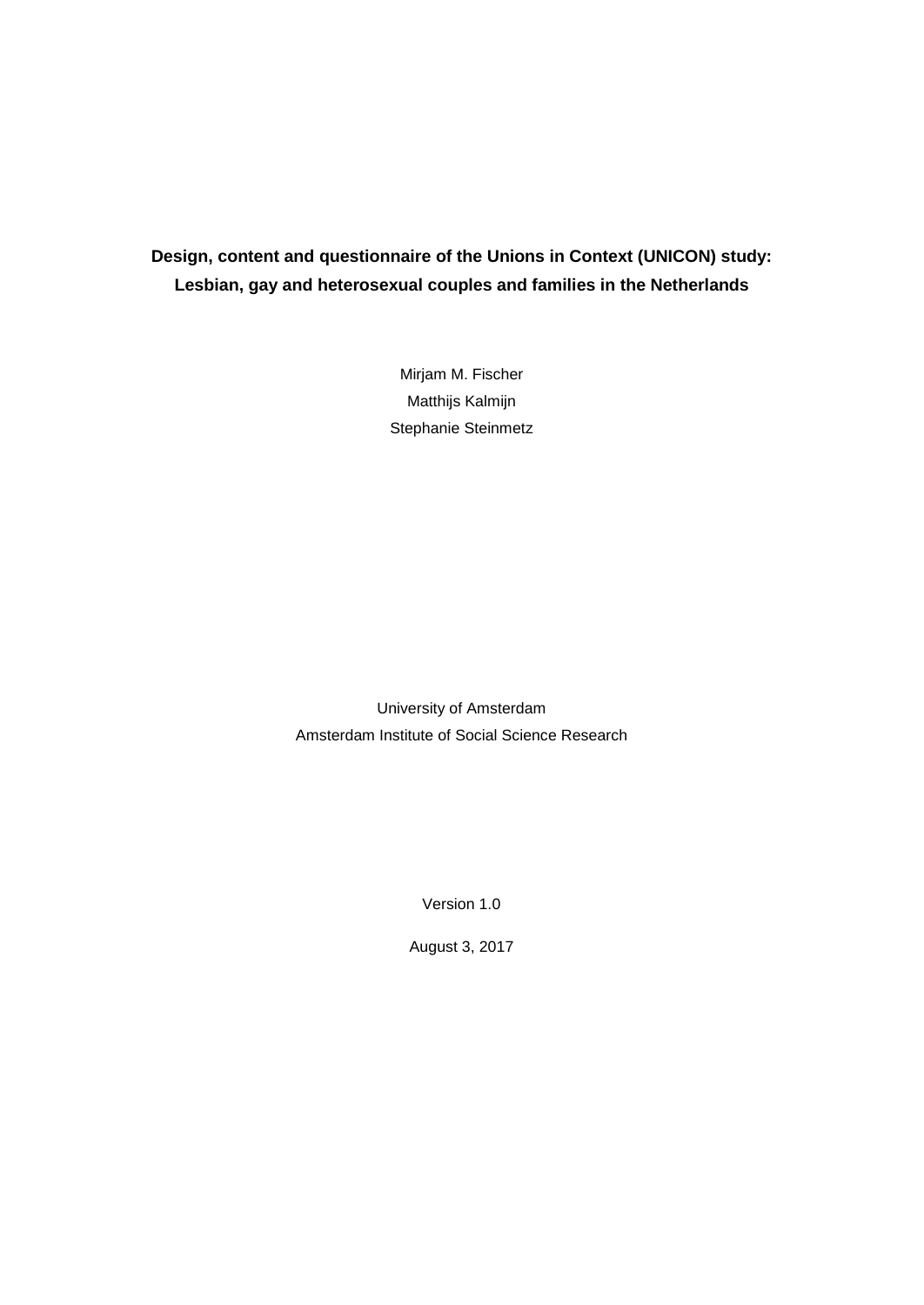# **Design, content and questionnaire of the Unions in Context (UNICON) study: Lesbian, gay and heterosexual couples and families in the Netherlands**

Mirjam M. Fischer Matthijs Kalmijn Stephanie Steinmetz

University of Amsterdam Amsterdam Institute of Social Science Research

Version 1.0

August 3, 2017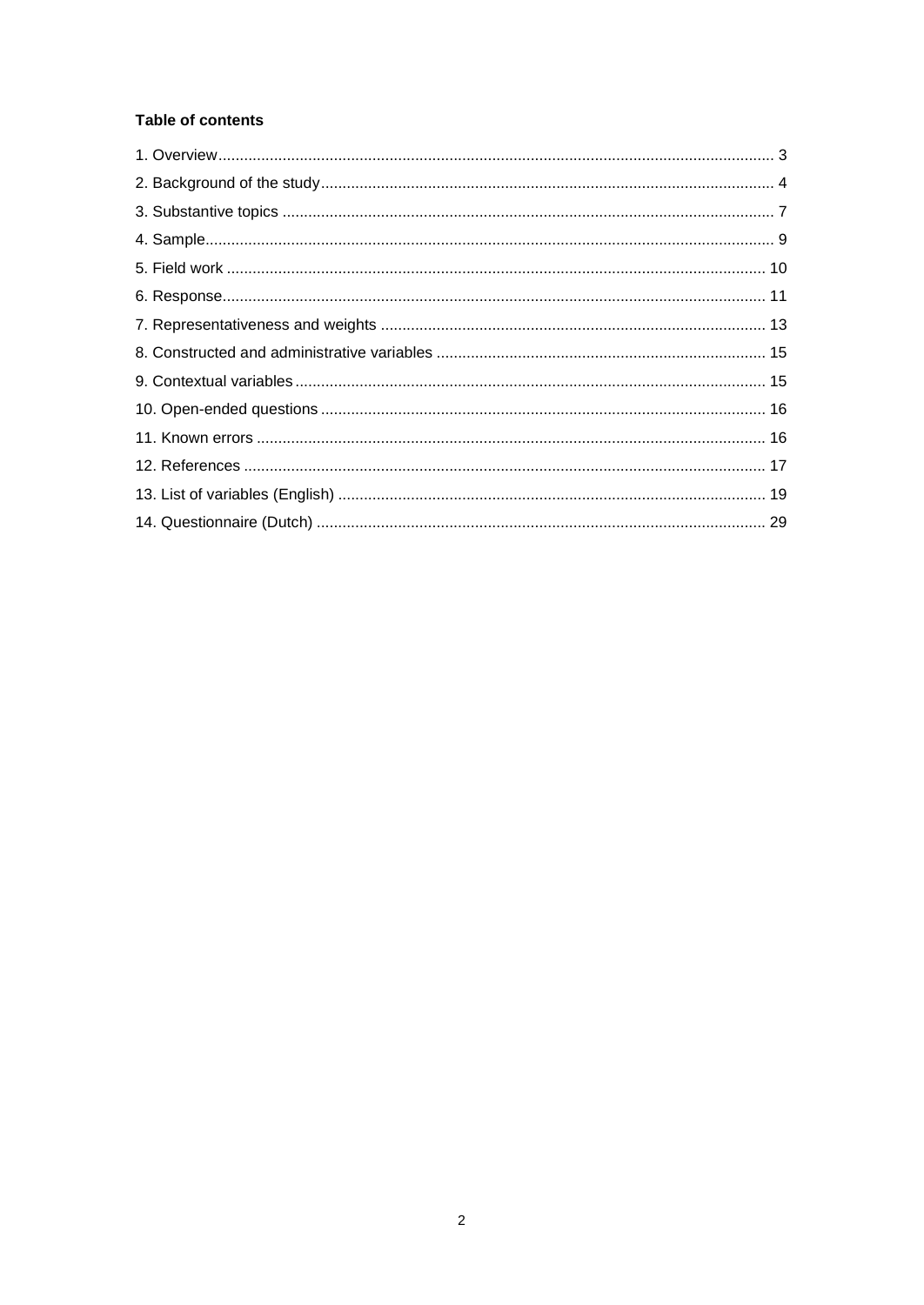# **Table of contents**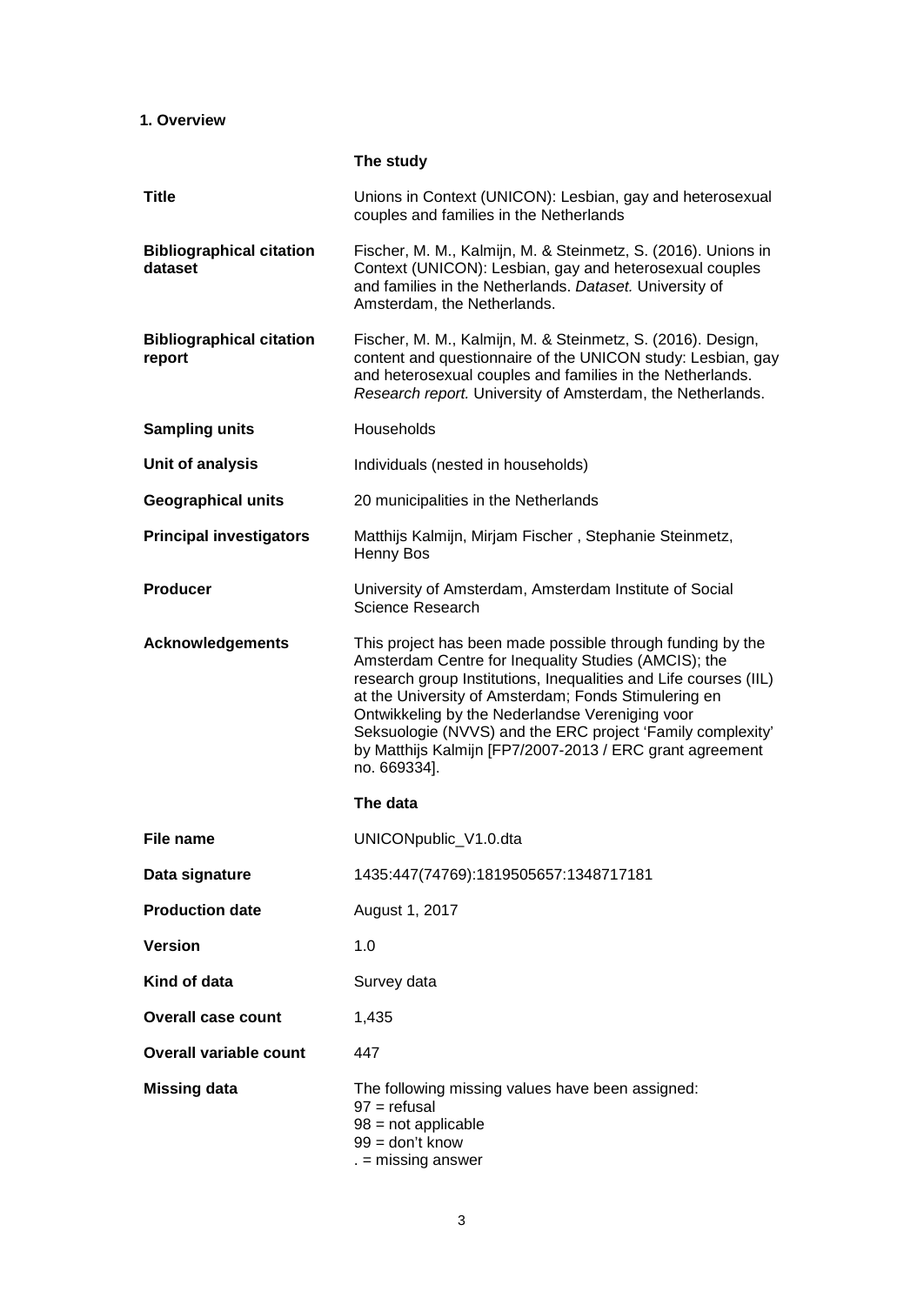# **1. Overview**

|                                            | The study                                                                                                                                                                                                                                                                                                                                                                                                                                   |
|--------------------------------------------|---------------------------------------------------------------------------------------------------------------------------------------------------------------------------------------------------------------------------------------------------------------------------------------------------------------------------------------------------------------------------------------------------------------------------------------------|
| <b>Title</b>                               | Unions in Context (UNICON): Lesbian, gay and heterosexual<br>couples and families in the Netherlands                                                                                                                                                                                                                                                                                                                                        |
| <b>Bibliographical citation</b><br>dataset | Fischer, M. M., Kalmijn, M. & Steinmetz, S. (2016). Unions in<br>Context (UNICON): Lesbian, gay and heterosexual couples<br>and families in the Netherlands. Dataset. University of<br>Amsterdam, the Netherlands.                                                                                                                                                                                                                          |
| <b>Bibliographical citation</b><br>report  | Fischer, M. M., Kalmijn, M. & Steinmetz, S. (2016). Design,<br>content and questionnaire of the UNICON study: Lesbian, gay<br>and heterosexual couples and families in the Netherlands.<br>Research report. University of Amsterdam, the Netherlands.                                                                                                                                                                                       |
| <b>Sampling units</b>                      | Households                                                                                                                                                                                                                                                                                                                                                                                                                                  |
| Unit of analysis                           | Individuals (nested in households)                                                                                                                                                                                                                                                                                                                                                                                                          |
| <b>Geographical units</b>                  | 20 municipalities in the Netherlands                                                                                                                                                                                                                                                                                                                                                                                                        |
| <b>Principal investigators</b>             | Matthijs Kalmijn, Mirjam Fischer, Stephanie Steinmetz,<br>Henny Bos                                                                                                                                                                                                                                                                                                                                                                         |
| <b>Producer</b>                            | University of Amsterdam, Amsterdam Institute of Social<br>Science Research                                                                                                                                                                                                                                                                                                                                                                  |
| <b>Acknowledgements</b>                    | This project has been made possible through funding by the<br>Amsterdam Centre for Inequality Studies (AMCIS); the<br>research group Institutions, Inequalities and Life courses (IIL)<br>at the University of Amsterdam; Fonds Stimulering en<br>Ontwikkeling by the Nederlandse Vereniging voor<br>Seksuologie (NVVS) and the ERC project 'Family complexity'<br>by Matthijs Kalmijn [FP7/2007-2013 / ERC grant agreement<br>no. 669334]. |
|                                            | The data                                                                                                                                                                                                                                                                                                                                                                                                                                    |
| File name                                  | UNICONpublic_V1.0.dta                                                                                                                                                                                                                                                                                                                                                                                                                       |
| Data signature                             | 1435:447(74769):1819505657:1348717181                                                                                                                                                                                                                                                                                                                                                                                                       |
| <b>Production date</b>                     | August 1, 2017                                                                                                                                                                                                                                                                                                                                                                                                                              |
| <b>Version</b>                             | 1.0                                                                                                                                                                                                                                                                                                                                                                                                                                         |
| Kind of data                               | Survey data                                                                                                                                                                                                                                                                                                                                                                                                                                 |
| <b>Overall case count</b>                  | 1,435                                                                                                                                                                                                                                                                                                                                                                                                                                       |
| <b>Overall variable count</b>              | 447                                                                                                                                                                                                                                                                                                                                                                                                                                         |
| <b>Missing data</b>                        | The following missing values have been assigned:<br>$97 =$ refusal<br>$98 = not applicable$<br>$99 =$ don't know                                                                                                                                                                                                                                                                                                                            |

3

. = missing answer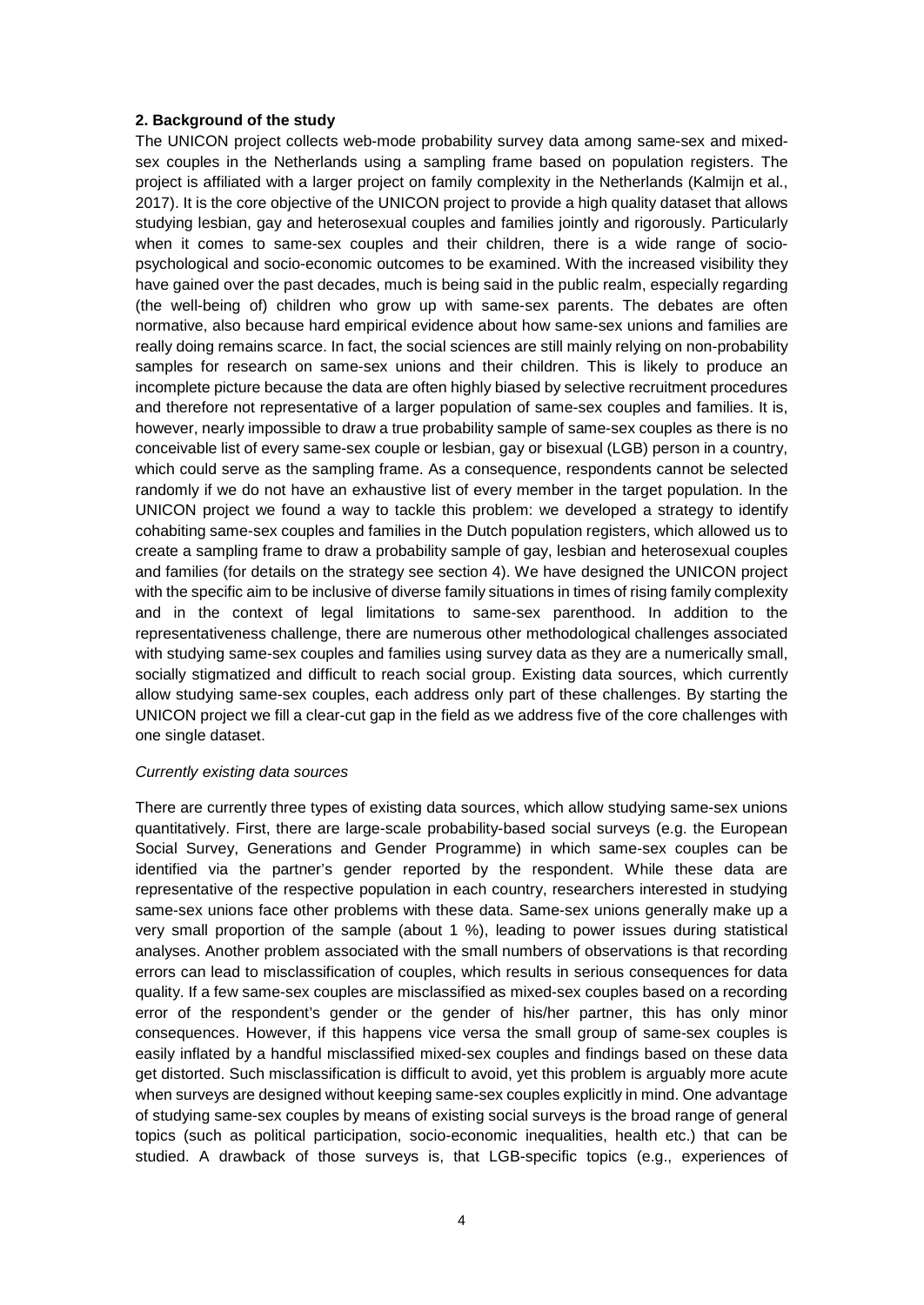#### **2. Background of the study**

The UNICON project collects web-mode probability survey data among same-sex and mixedsex couples in the Netherlands using a sampling frame based on population registers. The project is affiliated with a larger project on family complexity in the Netherlands (Kalmijn et al., 2017). It is the core objective of the UNICON project to provide a high quality dataset that allows studying lesbian, gay and heterosexual couples and families jointly and rigorously. Particularly when it comes to same-sex couples and their children, there is a wide range of sociopsychological and socio-economic outcomes to be examined. With the increased visibility they have gained over the past decades, much is being said in the public realm, especially regarding (the well-being of) children who grow up with same-sex parents. The debates are often normative, also because hard empirical evidence about how same-sex unions and families are really doing remains scarce. In fact, the social sciences are still mainly relying on non-probability samples for research on same-sex unions and their children. This is likely to produce an incomplete picture because the data are often highly biased by selective recruitment procedures and therefore not representative of a larger population of same-sex couples and families. It is, however, nearly impossible to draw a true probability sample of same-sex couples as there is no conceivable list of every same-sex couple or lesbian, gay or bisexual (LGB) person in a country, which could serve as the sampling frame. As a consequence, respondents cannot be selected randomly if we do not have an exhaustive list of every member in the target population. In the UNICON project we found a way to tackle this problem: we developed a strategy to identify cohabiting same-sex couples and families in the Dutch population registers, which allowed us to create a sampling frame to draw a probability sample of gay, lesbian and heterosexual couples and families (for details on the strategy see section 4). We have designed the UNICON project with the specific aim to be inclusive of diverse family situations in times of rising family complexity and in the context of legal limitations to same-sex parenthood. In addition to the representativeness challenge, there are numerous other methodological challenges associated with studying same-sex couples and families using survey data as they are a numerically small, socially stigmatized and difficult to reach social group. Existing data sources, which currently allow studying same-sex couples, each address only part of these challenges. By starting the UNICON project we fill a clear-cut gap in the field as we address five of the core challenges with one single dataset.

### *Currently existing data sources*

There are currently three types of existing data sources, which allow studying same-sex unions quantitatively. First, there are large-scale probability-based social surveys (e.g. the European Social Survey, Generations and Gender Programme) in which same-sex couples can be identified via the partner's gender reported by the respondent. While these data are representative of the respective population in each country, researchers interested in studying same-sex unions face other problems with these data. Same-sex unions generally make up a very small proportion of the sample (about 1 %), leading to power issues during statistical analyses. Another problem associated with the small numbers of observations is that recording errors can lead to misclassification of couples, which results in serious consequences for data quality. If a few same-sex couples are misclassified as mixed-sex couples based on a recording error of the respondent's gender or the gender of his/her partner, this has only minor consequences. However, if this happens vice versa the small group of same-sex couples is easily inflated by a handful misclassified mixed-sex couples and findings based on these data get distorted. Such misclassification is difficult to avoid, yet this problem is arguably more acute when surveys are designed without keeping same-sex couples explicitly in mind. One advantage of studying same-sex couples by means of existing social surveys is the broad range of general topics (such as political participation, socio-economic inequalities, health etc.) that can be studied. A drawback of those surveys is, that LGB-specific topics (e.g., experiences of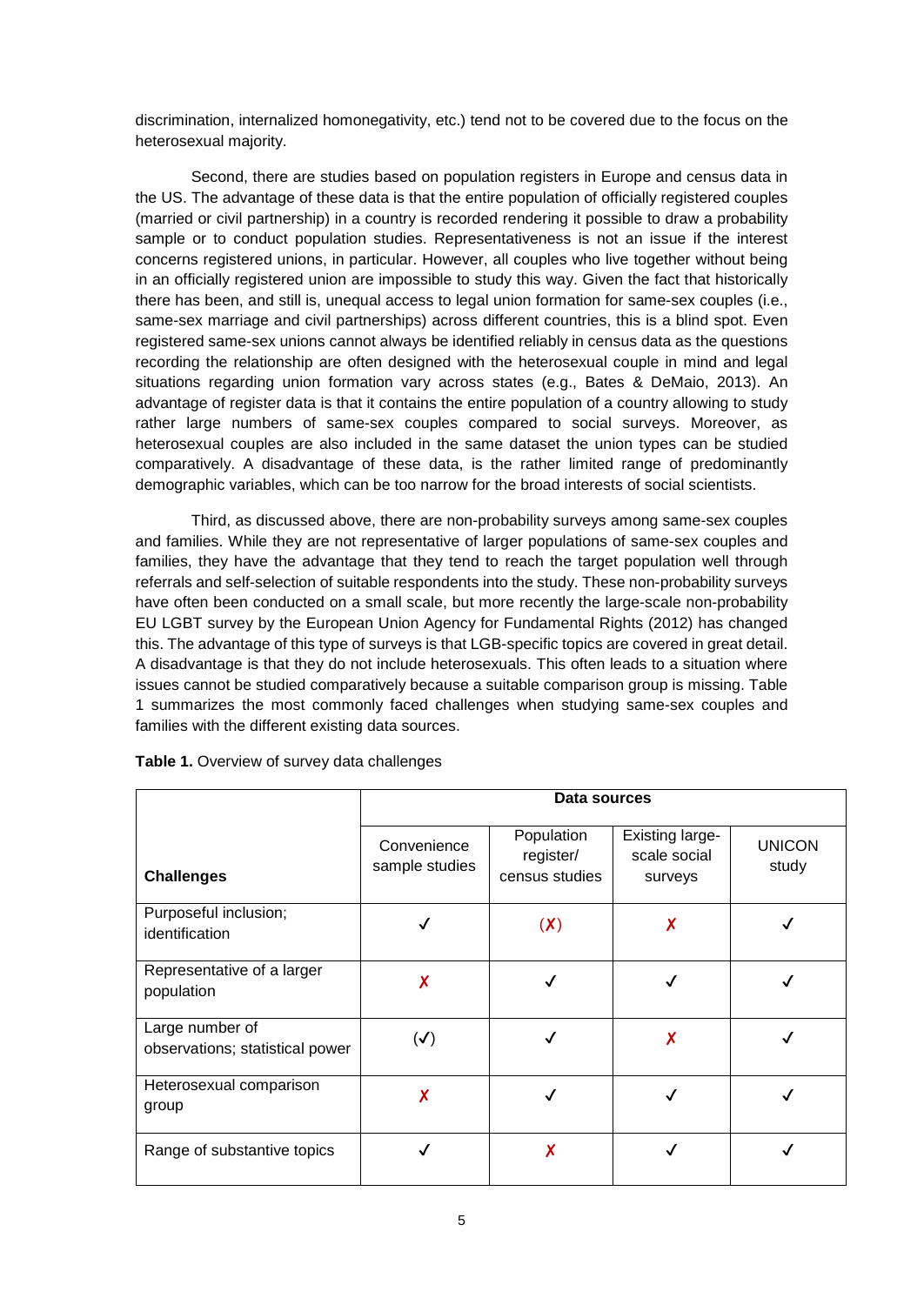discrimination, internalized homonegativity, etc.) tend not to be covered due to the focus on the heterosexual majority.

Second, there are studies based on population registers in Europe and census data in the US. The advantage of these data is that the entire population of officially registered couples (married or civil partnership) in a country is recorded rendering it possible to draw a probability sample or to conduct population studies. Representativeness is not an issue if the interest concerns registered unions, in particular. However, all couples who live together without being in an officially registered union are impossible to study this way. Given the fact that historically there has been, and still is, unequal access to legal union formation for same-sex couples (i.e., same-sex marriage and civil partnerships) across different countries, this is a blind spot. Even registered same-sex unions cannot always be identified reliably in census data as the questions recording the relationship are often designed with the heterosexual couple in mind and legal situations regarding union formation vary across states (e.g., Bates & DeMaio, 2013). An advantage of register data is that it contains the entire population of a country allowing to study rather large numbers of same-sex couples compared to social surveys. Moreover, as heterosexual couples are also included in the same dataset the union types can be studied comparatively. A disadvantage of these data, is the rather limited range of predominantly demographic variables, which can be too narrow for the broad interests of social scientists.

Third, as discussed above, there are non-probability surveys among same-sex couples and families. While they are not representative of larger populations of same-sex couples and families, they have the advantage that they tend to reach the target population well through referrals and self-selection of suitable respondents into the study. These non-probability surveys have often been conducted on a small scale, but more recently the large-scale non-probability EU LGBT survey by the European Union Agency for Fundamental Rights (2012) has changed this. The advantage of this type of surveys is that LGB-specific topics are covered in great detail. A disadvantage is that they do not include heterosexuals. This often leads to a situation where issues cannot be studied comparatively because a suitable comparison group is missing. Table 1 summarizes the most commonly faced challenges when studying same-sex couples and families with the different existing data sources.

|                                                    | Data sources                  |                                           |                                                   |                        |  |  |
|----------------------------------------------------|-------------------------------|-------------------------------------------|---------------------------------------------------|------------------------|--|--|
| <b>Challenges</b>                                  | Convenience<br>sample studies | Population<br>register/<br>census studies | <b>Existing large-</b><br>scale social<br>surveys | <b>UNICON</b><br>study |  |  |
| Purposeful inclusion;<br>identification            |                               | (X)                                       | Χ                                                 |                        |  |  |
| Representative of a larger<br>population           | X                             |                                           |                                                   |                        |  |  |
| Large number of<br>observations; statistical power | $(\checkmark)$                |                                           | X                                                 |                        |  |  |
| Heterosexual comparison<br>group                   | X                             |                                           |                                                   |                        |  |  |
| Range of substantive topics                        |                               | Χ                                         |                                                   |                        |  |  |

**Table 1.** Overview of survey data challenges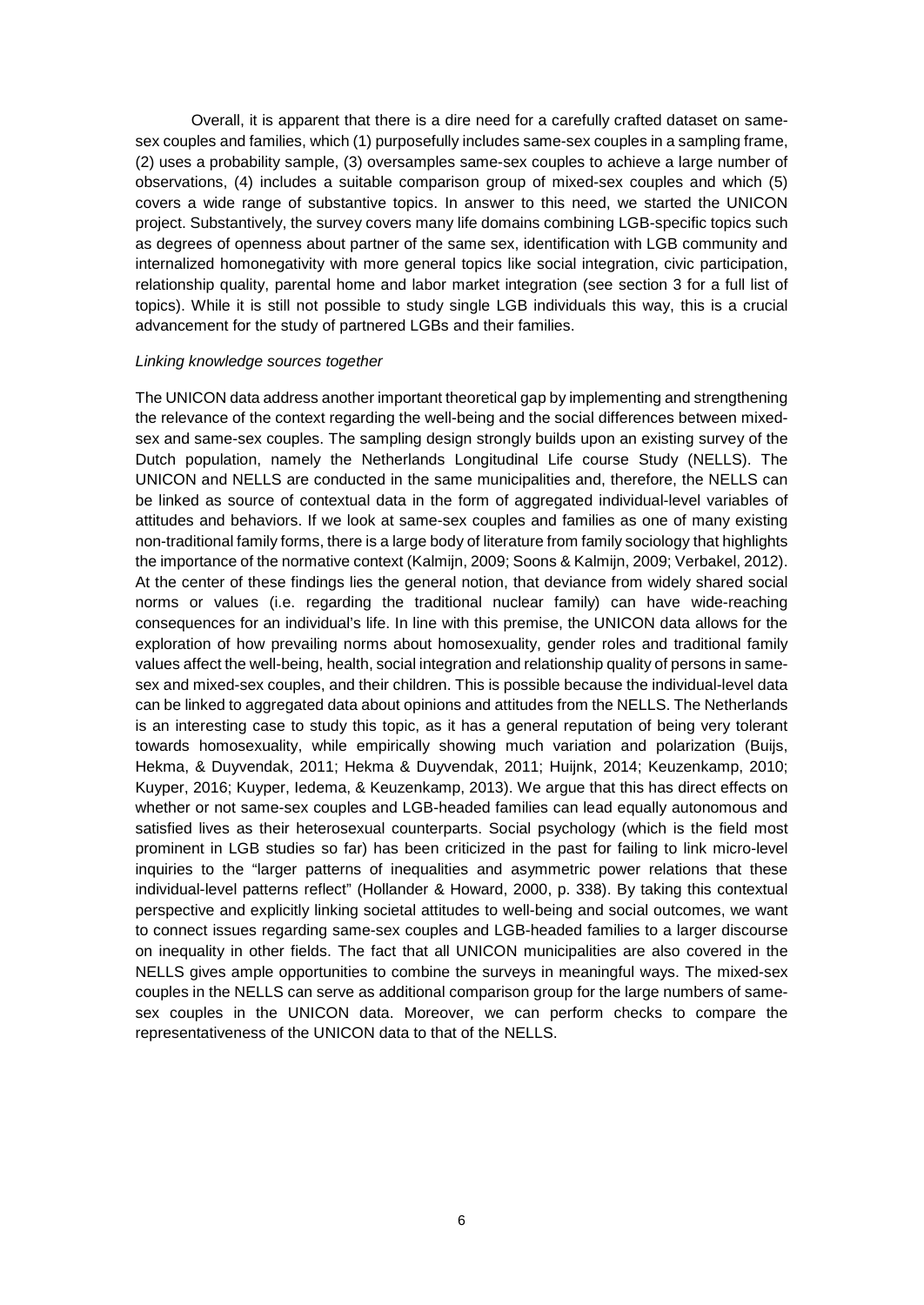Overall, it is apparent that there is a dire need for a carefully crafted dataset on samesex couples and families, which (1) purposefully includes same-sex couples in a sampling frame, (2) uses a probability sample, (3) oversamples same-sex couples to achieve a large number of observations, (4) includes a suitable comparison group of mixed-sex couples and which (5) covers a wide range of substantive topics. In answer to this need, we started the UNICON project. Substantively, the survey covers many life domains combining LGB-specific topics such as degrees of openness about partner of the same sex, identification with LGB community and internalized homonegativity with more general topics like social integration, civic participation, relationship quality, parental home and labor market integration (see section 3 for a full list of topics). While it is still not possible to study single LGB individuals this way, this is a crucial advancement for the study of partnered LGBs and their families.

#### *Linking knowledge sources together*

The UNICON data address another important theoretical gap by implementing and strengthening the relevance of the context regarding the well-being and the social differences between mixedsex and same-sex couples. The sampling design strongly builds upon an existing survey of the Dutch population, namely the Netherlands Longitudinal Life course Study (NELLS). The UNICON and NELLS are conducted in the same municipalities and, therefore, the NELLS can be linked as source of contextual data in the form of aggregated individual-level variables of attitudes and behaviors. If we look at same-sex couples and families as one of many existing non-traditional family forms, there is a large body of literature from family sociology that highlights the importance of the normative context (Kalmijn, 2009; Soons & Kalmijn, 2009; Verbakel, 2012). At the center of these findings lies the general notion, that deviance from widely shared social norms or values (i.e. regarding the traditional nuclear family) can have wide-reaching consequences for an individual's life. In line with this premise, the UNICON data allows for the exploration of how prevailing norms about homosexuality, gender roles and traditional family values affect the well-being, health, social integration and relationship quality of persons in samesex and mixed-sex couples, and their children. This is possible because the individual-level data can be linked to aggregated data about opinions and attitudes from the NELLS. The Netherlands is an interesting case to study this topic, as it has a general reputation of being very tolerant towards homosexuality, while empirically showing much variation and polarization (Buijs, Hekma, & Duyvendak, 2011; Hekma & Duyvendak, 2011; Huijnk, 2014; Keuzenkamp, 2010; Kuyper, 2016; Kuyper, Iedema, & Keuzenkamp, 2013). We argue that this has direct effects on whether or not same-sex couples and LGB-headed families can lead equally autonomous and satisfied lives as their heterosexual counterparts. Social psychology (which is the field most prominent in LGB studies so far) has been criticized in the past for failing to link micro-level inquiries to the "larger patterns of inequalities and asymmetric power relations that these individual-level patterns reflect" (Hollander & Howard, 2000, p. 338). By taking this contextual perspective and explicitly linking societal attitudes to well-being and social outcomes, we want to connect issues regarding same-sex couples and LGB-headed families to a larger discourse on inequality in other fields. The fact that all UNICON municipalities are also covered in the NELLS gives ample opportunities to combine the surveys in meaningful ways. The mixed-sex couples in the NELLS can serve as additional comparison group for the large numbers of samesex couples in the UNICON data. Moreover, we can perform checks to compare the representativeness of the UNICON data to that of the NELLS.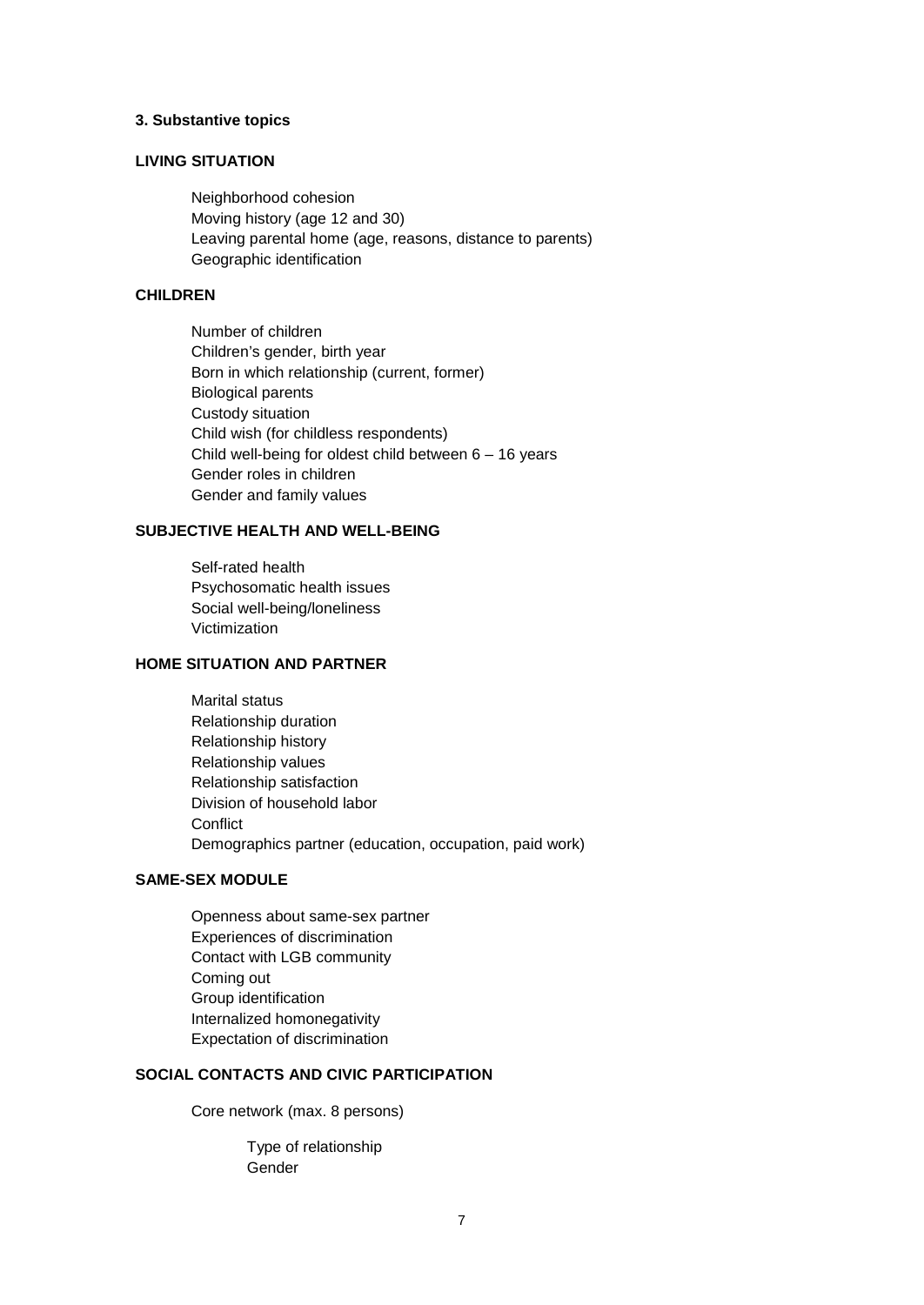#### **3. Substantive topics**

# **LIVING SITUATION**

Neighborhood cohesion Moving history (age 12 and 30) Leaving parental home (age, reasons, distance to parents) Geographic identification

### **CHILDREN**

Number of children Children's gender, birth year Born in which relationship (current, former) Biological parents Custody situation Child wish (for childless respondents) Child well-being for oldest child between 6 – 16 years Gender roles in children Gender and family values

# **SUBJECTIVE HEALTH AND WELL-BEING**

Self-rated health Psychosomatic health issues Social well-being/loneliness Victimization

# **HOME SITUATION AND PARTNER**

Marital status Relationship duration Relationship history Relationship values Relationship satisfaction Division of household labor **Conflict** Demographics partner (education, occupation, paid work)

# **SAME-SEX MODULE**

Openness about same-sex partner Experiences of discrimination Contact with LGB community Coming out Group identification Internalized homonegativity Expectation of discrimination

# **SOCIAL CONTACTS AND CIVIC PARTICIPATION**

Core network (max. 8 persons)

Type of relationship Gender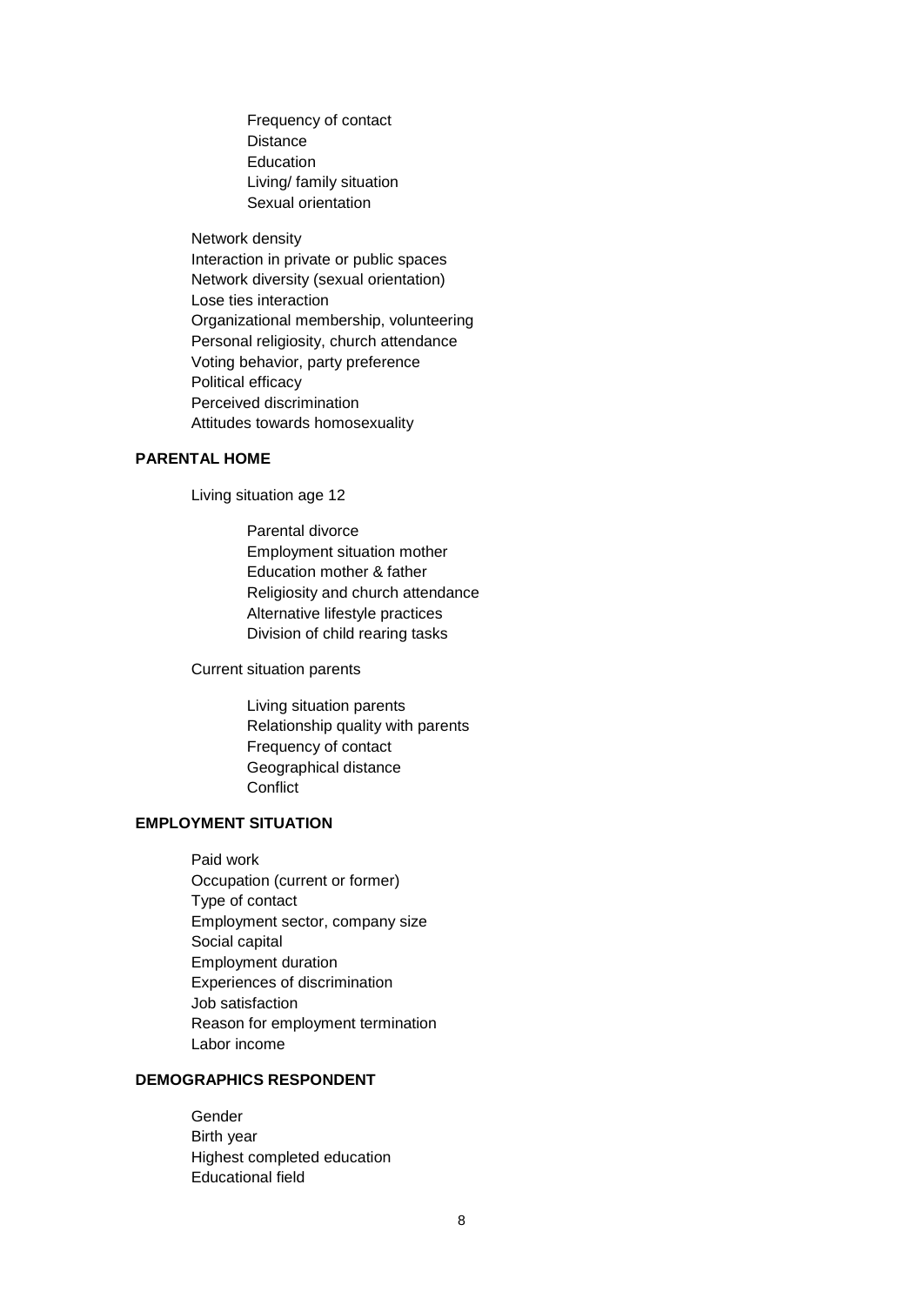Frequency of contact **Distance** Education Living/ family situation Sexual orientation

Network density

Interaction in private or public spaces Network diversity (sexual orientation) Lose ties interaction Organizational membership, volunteering Personal religiosity, church attendance Voting behavior, party preference Political efficacy Perceived discrimination Attitudes towards homosexuality

# **PARENTAL HOME**

Living situation age 12

Parental divorce Employment situation mother Education mother & father Religiosity and church attendance Alternative lifestyle practices Division of child rearing tasks

Current situation parents

Living situation parents Relationship quality with parents Frequency of contact Geographical distance **Conflict** 

# **EMPLOYMENT SITUATION**

Paid work Occupation (current or former) Type of contact Employment sector, company size Social capital Employment duration Experiences of discrimination Job satisfaction Reason for employment termination Labor income

# **DEMOGRAPHICS RESPONDENT**

Gender Birth year Highest completed education Educational field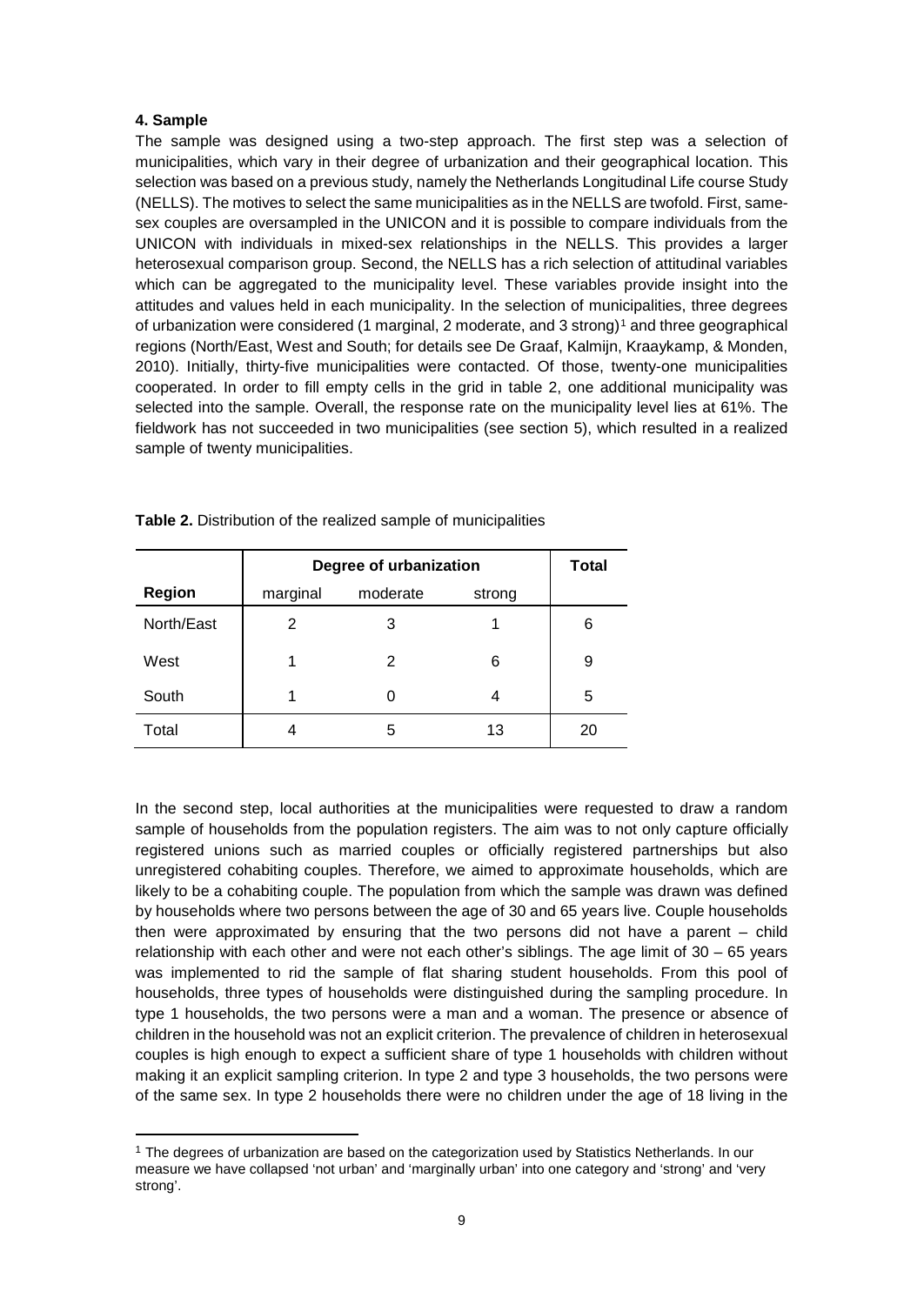# **4. Sample**

The sample was designed using a two-step approach. The first step was a selection of municipalities, which vary in their degree of urbanization and their geographical location. This selection was based on a previous study, namely the Netherlands Longitudinal Life course Study (NELLS). The motives to select the same municipalities as in the NELLS are twofold. First, samesex couples are oversampled in the UNICON and it is possible to compare individuals from the UNICON with individuals in mixed-sex relationships in the NELLS. This provides a larger heterosexual comparison group. Second, the NELLS has a rich selection of attitudinal variables which can be aggregated to the municipality level. These variables provide insight into the attitudes and values held in each municipality. In the selection of municipalities, three degrees of urbanization were considered ([1](#page-9-0) marginal, 2 moderate, and 3 strong)<sup>1</sup> and three geographical regions (North/East, West and South; for details see De Graaf, Kalmijn, Kraaykamp, & Monden, 2010). Initially, thirty-five municipalities were contacted. Of those, twenty-one municipalities cooperated. In order to fill empty cells in the grid in table 2, one additional municipality was selected into the sample. Overall, the response rate on the municipality level lies at 61%. The fieldwork has not succeeded in two municipalities (see section 5), which resulted in a realized sample of twenty municipalities.

|               | Degree of urbanization | Total              |    |    |  |  |  |
|---------------|------------------------|--------------------|----|----|--|--|--|
| <b>Region</b> | marginal               | moderate<br>strong |    |    |  |  |  |
| North/East    | 2                      | 3                  |    | 6  |  |  |  |
| West          |                        | 2                  | 6  | 9  |  |  |  |
| South         |                        |                    | 4  | 5  |  |  |  |
| Total         |                        | 5                  | 13 | 20 |  |  |  |

**Table 2.** Distribution of the realized sample of municipalities

In the second step, local authorities at the municipalities were requested to draw a random sample of households from the population registers. The aim was to not only capture officially registered unions such as married couples or officially registered partnerships but also unregistered cohabiting couples. Therefore, we aimed to approximate households, which are likely to be a cohabiting couple. The population from which the sample was drawn was defined by households where two persons between the age of 30 and 65 years live. Couple households then were approximated by ensuring that the two persons did not have a parent – child relationship with each other and were not each other's siblings. The age limit of  $30 - 65$  years was implemented to rid the sample of flat sharing student households. From this pool of households, three types of households were distinguished during the sampling procedure. In type 1 households, the two persons were a man and a woman. The presence or absence of children in the household was not an explicit criterion. The prevalence of children in heterosexual couples is high enough to expect a sufficient share of type 1 households with children without making it an explicit sampling criterion. In type 2 and type 3 households, the two persons were of the same sex. In type 2 households there were no children under the age of 18 living in the

<span id="page-9-0"></span><sup>1</sup> <sup>1</sup> The degrees of urbanization are based on the categorization used by Statistics Netherlands. In our measure we have collapsed 'not urban' and 'marginally urban' into one category and 'strong' and 'very strong'.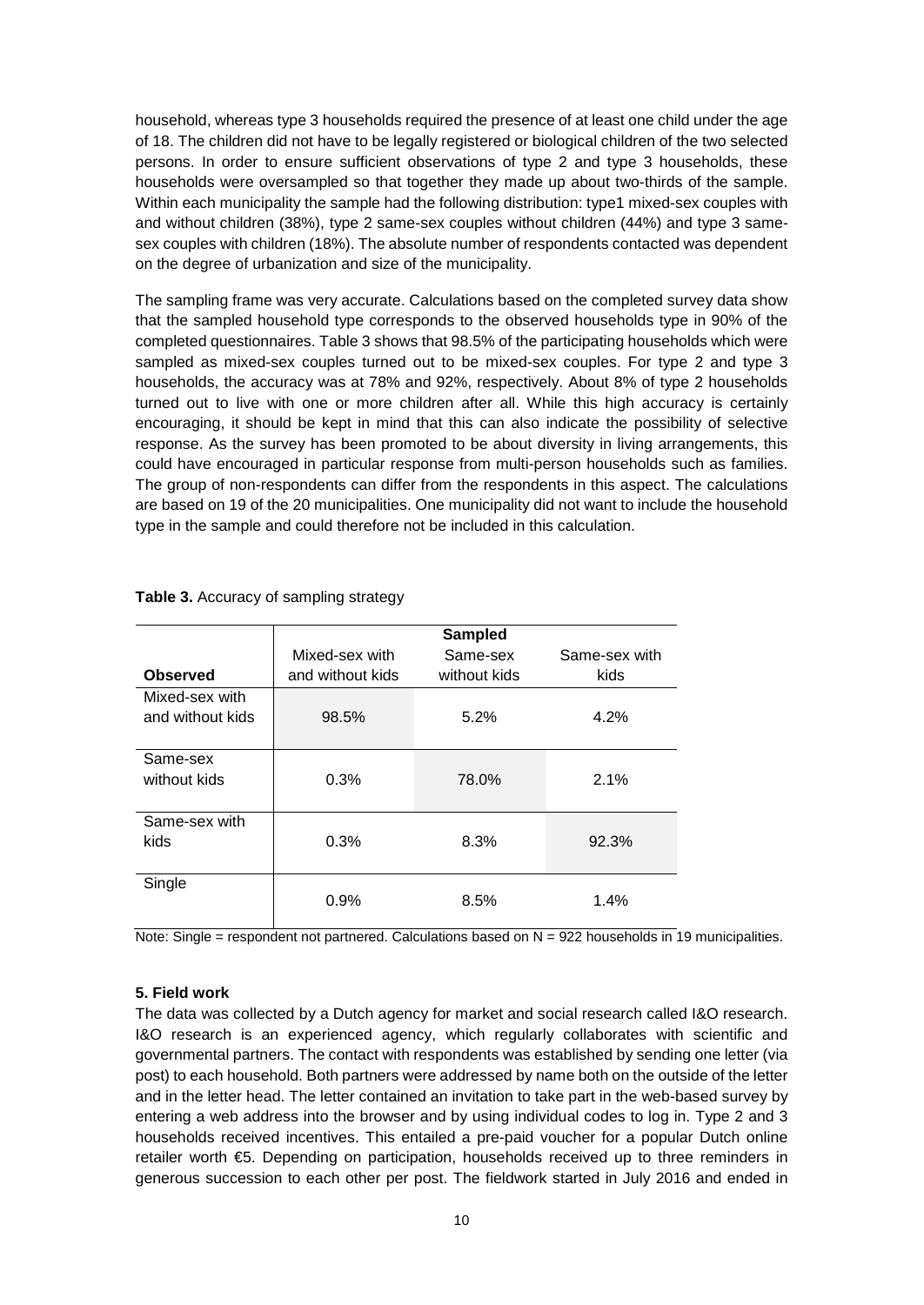household, whereas type 3 households required the presence of at least one child under the age of 18. The children did not have to be legally registered or biological children of the two selected persons. In order to ensure sufficient observations of type 2 and type 3 households, these households were oversampled so that together they made up about two-thirds of the sample. Within each municipality the sample had the following distribution: type1 mixed-sex couples with and without children (38%), type 2 same-sex couples without children (44%) and type 3 samesex couples with children (18%). The absolute number of respondents contacted was dependent on the degree of urbanization and size of the municipality.

The sampling frame was very accurate. Calculations based on the completed survey data show that the sampled household type corresponds to the observed households type in 90% of the completed questionnaires. Table 3 shows that 98.5% of the participating households which were sampled as mixed-sex couples turned out to be mixed-sex couples. For type 2 and type 3 households, the accuracy was at 78% and 92%, respectively. About 8% of type 2 households turned out to live with one or more children after all. While this high accuracy is certainly encouraging, it should be kept in mind that this can also indicate the possibility of selective response. As the survey has been promoted to be about diversity in living arrangements, this could have encouraged in particular response from multi-person households such as families. The group of non-respondents can differ from the respondents in this aspect. The calculations are based on 19 of the 20 municipalities. One municipality did not want to include the household type in the sample and could therefore not be included in this calculation.

| <b>Observed</b>                    | Mixed-sex with<br>and without kids | <b>Sampled</b><br>Same-sex<br>without kids | Same-sex with<br>kids |
|------------------------------------|------------------------------------|--------------------------------------------|-----------------------|
| Mixed-sex with<br>and without kids | 98.5%                              | 5.2%                                       | 4.2%                  |
| Same-sex<br>without kids           | 0.3%                               | 78.0%                                      | 2.1%                  |
| Same-sex with<br>kids              | 0.3%                               | 8.3%                                       | 92.3%                 |
| Single                             | 0.9%                               | 8.5%                                       | 1.4%                  |

**Table 3.** Accuracy of sampling strategy

Note: Single = respondent not partnered. Calculations based on N = 922 households in 19 municipalities.

#### **5. Field work**

The data was collected by a Dutch agency for market and social research called I&O research. I&O research is an experienced agency, which regularly collaborates with scientific and governmental partners. The contact with respondents was established by sending one letter (via post) to each household. Both partners were addressed by name both on the outside of the letter and in the letter head. The letter contained an invitation to take part in the web-based survey by entering a web address into the browser and by using individual codes to log in. Type 2 and 3 households received incentives. This entailed a pre-paid voucher for a popular Dutch online retailer worth €5. Depending on participation, households received up to three reminders in generous succession to each other per post. The fieldwork started in July 2016 and ended in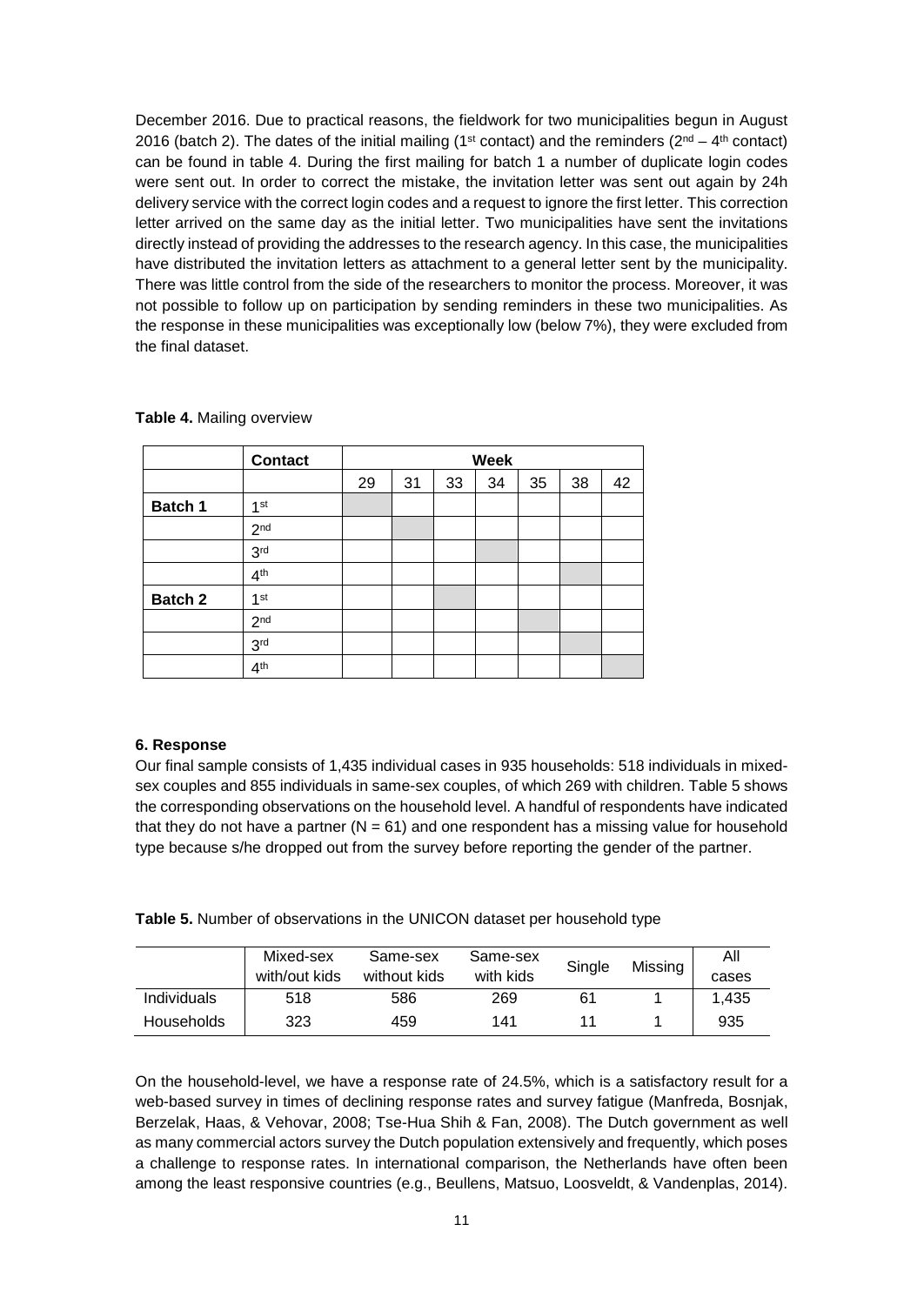December 2016. Due to practical reasons, the fieldwork for two municipalities begun in August 2016 (batch 2). The dates of the initial mailing (1<sup>st</sup> contact) and the reminders ( $2^{nd} - 4^{th}$  contact) can be found in table 4. During the first mailing for batch 1 a number of duplicate login codes were sent out. In order to correct the mistake, the invitation letter was sent out again by 24h delivery service with the correct login codes and a request to ignore the first letter. This correction letter arrived on the same day as the initial letter. Two municipalities have sent the invitations directly instead of providing the addresses to the research agency. In this case, the municipalities have distributed the invitation letters as attachment to a general letter sent by the municipality. There was little control from the side of the researchers to monitor the process. Moreover, it was not possible to follow up on participation by sending reminders in these two municipalities. As the response in these municipalities was exceptionally low (below 7%), they were excluded from the final dataset.

|         | <b>Contact</b>  | Week |    |    |    |    |    |    |
|---------|-----------------|------|----|----|----|----|----|----|
|         |                 | 29   | 31 | 33 | 34 | 35 | 38 | 42 |
| Batch 1 | 1 <sup>st</sup> |      |    |    |    |    |    |    |
|         | 2 <sup>nd</sup> |      |    |    |    |    |    |    |
|         | 3 <sub>rd</sub> |      |    |    |    |    |    |    |
|         | 4 <sup>th</sup> |      |    |    |    |    |    |    |
| Batch 2 | 1 <sup>st</sup> |      |    |    |    |    |    |    |
|         | 2 <sub>nd</sub> |      |    |    |    |    |    |    |
|         | 3 <sup>rd</sup> |      |    |    |    |    |    |    |
|         | 4 <sup>th</sup> |      |    |    |    |    |    |    |

**Table 4.** Mailing overview

#### **6. Response**

Our final sample consists of 1,435 individual cases in 935 households: 518 individuals in mixedsex couples and 855 individuals in same-sex couples, of which 269 with children. Table 5 shows the corresponding observations on the household level. A handful of respondents have indicated that they do not have a partner  $(N = 61)$  and one respondent has a missing value for household type because s/he dropped out from the survey before reporting the gender of the partner.

**Table 5.** Number of observations in the UNICON dataset per household type

|                    | Mixed-sex     | Same-sex     | Same-sex  | Single | Missing | All   |
|--------------------|---------------|--------------|-----------|--------|---------|-------|
|                    | with/out kids | without kids | with kids |        |         | cases |
| <b>Individuals</b> | 518           | 586          | 269       | 61     |         | 1.435 |
| <b>Households</b>  | 323           | 459          | 141       |        |         | 935   |

On the household-level, we have a response rate of 24.5%, which is a satisfactory result for a web-based survey in times of declining response rates and survey fatigue (Manfreda, Bosnjak, Berzelak, Haas, & Vehovar, 2008; Tse-Hua Shih & Fan, 2008). The Dutch government as well as many commercial actors survey the Dutch population extensively and frequently, which poses a challenge to response rates. In international comparison, the Netherlands have often been among the least responsive countries (e.g., Beullens, Matsuo, Loosveldt, & Vandenplas, 2014).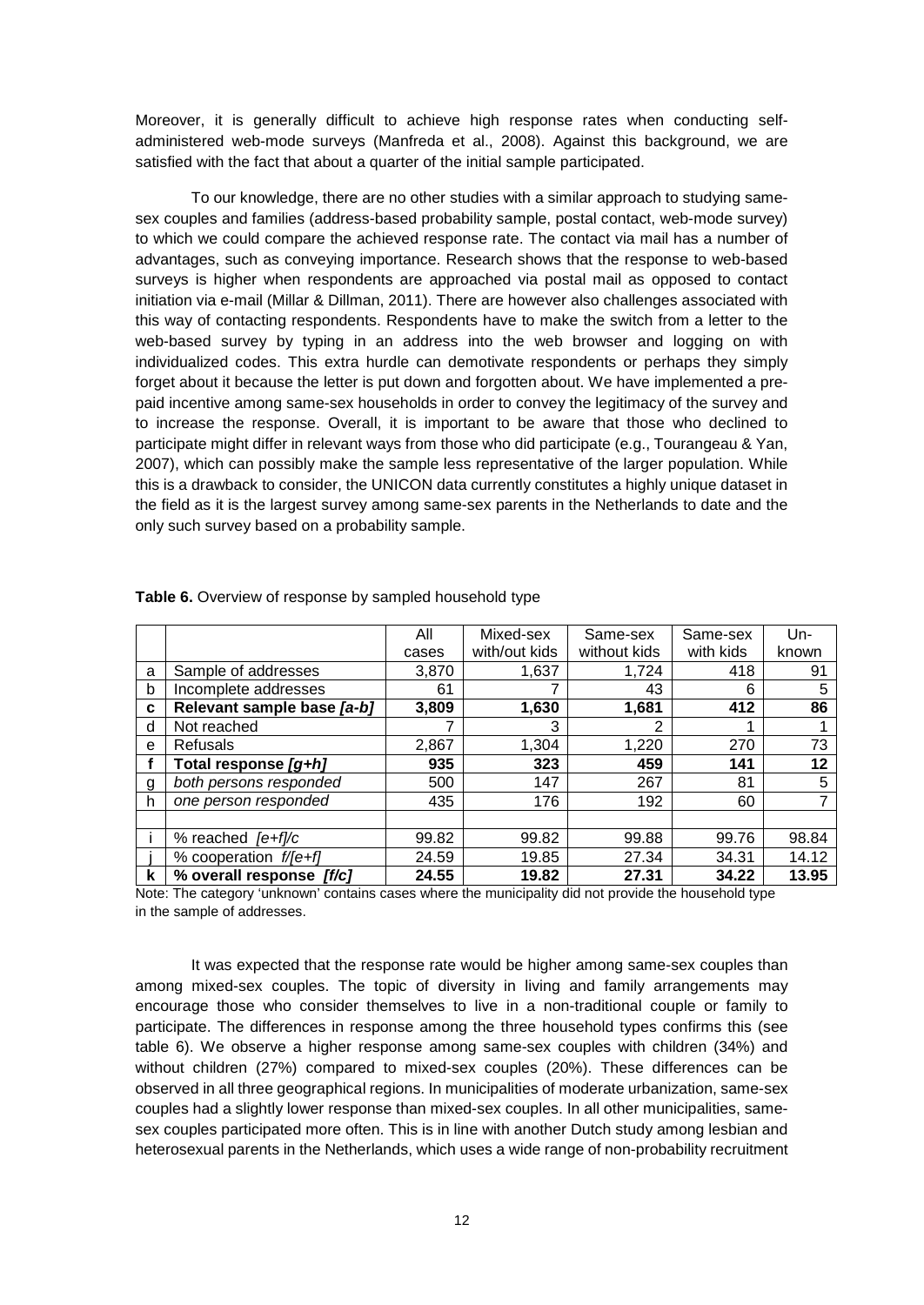Moreover, it is generally difficult to achieve high response rates when conducting selfadministered web-mode surveys (Manfreda et al., 2008). Against this background, we are satisfied with the fact that about a quarter of the initial sample participated.

To our knowledge, there are no other studies with a similar approach to studying samesex couples and families (address-based probability sample, postal contact, web-mode survey) to which we could compare the achieved response rate. The contact via mail has a number of advantages, such as conveying importance. Research shows that the response to web-based surveys is higher when respondents are approached via postal mail as opposed to contact initiation via e-mail (Millar & Dillman, 2011). There are however also challenges associated with this way of contacting respondents. Respondents have to make the switch from a letter to the web-based survey by typing in an address into the web browser and logging on with individualized codes. This extra hurdle can demotivate respondents or perhaps they simply forget about it because the letter is put down and forgotten about. We have implemented a prepaid incentive among same-sex households in order to convey the legitimacy of the survey and to increase the response. Overall, it is important to be aware that those who declined to participate might differ in relevant ways from those who did participate (e.g., Tourangeau & Yan, 2007), which can possibly make the sample less representative of the larger population. While this is a drawback to consider, the UNICON data currently constitutes a highly unique dataset in the field as it is the largest survey among same-sex parents in the Netherlands to date and the only such survey based on a probability sample.

|   |                            | All   | Mixed-sex     | Same-sex     | Same-sex  | $Un-$ |
|---|----------------------------|-------|---------------|--------------|-----------|-------|
|   |                            | cases | with/out kids | without kids | with kids | known |
| a | Sample of addresses        | 3.870 | 1,637         | 1.724        | 418       | 91    |
| b | Incomplete addresses       | 61    |               | 43           | 6         | 5     |
| C | Relevant sample base [a-b] | 3,809 | 1,630         | 1,681        | 412       | 86    |
| d | Not reached                |       | 3             | 2            |           |       |
| e | <b>Refusals</b>            | 2,867 | 1,304         | 1,220        | 270       | 73    |
|   | Total response [g+h]       | 935   | 323           | 459          | 141       | 12    |
| g | both persons responded     | 500   | 147           | 267          | 81        | 5     |
| h | one person responded       | 435   | 176           | 192          | 60        |       |
|   |                            |       |               |              |           |       |
|   | % reached $[e+f]/c$        | 99.82 | 99.82         | 99.88        | 99.76     | 98.84 |
|   | % cooperation f/[e+f]      | 24.59 | 19.85         | 27.34        | 34.31     | 14.12 |
| k | % overall response [f/c]   | 24.55 | 19.82         | 27.31        | 34.22     | 13.95 |

**Table 6.** Overview of response by sampled household type

Note: The category 'unknown' contains cases where the municipality did not provide the household type in the sample of addresses.

It was expected that the response rate would be higher among same-sex couples than among mixed-sex couples. The topic of diversity in living and family arrangements may encourage those who consider themselves to live in a non-traditional couple or family to participate. The differences in response among the three household types confirms this (see table 6). We observe a higher response among same-sex couples with children (34%) and without children (27%) compared to mixed-sex couples (20%). These differences can be observed in all three geographical regions. In municipalities of moderate urbanization, same-sex couples had a slightly lower response than mixed-sex couples. In all other municipalities, samesex couples participated more often. This is in line with another Dutch study among lesbian and heterosexual parents in the Netherlands, which uses a wide range of non-probability recruitment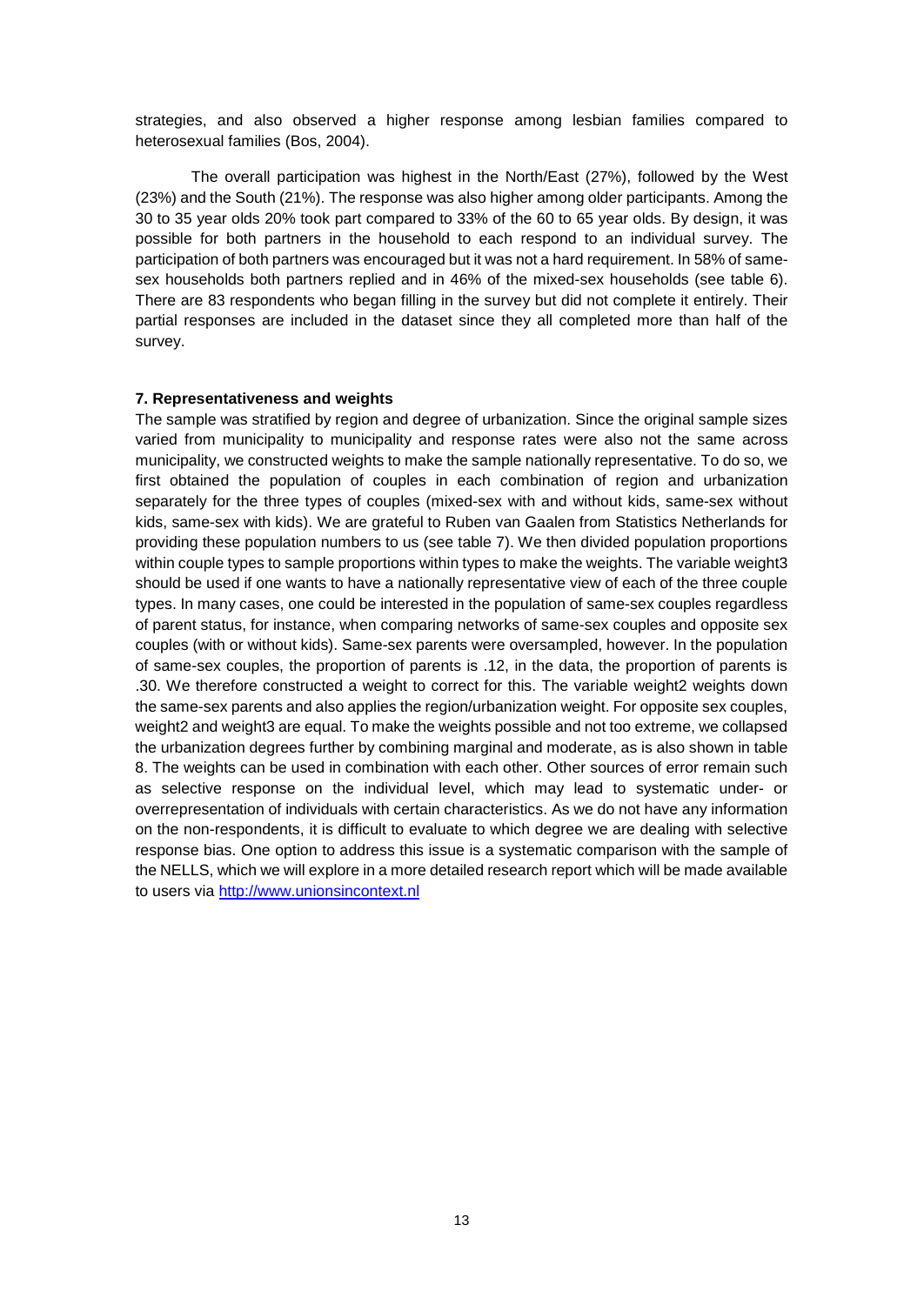strategies, and also observed a higher response among lesbian families compared to heterosexual families (Bos, 2004).

The overall participation was highest in the North/East (27%), followed by the West (23%) and the South (21%). The response was also higher among older participants. Among the 30 to 35 year olds 20% took part compared to 33% of the 60 to 65 year olds. By design, it was possible for both partners in the household to each respond to an individual survey. The participation of both partners was encouraged but it was not a hard requirement. In 58% of samesex households both partners replied and in 46% of the mixed-sex households (see table 6). There are 83 respondents who began filling in the survey but did not complete it entirely. Their partial responses are included in the dataset since they all completed more than half of the survey.

#### **7. Representativeness and weights**

The sample was stratified by region and degree of urbanization. Since the original sample sizes varied from municipality to municipality and response rates were also not the same across municipality, we constructed weights to make the sample nationally representative. To do so, we first obtained the population of couples in each combination of region and urbanization separately for the three types of couples (mixed-sex with and without kids, same-sex without kids, same-sex with kids). We are grateful to Ruben van Gaalen from Statistics Netherlands for providing these population numbers to us (see table 7). We then divided population proportions within couple types to sample proportions within types to make the weights. The variable weight3 should be used if one wants to have a nationally representative view of each of the three couple types. In many cases, one could be interested in the population of same-sex couples regardless of parent status, for instance, when comparing networks of same-sex couples and opposite sex couples (with or without kids). Same-sex parents were oversampled, however. In the population of same-sex couples, the proportion of parents is .12, in the data, the proportion of parents is .30. We therefore constructed a weight to correct for this. The variable weight2 weights down the same-sex parents and also applies the region/urbanization weight. For opposite sex couples, weight2 and weight3 are equal. To make the weights possible and not too extreme, we collapsed the urbanization degrees further by combining marginal and moderate, as is also shown in table 8. The weights can be used in combination with each other. Other sources of error remain such as selective response on the individual level, which may lead to systematic under- or overrepresentation of individuals with certain characteristics. As we do not have any information on the non-respondents, it is difficult to evaluate to which degree we are dealing with selective response bias. One option to address this issue is a systematic comparison with the sample of the NELLS, which we will explore in a more detailed research report which will be made available to users via [http://www.unionsincontext.nl](http://www.unionsincontext.nl/)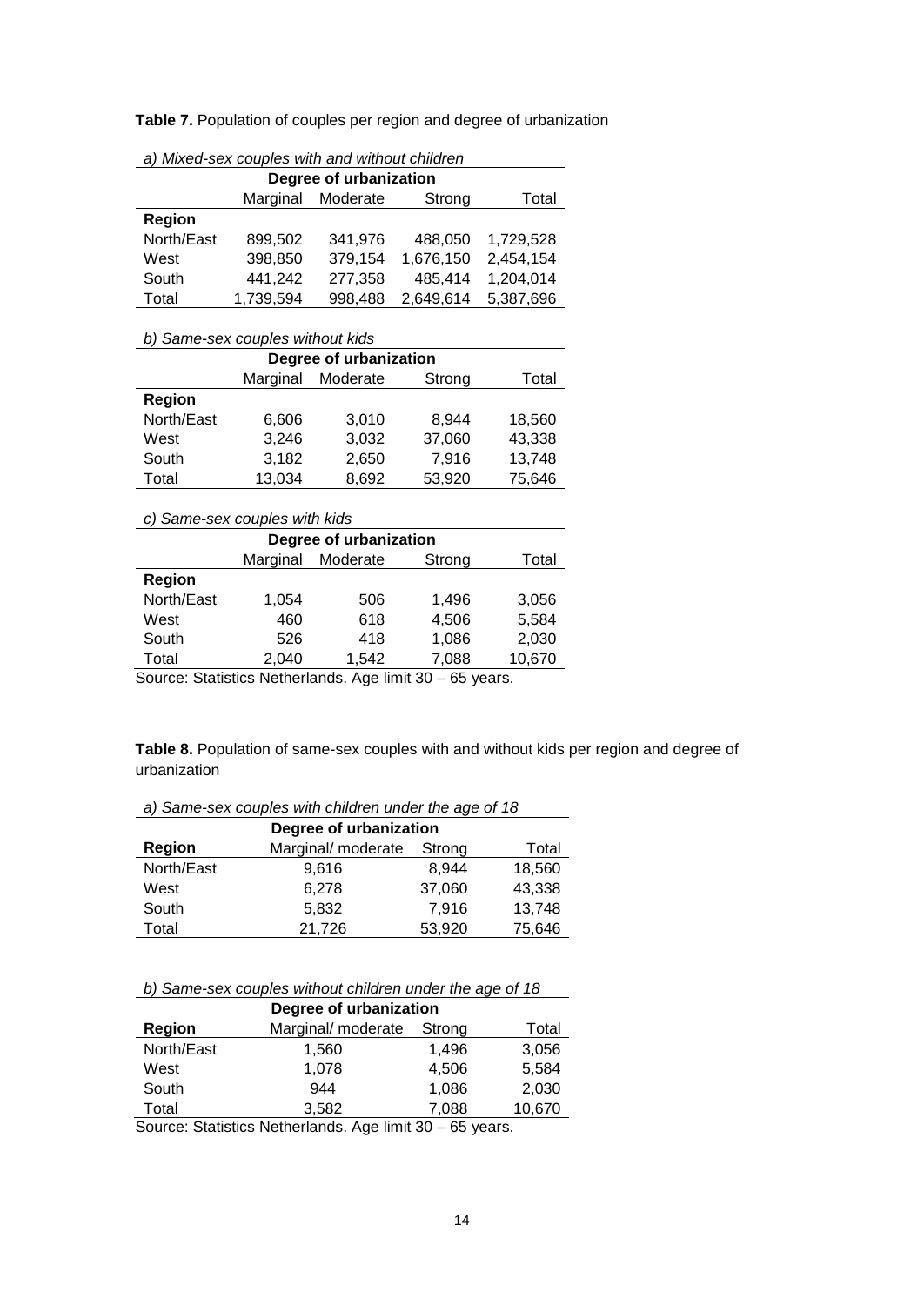**Table 7.** Population of couples per region and degree of urbanization

| Degree of urbanization |                                         |         |           |           |  |  |  |  |
|------------------------|-----------------------------------------|---------|-----------|-----------|--|--|--|--|
|                        | Marginal<br>Moderate<br>Strong<br>Total |         |           |           |  |  |  |  |
| Region                 |                                         |         |           |           |  |  |  |  |
| North/East             | 899,502                                 | 341,976 | 488.050   | 1,729,528 |  |  |  |  |
| West                   | 398,850                                 | 379,154 | 1,676,150 | 2,454,154 |  |  |  |  |
| South                  | 441,242                                 | 277,358 | 485,414   | 1,204,014 |  |  |  |  |
| Total                  | 1,739,594                               | 998,488 | 2,649,614 | 5,387,696 |  |  |  |  |

| b) Same-sex couples without kids |                                         |       |        |        |  |  |  |  |
|----------------------------------|-----------------------------------------|-------|--------|--------|--|--|--|--|
| Degree of urbanization           |                                         |       |        |        |  |  |  |  |
|                                  | Marginal<br>Moderate<br>Strong<br>Total |       |        |        |  |  |  |  |
| Region                           |                                         |       |        |        |  |  |  |  |
| North/East                       | 6,606                                   | 3,010 | 8.944  | 18,560 |  |  |  |  |
| West                             | 3,246                                   | 3,032 | 37,060 | 43,338 |  |  |  |  |
| South                            | 3,182                                   | 2,650 | 7,916  | 13,748 |  |  |  |  |
| Total                            | 13,034                                  | 8,692 | 53,920 | 75,646 |  |  |  |  |

# *c) Same-sex couples with kids*

| Degree of urbanization |                                                              |          |        |        |  |  |  |
|------------------------|--------------------------------------------------------------|----------|--------|--------|--|--|--|
|                        | Marginal                                                     | Moderate | Strong | Total  |  |  |  |
| Region                 |                                                              |          |        |        |  |  |  |
| North/East             | 1,054                                                        | 506      | 1,496  | 3,056  |  |  |  |
| West                   | 460                                                          | 618      | 4,506  | 5,584  |  |  |  |
| South                  | 526                                                          | 418      | 1,086  | 2,030  |  |  |  |
| Total                  | 2,040                                                        | 1.542    | 7,088  | 10,670 |  |  |  |
|                        | Course: Ctatistics Notberlande, Ago limit 20<br>$CE$ $10000$ |          |        |        |  |  |  |

Source: Statistics Netherlands. Age limit 30 – 65 years.

**Table 8.** Population of same-sex couples with and without kids per region and degree of urbanization

*a) Same-sex couples with children under the age of 18*

|               | Degree of urbanization |        |        |
|---------------|------------------------|--------|--------|
| <b>Region</b> | Marginal/ moderate     | Strong | Total  |
| North/East    | 9,616                  | 8.944  | 18,560 |
| West          | 6,278                  | 37,060 | 43,338 |
| South         | 5,832                  | 7.916  | 13,748 |
| Total         | 21,726                 | 53,920 | 75,646 |

|  |  |  |  |  |  | b) Same-sex couples without children under the age of 18 |  |
|--|--|--|--|--|--|----------------------------------------------------------|--|
|--|--|--|--|--|--|----------------------------------------------------------|--|

| Degree of urbanization |                    |        |        |
|------------------------|--------------------|--------|--------|
| Region                 | Marginal/ moderate | Strong | Total  |
| North/East             | 1,560              | 1,496  | 3,056  |
| West                   | 1,078              | 4,506  | 5,584  |
| South                  | 944                | 1,086  | 2,030  |
| Total                  | 3,582              | 7,088  | 10,670 |
|                        |                    |        |        |

Source: Statistics Netherlands. Age limit 30 – 65 years.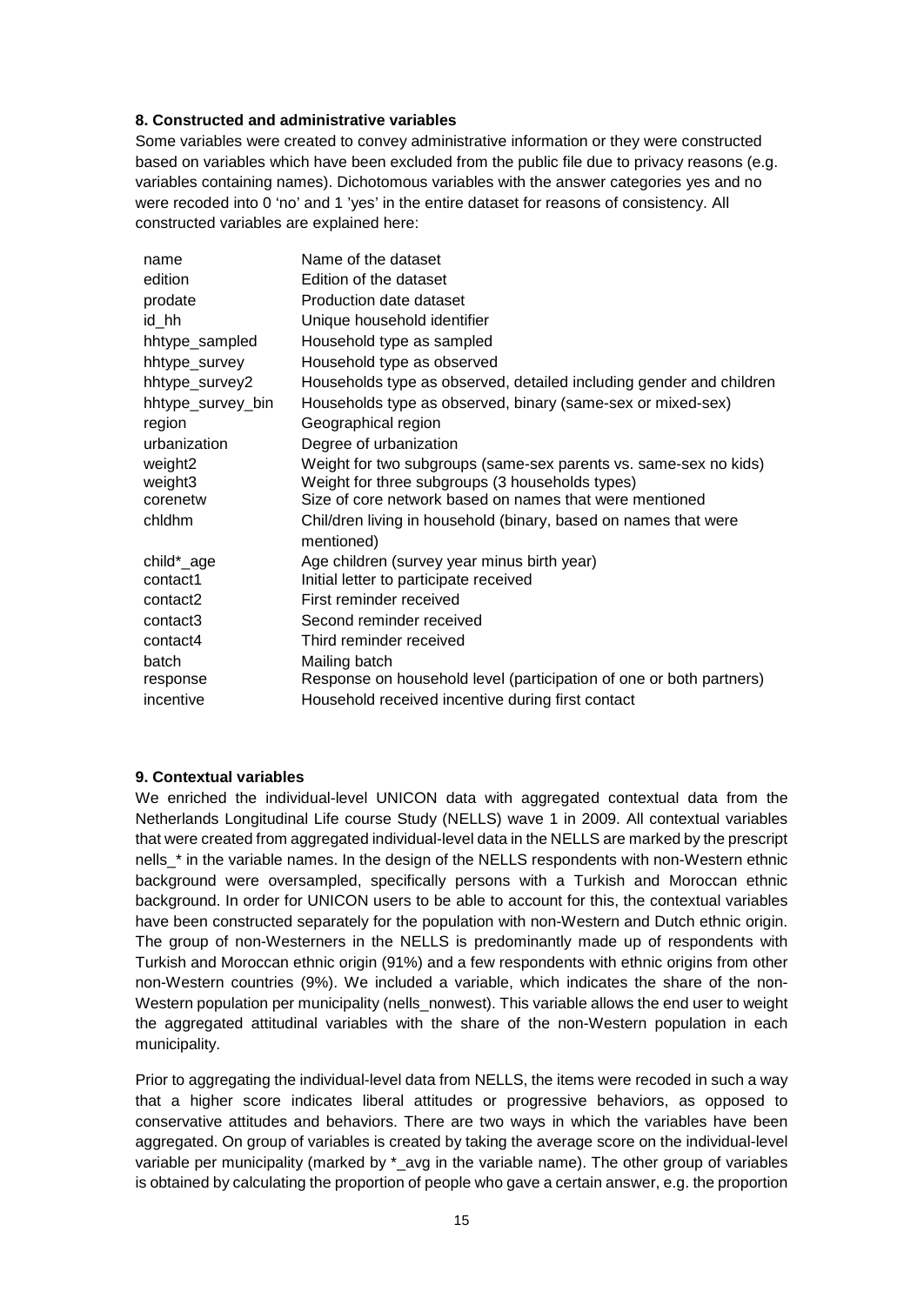# **8. Constructed and administrative variables**

Some variables were created to convey administrative information or they were constructed based on variables which have been excluded from the public file due to privacy reasons (e.g. variables containing names). Dichotomous variables with the answer categories yes and no were recoded into 0 'no' and 1 'yes' in the entire dataset for reasons of consistency. All constructed variables are explained here:

| name                 | Name of the dataset                                                           |
|----------------------|-------------------------------------------------------------------------------|
| edition              | Edition of the dataset                                                        |
| prodate              | Production date dataset                                                       |
| id hh                | Unique household identifier                                                   |
| hhtype_sampled       | Household type as sampled                                                     |
| hhtype_survey        | Household type as observed                                                    |
| hhtype_survey2       | Households type as observed, detailed including gender and children           |
| hhtype_survey_bin    | Households type as observed, binary (same-sex or mixed-sex)                   |
| region               | Geographical region                                                           |
| urbanization         | Degree of urbanization                                                        |
| weight2              | Weight for two subgroups (same-sex parents vs. same-sex no kids)              |
| weight3              | Weight for three subgroups (3 households types)                               |
| corenetw             | Size of core network based on names that were mentioned                       |
| chidhm               | Chil/dren living in household (binary, based on names that were<br>mentioned) |
| child*_age           | Age children (survey year minus birth year)                                   |
| contact1             | Initial letter to participate received                                        |
| contact2             | First reminder received                                                       |
| contact <sub>3</sub> | Second reminder received                                                      |
| contact4             | Third reminder received                                                       |
| batch                | Mailing batch                                                                 |
| response             | Response on household level (participation of one or both partners)           |
| incentive            | Household received incentive during first contact                             |
|                      |                                                                               |

# **9. Contextual variables**

We enriched the individual-level UNICON data with aggregated contextual data from the Netherlands Longitudinal Life course Study (NELLS) wave 1 in 2009. All contextual variables that were created from aggregated individual-level data in the NELLS are marked by the prescript nells<sup>\*</sup> in the variable names. In the design of the NELLS respondents with non-Western ethnic background were oversampled, specifically persons with a Turkish and Moroccan ethnic background. In order for UNICON users to be able to account for this, the contextual variables have been constructed separately for the population with non-Western and Dutch ethnic origin. The group of non-Westerners in the NELLS is predominantly made up of respondents with Turkish and Moroccan ethnic origin (91%) and a few respondents with ethnic origins from other non-Western countries (9%). We included a variable, which indicates the share of the non-Western population per municipality (nells\_nonwest). This variable allows the end user to weight the aggregated attitudinal variables with the share of the non-Western population in each municipality.

Prior to aggregating the individual-level data from NELLS, the items were recoded in such a way that a higher score indicates liberal attitudes or progressive behaviors, as opposed to conservative attitudes and behaviors. There are two ways in which the variables have been aggregated. On group of variables is created by taking the average score on the individual-level variable per municipality (marked by  $*$  avg in the variable name). The other group of variables is obtained by calculating the proportion of people who gave a certain answer, e.g. the proportion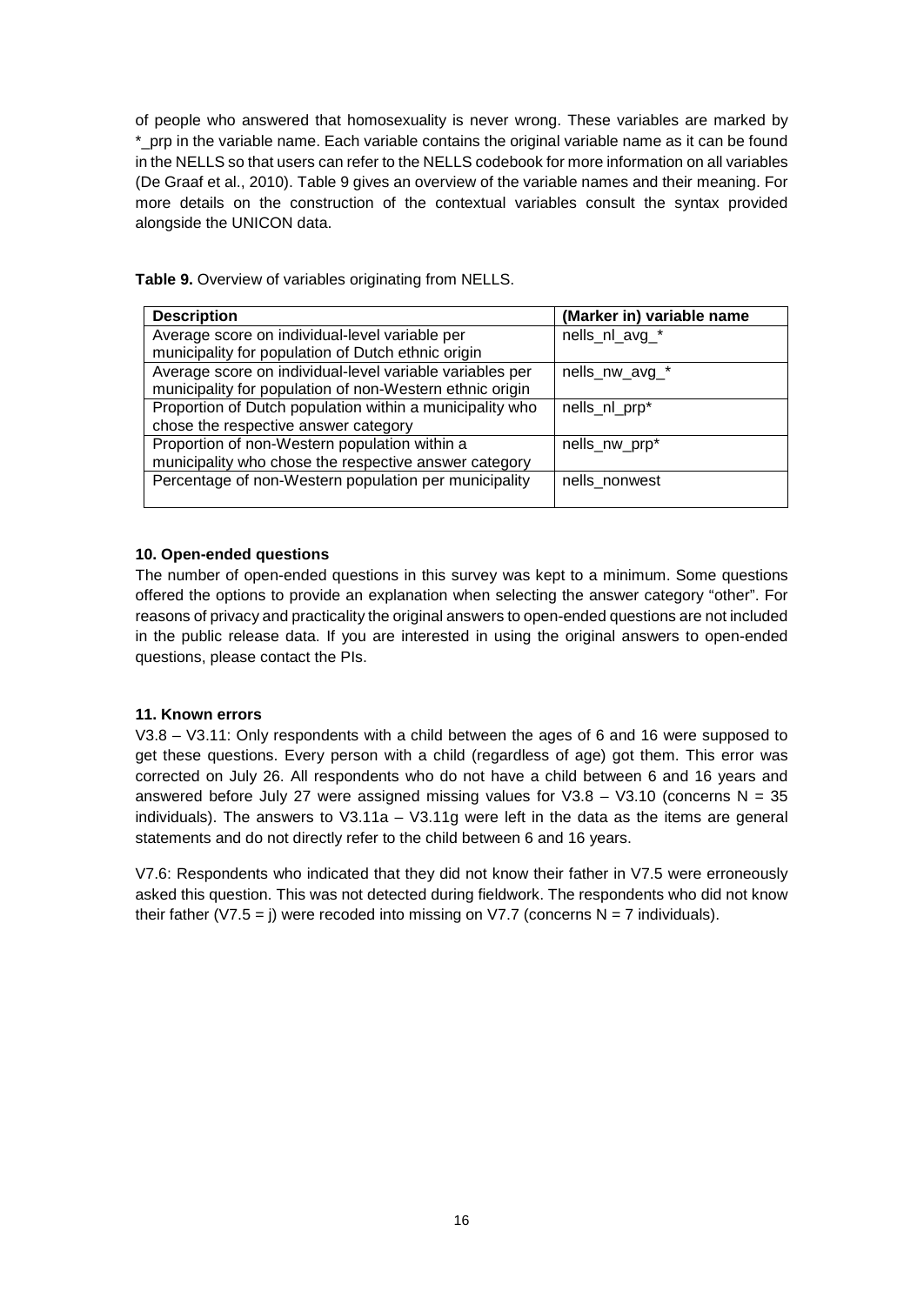of people who answered that homosexuality is never wrong. These variables are marked by \*\_prp in the variable name. Each variable contains the original variable name as it can be found in the NELLS so that users can refer to the NELLS codebook for more information on all variables (De Graaf et al., 2010). Table 9 gives an overview of the variable names and their meaning. For more details on the construction of the contextual variables consult the syntax provided alongside the UNICON data.

| Table 9. Overview of variables originating from NELLS. |
|--------------------------------------------------------|
|--------------------------------------------------------|

| <b>Description</b>                                       | (Marker in) variable name |
|----------------------------------------------------------|---------------------------|
| Average score on individual-level variable per           | nells_nl_avg_*            |
| municipality for population of Dutch ethnic origin       |                           |
| Average score on individual-level variable variables per | nells_nw_avg_*            |
| municipality for population of non-Western ethnic origin |                           |
| Proportion of Dutch population within a municipality who | nells_nl_prp*             |
| chose the respective answer category                     |                           |
| Proportion of non-Western population within a            | nells_nw_prp*             |
| municipality who chose the respective answer category    |                           |
| Percentage of non-Western population per municipality    | nells nonwest             |
|                                                          |                           |

# **10. Open-ended questions**

The number of open-ended questions in this survey was kept to a minimum. Some questions offered the options to provide an explanation when selecting the answer category "other". For reasons of privacy and practicality the original answers to open-ended questions are not included in the public release data. If you are interested in using the original answers to open-ended questions, please contact the PIs.

# **11. Known errors**

V3.8 – V3.11: Only respondents with a child between the ages of 6 and 16 were supposed to get these questions. Every person with a child (regardless of age) got them. This error was corrected on July 26. All respondents who do not have a child between 6 and 16 years and answered before July 27 were assigned missing values for  $V3.8 - V3.10$  (concerns N = 35 individuals). The answers to V3.11a – V3.11g were left in the data as the items are general statements and do not directly refer to the child between 6 and 16 years.

V7.6: Respondents who indicated that they did not know their father in V7.5 were erroneously asked this question. This was not detected during fieldwork. The respondents who did not know their father (V7.5 = j) were recoded into missing on V7.7 (concerns  $N = 7$  individuals).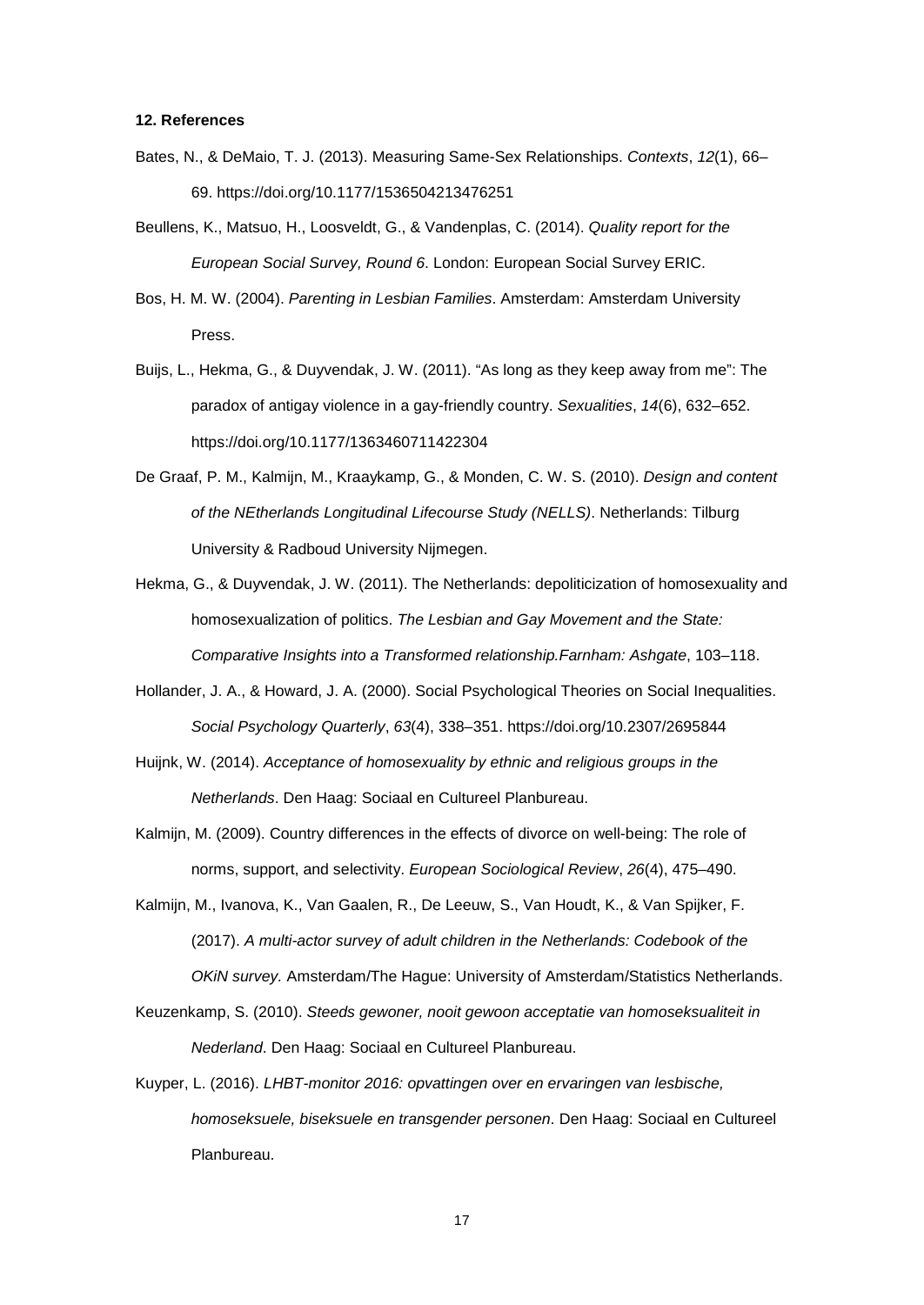#### **12. References**

- Bates, N., & DeMaio, T. J. (2013). Measuring Same-Sex Relationships. *Contexts*, *12*(1), 66– 69. https://doi.org/10.1177/1536504213476251
- Beullens, K., Matsuo, H., Loosveldt, G., & Vandenplas, C. (2014). *Quality report for the European Social Survey, Round 6*. London: European Social Survey ERIC.
- Bos, H. M. W. (2004). *Parenting in Lesbian Families*. Amsterdam: Amsterdam University Press.
- Buijs, L., Hekma, G., & Duyvendak, J. W. (2011). "As long as they keep away from me": The paradox of antigay violence in a gay-friendly country. *Sexualities*, *14*(6), 632–652. https://doi.org/10.1177/1363460711422304
- De Graaf, P. M., Kalmijn, M., Kraaykamp, G., & Monden, C. W. S. (2010). *Design and content of the NEtherlands Longitudinal Lifecourse Study (NELLS)*. Netherlands: Tilburg University & Radboud University Nijmegen.
- Hekma, G., & Duyvendak, J. W. (2011). The Netherlands: depoliticization of homosexuality and homosexualization of politics. *The Lesbian and Gay Movement and the State: Comparative Insights into a Transformed relationship.Farnham: Ashgate*, 103–118.
- Hollander, J. A., & Howard, J. A. (2000). Social Psychological Theories on Social Inequalities. *Social Psychology Quarterly*, *63*(4), 338–351. https://doi.org/10.2307/2695844
- Huijnk, W. (2014). *Acceptance of homosexuality by ethnic and religious groups in the Netherlands*. Den Haag: Sociaal en Cultureel Planbureau.
- Kalmijn, M. (2009). Country differences in the effects of divorce on well-being: The role of norms, support, and selectivity. *European Sociological Review*, *26*(4), 475–490.
- Kalmijn, M., Ivanova, K., Van Gaalen, R., De Leeuw, S., Van Houdt, K., & Van Spijker, F. (2017). *A multi-actor survey of adult children in the Netherlands: Codebook of the OKiN survey.* Amsterdam/The Hague: University of Amsterdam/Statistics Netherlands.
- Keuzenkamp, S. (2010). *Steeds gewoner, nooit gewoon acceptatie van homoseksualiteit in Nederland*. Den Haag: Sociaal en Cultureel Planbureau.
- Kuyper, L. (2016). *LHBT-monitor 2016: opvattingen over en ervaringen van lesbische, homoseksuele, biseksuele en transgender personen*. Den Haag: Sociaal en Cultureel Planbureau.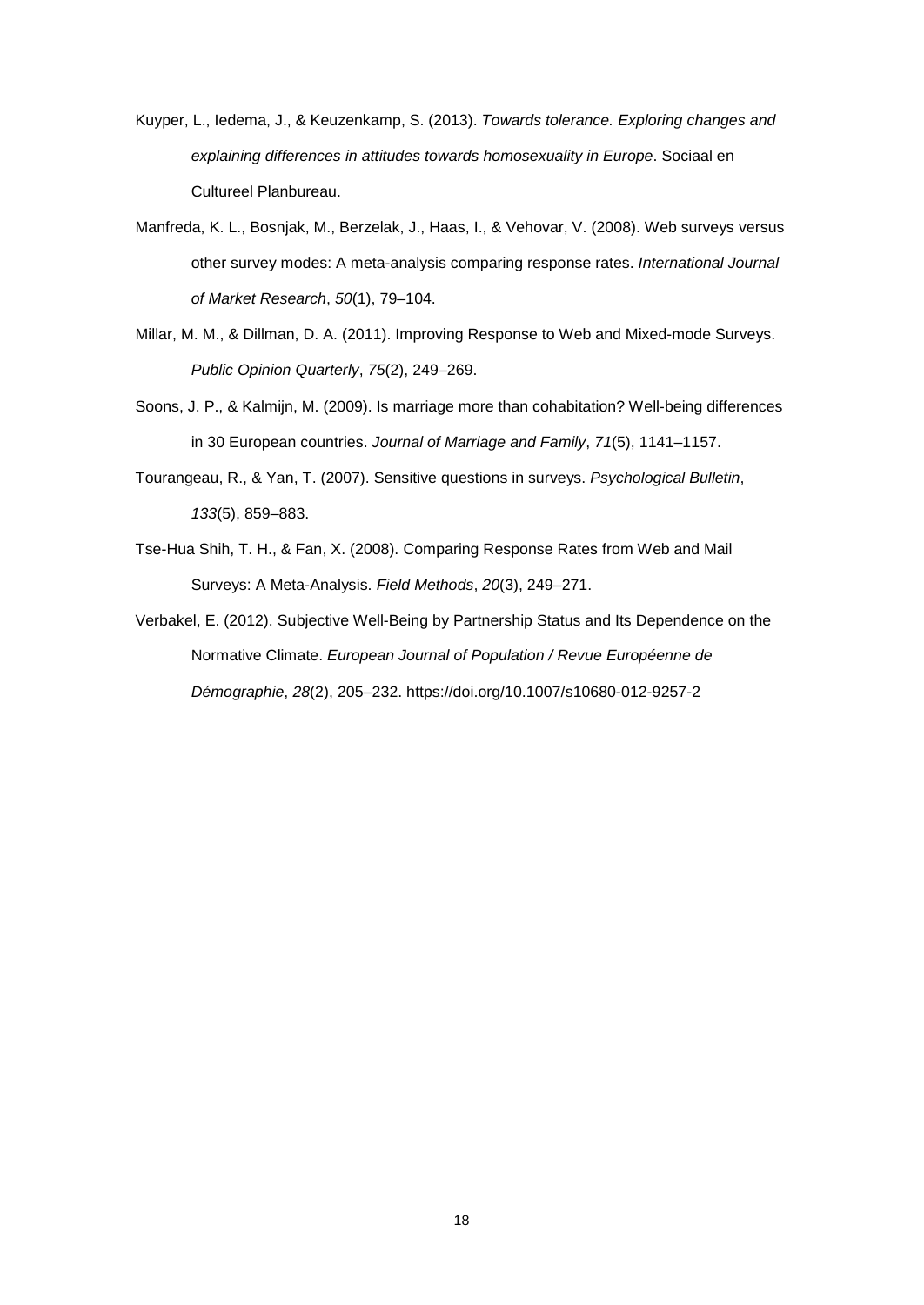- Kuyper, L., Iedema, J., & Keuzenkamp, S. (2013). *Towards tolerance. Exploring changes and explaining differences in attitudes towards homosexuality in Europe*. Sociaal en Cultureel Planbureau.
- Manfreda, K. L., Bosnjak, M., Berzelak, J., Haas, I., & Vehovar, V. (2008). Web surveys versus other survey modes: A meta-analysis comparing response rates. *International Journal of Market Research*, *50*(1), 79–104.
- Millar, M. M., & Dillman, D. A. (2011). Improving Response to Web and Mixed-mode Surveys. *Public Opinion Quarterly*, *75*(2), 249–269.
- Soons, J. P., & Kalmijn, M. (2009). Is marriage more than cohabitation? Well-being differences in 30 European countries. *Journal of Marriage and Family*, *71*(5), 1141–1157.
- Tourangeau, R., & Yan, T. (2007). Sensitive questions in surveys. *Psychological Bulletin*, *133*(5), 859–883.
- Tse-Hua Shih, T. H., & Fan, X. (2008). Comparing Response Rates from Web and Mail Surveys: A Meta-Analysis. *Field Methods*, *20*(3), 249–271.
- Verbakel, E. (2012). Subjective Well-Being by Partnership Status and Its Dependence on the Normative Climate. *European Journal of Population / Revue Européenne de Démographie*, *28*(2), 205–232. https://doi.org/10.1007/s10680-012-9257-2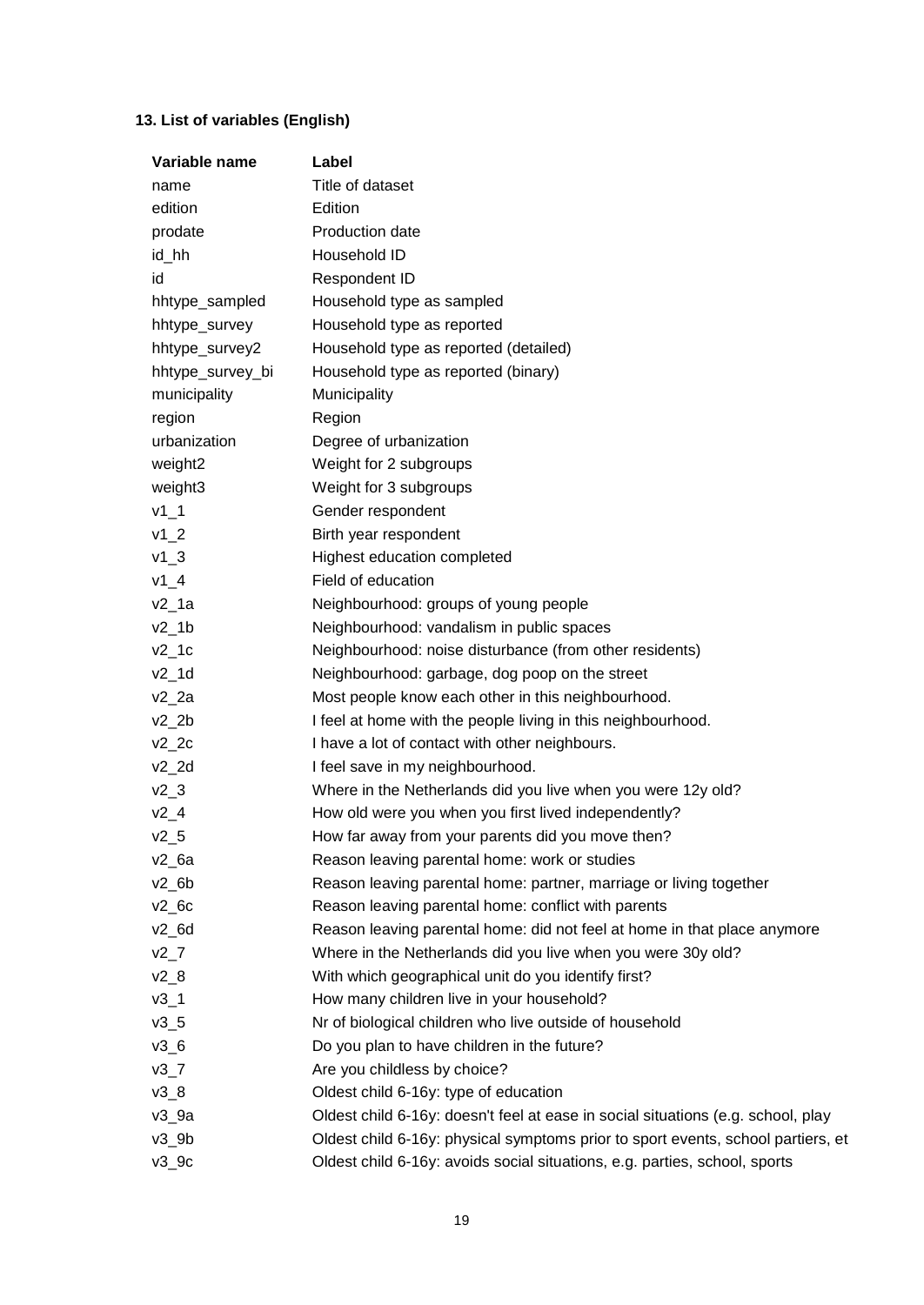# **13. List of variables (English)**

| Variable name      | Label                                                                            |
|--------------------|----------------------------------------------------------------------------------|
| name               | Title of dataset                                                                 |
| edition            | Edition                                                                          |
| prodate            | Production date                                                                  |
| id_hh              | Household ID                                                                     |
| id                 | Respondent ID                                                                    |
| hhtype_sampled     | Household type as sampled                                                        |
| hhtype_survey      | Household type as reported                                                       |
| hhtype_survey2     | Household type as reported (detailed)                                            |
| hhtype_survey_bi   | Household type as reported (binary)                                              |
| municipality       | Municipality                                                                     |
| region             | Region                                                                           |
| urbanization       | Degree of urbanization                                                           |
| weight2            | Weight for 2 subgroups                                                           |
| weight3            | Weight for 3 subgroups                                                           |
| $v1_1$             | Gender respondent                                                                |
| $v1_2$             | Birth year respondent                                                            |
| $v1_3$             | Highest education completed                                                      |
| $v1_4$             | Field of education                                                               |
| $v2_1a$            | Neighbourhood: groups of young people                                            |
| $v2_1$             | Neighbourhood: vandalism in public spaces                                        |
| $v2_1c$            | Neighbourhood: noise disturbance (from other residents)                          |
| $v2_1$ d           | Neighbourhood: garbage, dog poop on the street                                   |
| $v2_2a$            | Most people know each other in this neighbourhood.                               |
| $v2_2$             | I feel at home with the people living in this neighbourhood.                     |
| $v2_2c$            | I have a lot of contact with other neighbours.                                   |
| $v2_2d$            | I feel save in my neighbourhood.                                                 |
| $v2_3$             | Where in the Netherlands did you live when you were 12y old?                     |
| $v2_4$             | How old were you when you first lived independently?                             |
| $v2_5$             | How far away from your parents did you move then?                                |
| $v2_6a$            | Reason leaving parental home: work or studies                                    |
| $v2_6b$            | Reason leaving parental home: partner, marriage or living together               |
| $v2$ <sub>6c</sub> | Reason leaving parental home: conflict with parents                              |
| $v2_6d$            | Reason leaving parental home: did not feel at home in that place anymore         |
| $v2-7$             | Where in the Netherlands did you live when you were 30y old?                     |
| $v2_8$             | With which geographical unit do you identify first?                              |
| $v3_1$             | How many children live in your household?                                        |
| $v3_5$             | Nr of biological children who live outside of household                          |
| $v3_6$             | Do you plan to have children in the future?                                      |
| $v3-7$             | Are you childless by choice?                                                     |
| $v3_8$             | Oldest child 6-16y: type of education                                            |
| $v3_9a$            | Oldest child 6-16y: doesn't feel at ease in social situations (e.g. school, play |
| $v3_9b$            | Oldest child 6-16y: physical symptoms prior to sport events, school partiers, et |
| $v3_9c$            | Oldest child 6-16y: avoids social situations, e.g. parties, school, sports       |
|                    |                                                                                  |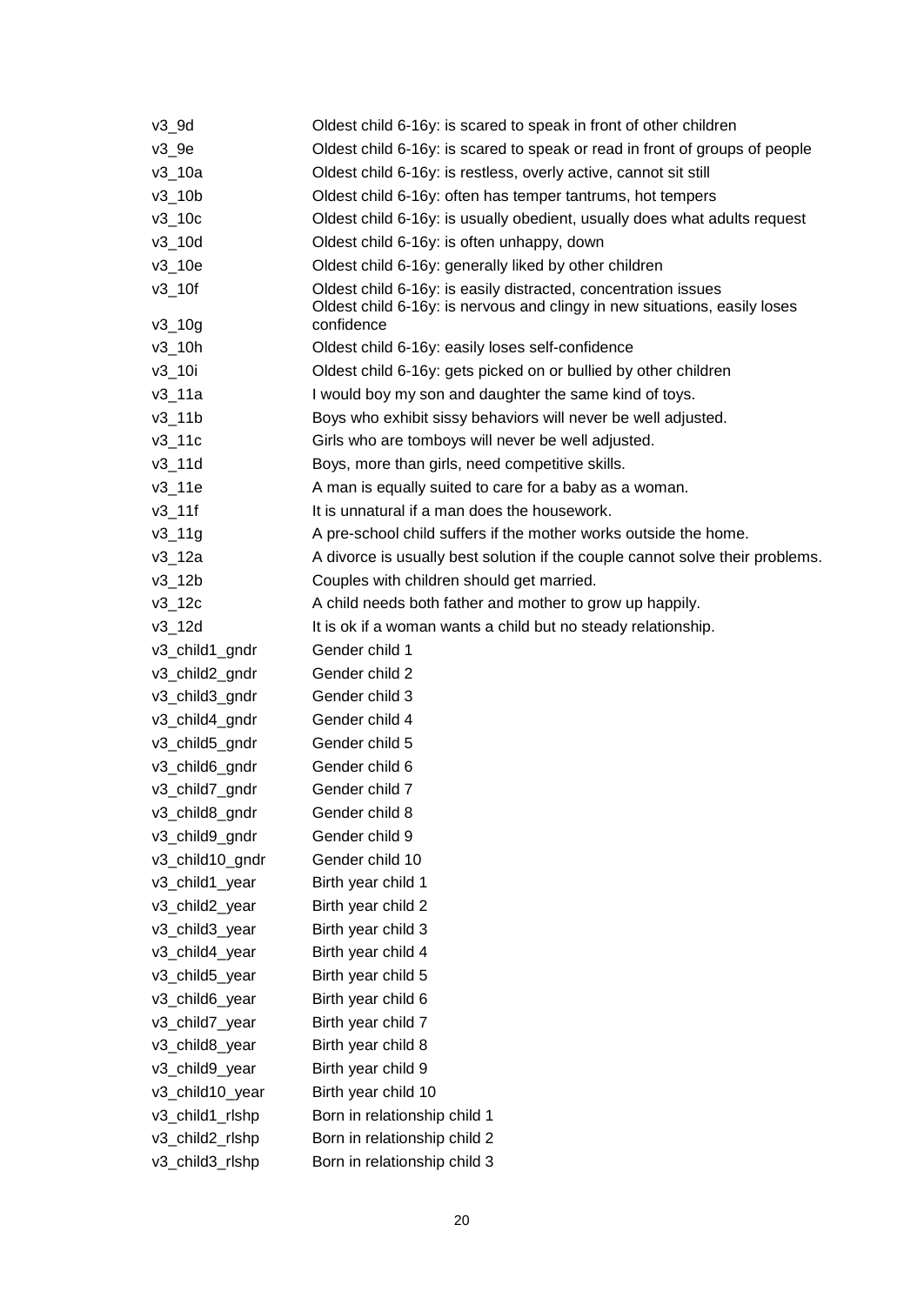| $v3$ 9d         | Oldest child 6-16y: is scared to speak in front of other children                                                                           |
|-----------------|---------------------------------------------------------------------------------------------------------------------------------------------|
| $v3_9e$         | Oldest child 6-16y: is scared to speak or read in front of groups of people                                                                 |
| $v3_10a$        | Oldest child 6-16y: is restless, overly active, cannot sit still                                                                            |
| $v3_10b$        | Oldest child 6-16y: often has temper tantrums, hot tempers                                                                                  |
| $v3$ _10c       | Oldest child 6-16y: is usually obedient, usually does what adults request                                                                   |
| $v3$ _10d       | Oldest child 6-16y: is often unhappy, down                                                                                                  |
| $v3_10e$        | Oldest child 6-16y: generally liked by other children                                                                                       |
| $v3$ _10f       | Oldest child 6-16y: is easily distracted, concentration issues<br>Oldest child 6-16y: is nervous and clingy in new situations, easily loses |
| $v3_{10}$       | confidence                                                                                                                                  |
| $v3_10h$        | Oldest child 6-16y: easily loses self-confidence                                                                                            |
| $v3$ _10i       | Oldest child 6-16y: gets picked on or bullied by other children                                                                             |
| $v3_11a$        | I would boy my son and daughter the same kind of toys.                                                                                      |
| $v3$ _11 $b$    | Boys who exhibit sissy behaviors will never be well adjusted.                                                                               |
| $v3$ _11 $c$    | Girls who are tomboys will never be well adjusted.                                                                                          |
| v3 11d          | Boys, more than girls, need competitive skills.                                                                                             |
| $v3_11e$        | A man is equally suited to care for a baby as a woman.                                                                                      |
| $v3$ _11f       | It is unnatural if a man does the housework.                                                                                                |
| $v3_{19}$       | A pre-school child suffers if the mother works outside the home.                                                                            |
| v3_12a          | A divorce is usually best solution if the couple cannot solve their problems.                                                               |
| $v3_12b$        | Couples with children should get married.                                                                                                   |
| $v3$ _12 $c$    | A child needs both father and mother to grow up happily.                                                                                    |
| $v3$ _12d       | It is ok if a woman wants a child but no steady relationship.                                                                               |
| v3_child1_gndr  | Gender child 1                                                                                                                              |
| v3_child2_gndr  | Gender child 2                                                                                                                              |
| v3_child3_gndr  | Gender child 3                                                                                                                              |
| v3_child4_gndr  | Gender child 4                                                                                                                              |
| v3_child5_gndr  | Gender child 5                                                                                                                              |
| v3_child6_gndr  | Gender child 6                                                                                                                              |
| v3_child7_gndr  | Gender child 7                                                                                                                              |
| v3_child8_gndr  | Gender child 8                                                                                                                              |
| v3_child9_gndr  | Gender child 9                                                                                                                              |
| v3_child10_gndr | Gender child 10                                                                                                                             |
| v3_child1_year  | Birth year child 1                                                                                                                          |
| v3_child2_year  | Birth year child 2                                                                                                                          |
| v3_child3_year  | Birth year child 3                                                                                                                          |
| v3_child4_year  | Birth year child 4                                                                                                                          |
| v3_child5_year  | Birth year child 5                                                                                                                          |
| v3 child6 year  | Birth year child 6                                                                                                                          |
| v3_child7_year  | Birth year child 7                                                                                                                          |
| v3_child8_year  | Birth year child 8                                                                                                                          |
| v3_child9_year  | Birth year child 9                                                                                                                          |
| v3_child10_year | Birth year child 10                                                                                                                         |
| v3_child1_rlshp | Born in relationship child 1                                                                                                                |
| v3_child2_rlshp | Born in relationship child 2                                                                                                                |
| v3_child3_rlshp | Born in relationship child 3                                                                                                                |
|                 |                                                                                                                                             |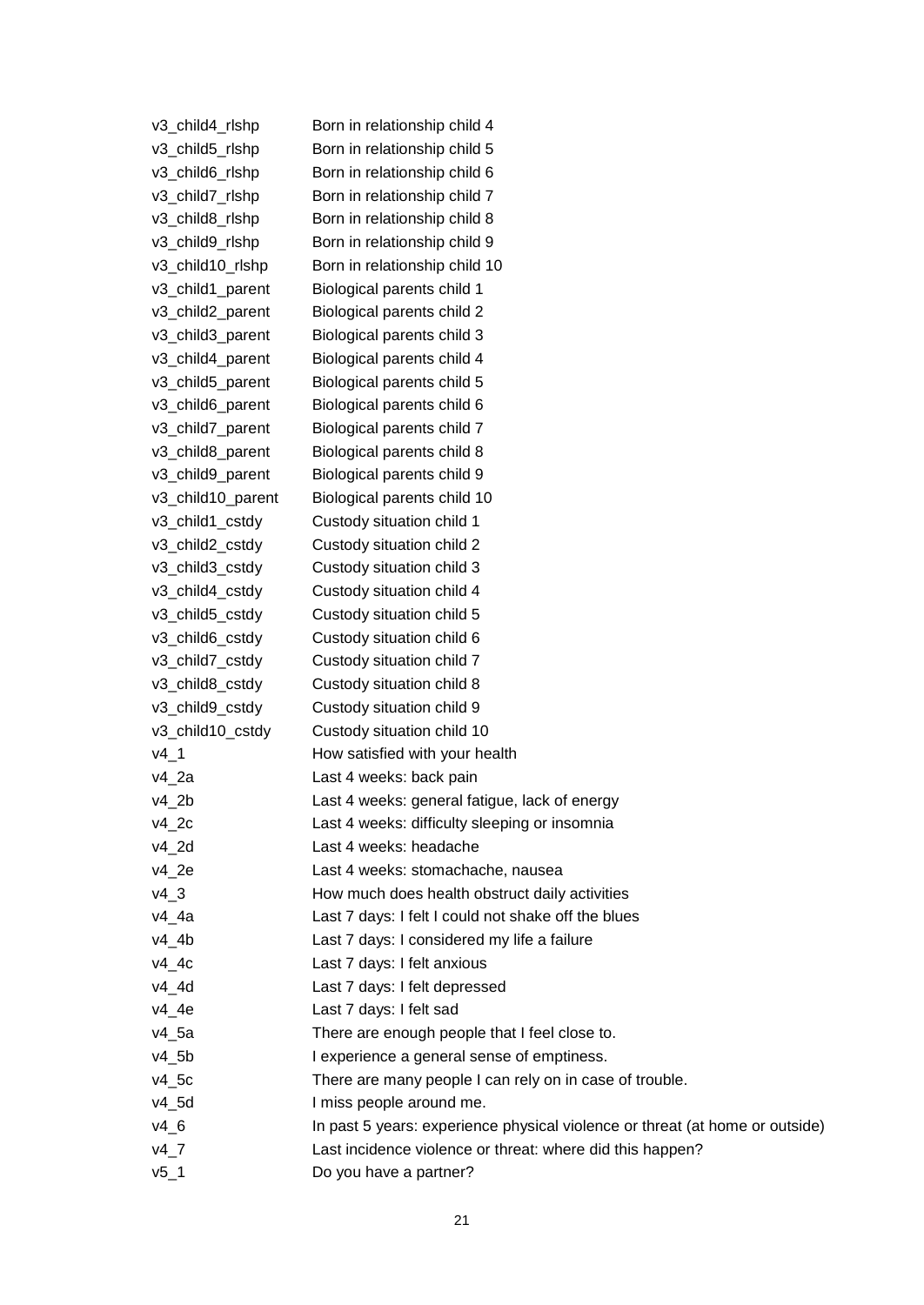| v3_child4_rlshp   | Born in relationship child 4                                                 |
|-------------------|------------------------------------------------------------------------------|
| v3_child5_rlshp   | Born in relationship child 5                                                 |
| v3_child6_rlshp   | Born in relationship child 6                                                 |
| v3_child7_rlshp   | Born in relationship child 7                                                 |
| v3_child8_rlshp   | Born in relationship child 8                                                 |
| v3_child9_rlshp   | Born in relationship child 9                                                 |
| v3_child10_rlshp  | Born in relationship child 10                                                |
| v3_child1_parent  | Biological parents child 1                                                   |
| v3 child2 parent  | Biological parents child 2                                                   |
| v3 child3 parent  | Biological parents child 3                                                   |
| v3_child4_parent  | Biological parents child 4                                                   |
| v3_child5_parent  | Biological parents child 5                                                   |
| v3_child6_parent  | Biological parents child 6                                                   |
| v3_child7_parent  | Biological parents child 7                                                   |
| v3_child8_parent  | Biological parents child 8                                                   |
| v3_child9_parent  | Biological parents child 9                                                   |
| v3_child10_parent | Biological parents child 10                                                  |
| v3_child1_cstdy   | Custody situation child 1                                                    |
| v3_child2_cstdy   | Custody situation child 2                                                    |
| v3 child3 cstdy   | Custody situation child 3                                                    |
| v3_child4_cstdy   | Custody situation child 4                                                    |
| v3_child5_cstdy   | Custody situation child 5                                                    |
| v3_child6_cstdy   | Custody situation child 6                                                    |
| v3_child7_cstdy   | Custody situation child 7                                                    |
| v3_child8_cstdy   | Custody situation child 8                                                    |
| v3_child9_cstdy   | Custody situation child 9                                                    |
| v3_child10_cstdy  | Custody situation child 10                                                   |
| $v4_1$            | How satisfied with your health                                               |
| $v4_2a$           | Last 4 weeks: back pain                                                      |
| $v4_2$            | Last 4 weeks: general fatigue, lack of energy                                |
| v42c              | Last 4 weeks: difficulty sleeping or insomnia                                |
| $v4_2$ d          | Last 4 weeks: headache                                                       |
| $v4_2e$           | Last 4 weeks: stomachache, nausea                                            |
| $v4_3$            | How much does health obstruct daily activities                               |
| $v4_4a$           | Last 7 days: I felt I could not shake off the blues                          |
| $v4_4b$           | Last 7 days: I considered my life a failure                                  |
| $v4_4c$           | Last 7 days: I felt anxious                                                  |
| $v4_4$            | Last 7 days: I felt depressed                                                |
| $v4_4e$           | Last 7 days: I felt sad                                                      |
| $v4_5a$           | There are enough people that I feel close to.                                |
| $v4_5b$           | I experience a general sense of emptiness.                                   |
| $v4_5c$           | There are many people I can rely on in case of trouble.                      |
| v4_5d             | I miss people around me.                                                     |
| $V4_6$            | In past 5 years: experience physical violence or threat (at home or outside) |
| $v4_7$            | Last incidence violence or threat: where did this happen?                    |
| $v5_1$            | Do you have a partner?                                                       |
|                   |                                                                              |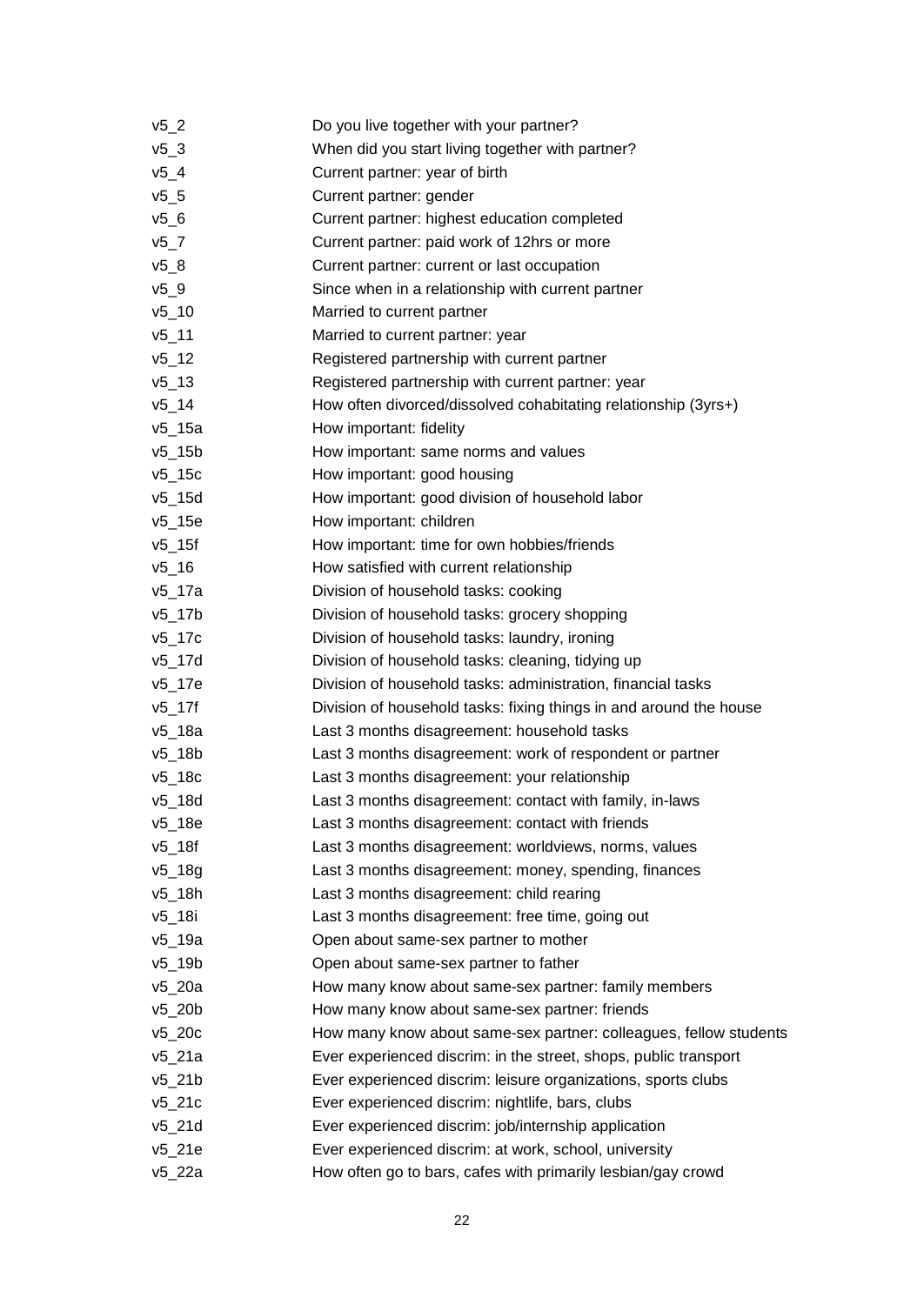| $v5_2$       | Do you live together with your partner?                            |
|--------------|--------------------------------------------------------------------|
| $v5_3$       | When did you start living together with partner?                   |
| $v5_4$       | Current partner: year of birth                                     |
| $v5_5$       | Current partner: gender                                            |
| $v5_6$       | Current partner: highest education completed                       |
| $v5-7$       | Current partner: paid work of 12hrs or more                        |
| $v5_8$       | Current partner: current or last occupation                        |
| $v5_9$       | Since when in a relationship with current partner                  |
| $v5_{10}$    | Married to current partner                                         |
| $v5 - 11$    | Married to current partner: year                                   |
| $v5 - 12$    | Registered partnership with current partner                        |
| $v5 - 13$    | Registered partnership with current partner: year                  |
| $v5$ _14     | How often divorced/dissolved cohabitating relationship (3yrs+)     |
| $v5$ _15a    | How important: fidelity                                            |
| $v5$ _15b    | How important: same norms and values                               |
| $v5$ _15c    | How important: good housing                                        |
| $v5$ _15d    | How important: good division of household labor                    |
| $v5$ _15e    | How important: children                                            |
| $v5$ _15f    | How important: time for own hobbies/friends                        |
| $v5$ _16     | How satisfied with current relationship                            |
| $v5$ _17a    | Division of household tasks: cooking                               |
| $v5$ _17b    | Division of household tasks: grocery shopping                      |
| v5_17c       | Division of household tasks: laundry, ironing                      |
| v5_17d       | Division of household tasks: cleaning, tidying up                  |
| v5_17e       | Division of household tasks: administration, financial tasks       |
| $v5$ _17f    | Division of household tasks: fixing things in and around the house |
| v5_18a       | Last 3 months disagreement: household tasks                        |
| $v5$ _18b    | Last 3 months disagreement: work of respondent or partner          |
| $v5$ _18 $c$ | Last 3 months disagreement: your relationship                      |
| $v5$ _18d    | Last 3 months disagreement: contact with family, in-laws           |
| $v5_18e$     | Last 3 months disagreement: contact with friends                   |
| $v5$ _18f    | Last 3 months disagreement: worldviews, norms, values              |
| $v5$ _18g    | Last 3 months disagreement: money, spending, finances              |
| $v5$ _18h    | Last 3 months disagreement: child rearing                          |
| v5_18i       | Last 3 months disagreement: free time, going out                   |
| v5 19a       | Open about same-sex partner to mother                              |
| v5_19b       | Open about same-sex partner to father                              |
| $v5_20a$     | How many know about same-sex partner: family members               |
| $v5_20b$     | How many know about same-sex partner: friends                      |
| $v5$ 20 $c$  | How many know about same-sex partner: colleagues, fellow students  |
| $v5_2$ 1a    | Ever experienced discrim: in the street, shops, public transport   |
| $v5_21b$     | Ever experienced discrim: leisure organizations, sports clubs      |
| $v5_2$ 1 $c$ | Ever experienced discrim: nightlife, bars, clubs                   |
| $v5_2$ 1d    | Ever experienced discrim: job/internship application               |
| v5_21e       | Ever experienced discrim: at work, school, university              |
| $v5_22a$     | How often go to bars, cafes with primarily lesbian/gay crowd       |
|              |                                                                    |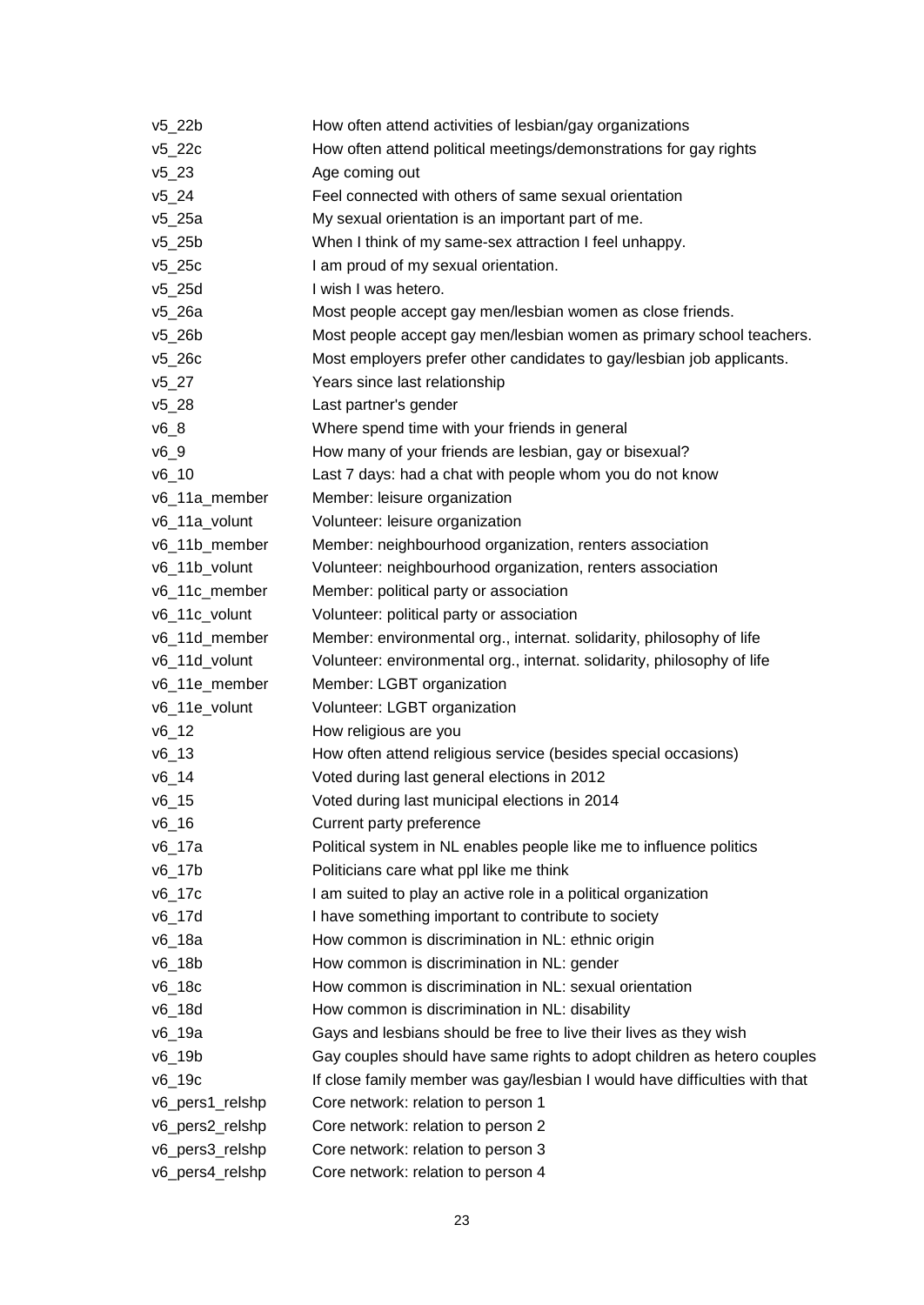| $v5_22b$             | How often attend activities of lesbian/gay organizations                   |
|----------------------|----------------------------------------------------------------------------|
| $v5$ _22 $c$         | How often attend political meetings/demonstrations for gay rights          |
| $v5_23$              | Age coming out                                                             |
| $v5_24$              | Feel connected with others of same sexual orientation                      |
| $v5_25a$             | My sexual orientation is an important part of me.                          |
| $v5_25b$             | When I think of my same-sex attraction I feel unhappy.                     |
| $v5_25c$             | I am proud of my sexual orientation.                                       |
| $v5$ <sub>_25d</sub> | I wish I was hetero.                                                       |
| $v5_26a$             | Most people accept gay men/lesbian women as close friends.                 |
| $v5_26b$             | Most people accept gay men/lesbian women as primary school teachers.       |
| $v5_26c$             | Most employers prefer other candidates to gay/lesbian job applicants.      |
| $v5_27$              | Years since last relationship                                              |
| $v5_28$              | Last partner's gender                                                      |
| $v6_8$               | Where spend time with your friends in general                              |
| $v6_9$               | How many of your friends are lesbian, gay or bisexual?                     |
| $v6_10$              | Last 7 days: had a chat with people whom you do not know                   |
| v6_11a_member        | Member: leisure organization                                               |
| v6_11a_volunt        | Volunteer: leisure organization                                            |
| v6_11b_member        | Member: neighbourhood organization, renters association                    |
| v6_11b_volunt        | Volunteer: neighbourhood organization, renters association                 |
| v6_11c_member        | Member: political party or association                                     |
| v6_11c_volunt        | Volunteer: political party or association                                  |
| v6_11d_member        | Member: environmental org., internat. solidarity, philosophy of life       |
| v6_11d_volunt        | Volunteer: environmental org., internat. solidarity, philosophy of life    |
| v6_11e_member        | Member: LGBT organization                                                  |
| v6_11e_volunt        | Volunteer: LGBT organization                                               |
| $v6_{12}$            | How religious are you                                                      |
| $v6_{13}$            | How often attend religious service (besides special occasions)             |
| $v6_14$              | Voted during last general elections in 2012                                |
| $v6_{15}$            | Voted during last municipal elections in 2014                              |
| v6_16                | Current party preference                                                   |
| v6_17a               | Political system in NL enables people like me to influence politics        |
| $v6$ _17 $b$         | Politicians care what ppl like me think                                    |
| v6_17c               | I am suited to play an active role in a political organization             |
| v6_17d               | I have something important to contribute to society                        |
| v6_18a               | How common is discrimination in NL: ethnic origin                          |
| $v6$ _18b            | How common is discrimination in NL: gender                                 |
| $v6$ _18 $c$         | How common is discrimination in NL: sexual orientation                     |
| v6_18d               | How common is discrimination in NL: disability                             |
| v6_19a               | Gays and lesbians should be free to live their lives as they wish          |
| v6_19b               | Gay couples should have same rights to adopt children as hetero couples    |
| v6_19c               | If close family member was gay/lesbian I would have difficulties with that |
| v6_pers1_relshp      | Core network: relation to person 1                                         |
| v6_pers2_relshp      | Core network: relation to person 2                                         |
| v6_pers3_relshp      | Core network: relation to person 3                                         |
| v6_pers4_relshp      | Core network: relation to person 4                                         |
|                      |                                                                            |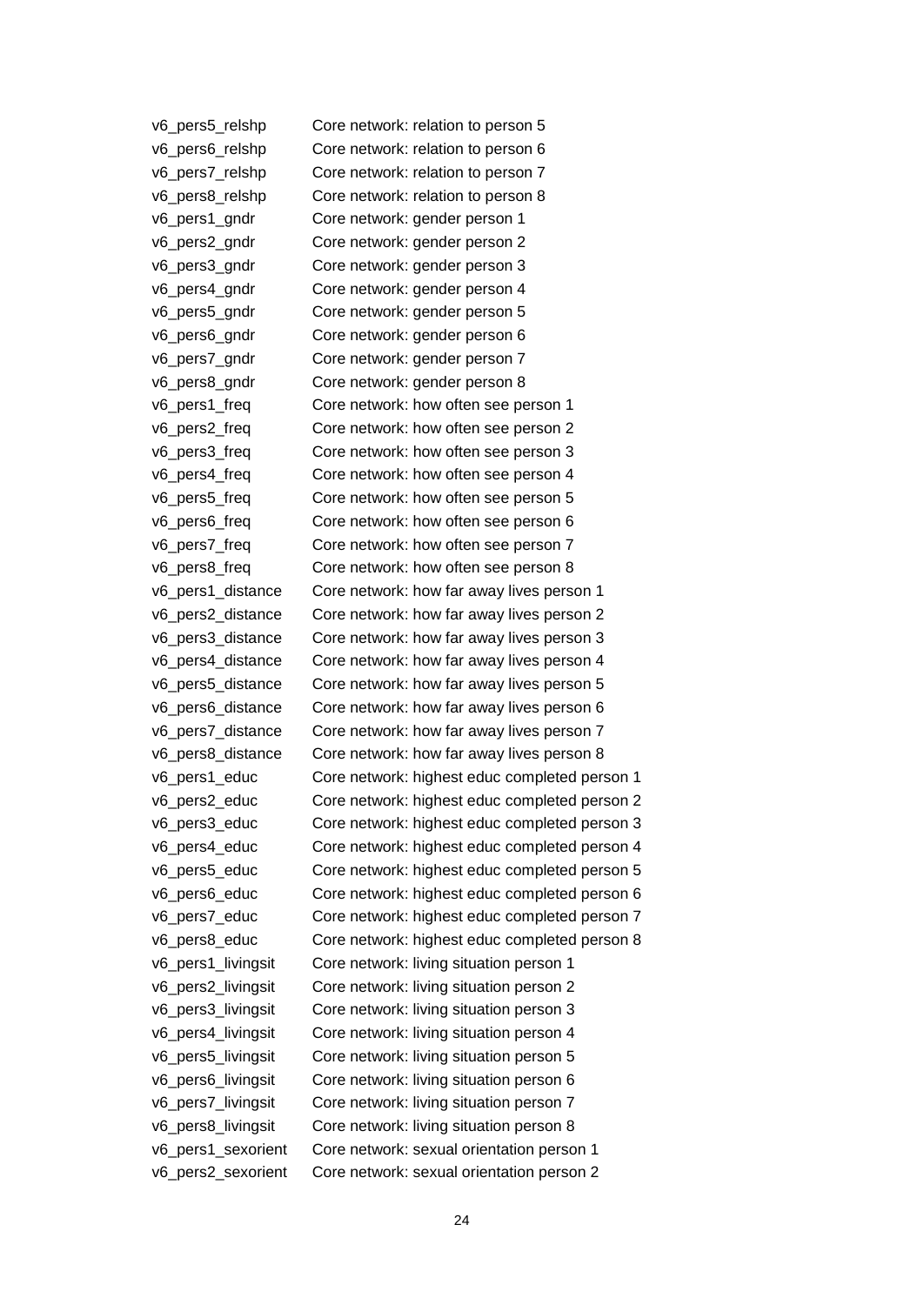| v6_pers5_relshp    | Core network: relation to person 5            |
|--------------------|-----------------------------------------------|
| v6_pers6_relshp    | Core network: relation to person 6            |
| v6_pers7_relshp    | Core network: relation to person 7            |
| v6_pers8_relshp    | Core network: relation to person 8            |
| v6_pers1_gndr      | Core network: gender person 1                 |
| v6_pers2_gndr      | Core network: gender person 2                 |
| v6_pers3_gndr      | Core network: gender person 3                 |
| v6_pers4_gndr      | Core network: gender person 4                 |
| v6_pers5_gndr      | Core network: gender person 5                 |
| v6_pers6_gndr      | Core network: gender person 6                 |
| v6_pers7_gndr      | Core network: gender person 7                 |
| v6_pers8_gndr      | Core network: gender person 8                 |
| v6_pers1_freq      | Core network: how often see person 1          |
| v6_pers2_freq      | Core network: how often see person 2          |
| v6_pers3_freq      | Core network: how often see person 3          |
| v6_pers4_freq      | Core network: how often see person 4          |
| v6_pers5_freq      | Core network: how often see person 5          |
| v6_pers6_freq      | Core network: how often see person 6          |
| v6_pers7_freq      | Core network: how often see person 7          |
| v6_pers8_freq      | Core network: how often see person 8          |
| v6_pers1_distance  | Core network: how far away lives person 1     |
| v6_pers2_distance  | Core network: how far away lives person 2     |
| v6_pers3_distance  | Core network: how far away lives person 3     |
| v6_pers4_distance  | Core network: how far away lives person 4     |
| v6_pers5_distance  | Core network: how far away lives person 5     |
| v6_pers6_distance  | Core network: how far away lives person 6     |
| v6_pers7_distance  | Core network: how far away lives person 7     |
| v6_pers8_distance  | Core network: how far away lives person 8     |
| v6_pers1_educ      | Core network: highest educ completed person 1 |
| v6_pers2_educ      | Core network: highest educ completed person 2 |
| v6_pers3_educ      | Core network: highest educ completed person 3 |
| v6_pers4_educ      | Core network: highest educ completed person 4 |
| v6_pers5_educ      | Core network: highest educ completed person 5 |
| v6_pers6_educ      | Core network: highest educ completed person 6 |
| v6_pers7_educ      | Core network: highest educ completed person 7 |
| v6_pers8_educ      | Core network: highest educ completed person 8 |
| v6_pers1_livingsit | Core network: living situation person 1       |
| v6_pers2_livingsit | Core network: living situation person 2       |
| v6_pers3_livingsit | Core network: living situation person 3       |
| v6_pers4_livingsit | Core network: living situation person 4       |
| v6_pers5_livingsit | Core network: living situation person 5       |
| v6_pers6_livingsit | Core network: living situation person 6       |
| v6_pers7_livingsit | Core network: living situation person 7       |
| v6_pers8_livingsit | Core network: living situation person 8       |
| v6_pers1_sexorient | Core network: sexual orientation person 1     |
| v6_pers2_sexorient | Core network: sexual orientation person 2     |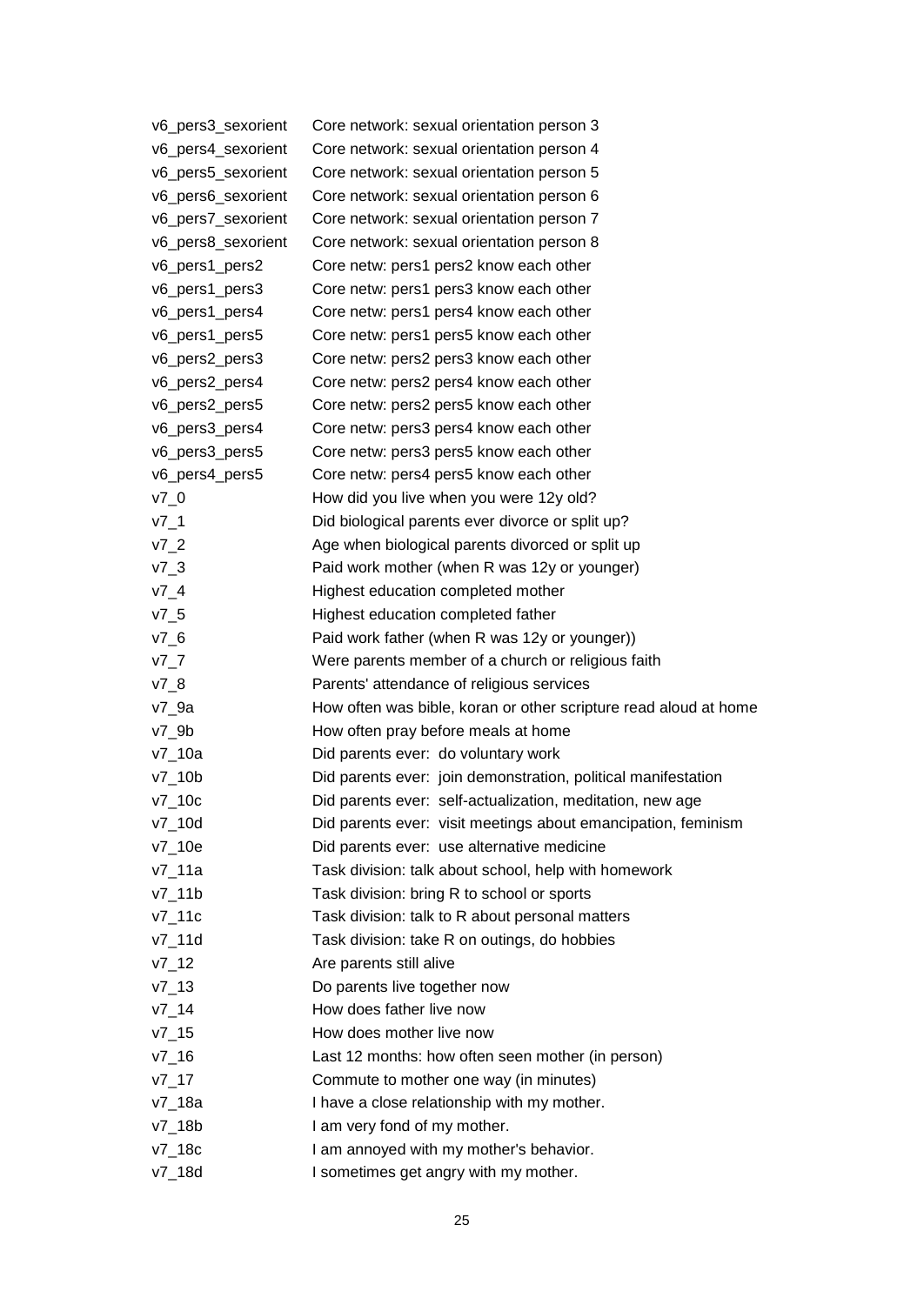| v6_pers3_sexorient | Core network: sexual orientation person 3                        |
|--------------------|------------------------------------------------------------------|
| v6_pers4_sexorient | Core network: sexual orientation person 4                        |
| v6_pers5_sexorient | Core network: sexual orientation person 5                        |
| v6_pers6_sexorient | Core network: sexual orientation person 6                        |
| v6_pers7_sexorient | Core network: sexual orientation person 7                        |
| v6_pers8_sexorient | Core network: sexual orientation person 8                        |
| v6_pers1_pers2     | Core netw: pers1 pers2 know each other                           |
| v6_pers1_pers3     | Core netw: pers1 pers3 know each other                           |
| v6_pers1_pers4     | Core netw: pers1 pers4 know each other                           |
| v6_pers1_pers5     | Core netw: pers1 pers5 know each other                           |
| v6_pers2_pers3     | Core netw: pers2 pers3 know each other                           |
| v6_pers2_pers4     | Core netw: pers2 pers4 know each other                           |
| v6_pers2_pers5     | Core netw: pers2 pers5 know each other                           |
| v6_pers3_pers4     | Core netw: pers3 pers4 know each other                           |
| v6_pers3_pers5     | Core netw: pers3 pers5 know each other                           |
| v6_pers4_pers5     | Core netw: pers4 pers5 know each other                           |
| $V7_0$             | How did you live when you were 12y old?                          |
| $v7_1$             | Did biological parents ever divorce or split up?                 |
| $v7_2$             | Age when biological parents divorced or split up                 |
| $v7_3$             | Paid work mother (when R was 12y or younger)                     |
| $v7_4$             | Highest education completed mother                               |
| $v7_5$             | Highest education completed father                               |
| $V7_6$             | Paid work father (when R was 12y or younger))                    |
| $V7-7$             | Were parents member of a church or religious faith               |
| $V7_8$             | Parents' attendance of religious services                        |
| $v7_9a$            | How often was bible, koran or other scripture read aloud at home |
| $v7_9b$            | How often pray before meals at home                              |
| $v7_10a$           | Did parents ever: do voluntary work                              |
| $v7_10b$           | Did parents ever: join demonstration, political manifestation    |
| $v7$ _10c          | Did parents ever: self-actualization, meditation, new age        |
| v7_10d             | Did parents ever: visit meetings about emancipation, feminism    |
| $v7_10e$           | Did parents ever: use alternative medicine                       |
| v7_11a             | Task division: talk about school, help with homework             |
| v7_11b             | Task division: bring R to school or sports                       |
| $v7_11c$           | Task division: talk to R about personal matters                  |
| v7_11d             | Task division: take R on outings, do hobbies                     |
| $V7_{12}$          | Are parents still alive                                          |
| $V7_{-}13$         | Do parents live together now                                     |
| $v7_{14}$          | How does father live now                                         |
| $v7_{15}$          | How does mother live now                                         |
| $v7_{16}$          | Last 12 months: how often seen mother (in person)                |
| $v7_{17}$          | Commute to mother one way (in minutes)                           |
| v7_18a             | I have a close relationship with my mother.                      |
| v7_18b             | I am very fond of my mother.                                     |
| v7_18c             | I am annoyed with my mother's behavior.                          |
| v7_18d             | I sometimes get angry with my mother.                            |
|                    |                                                                  |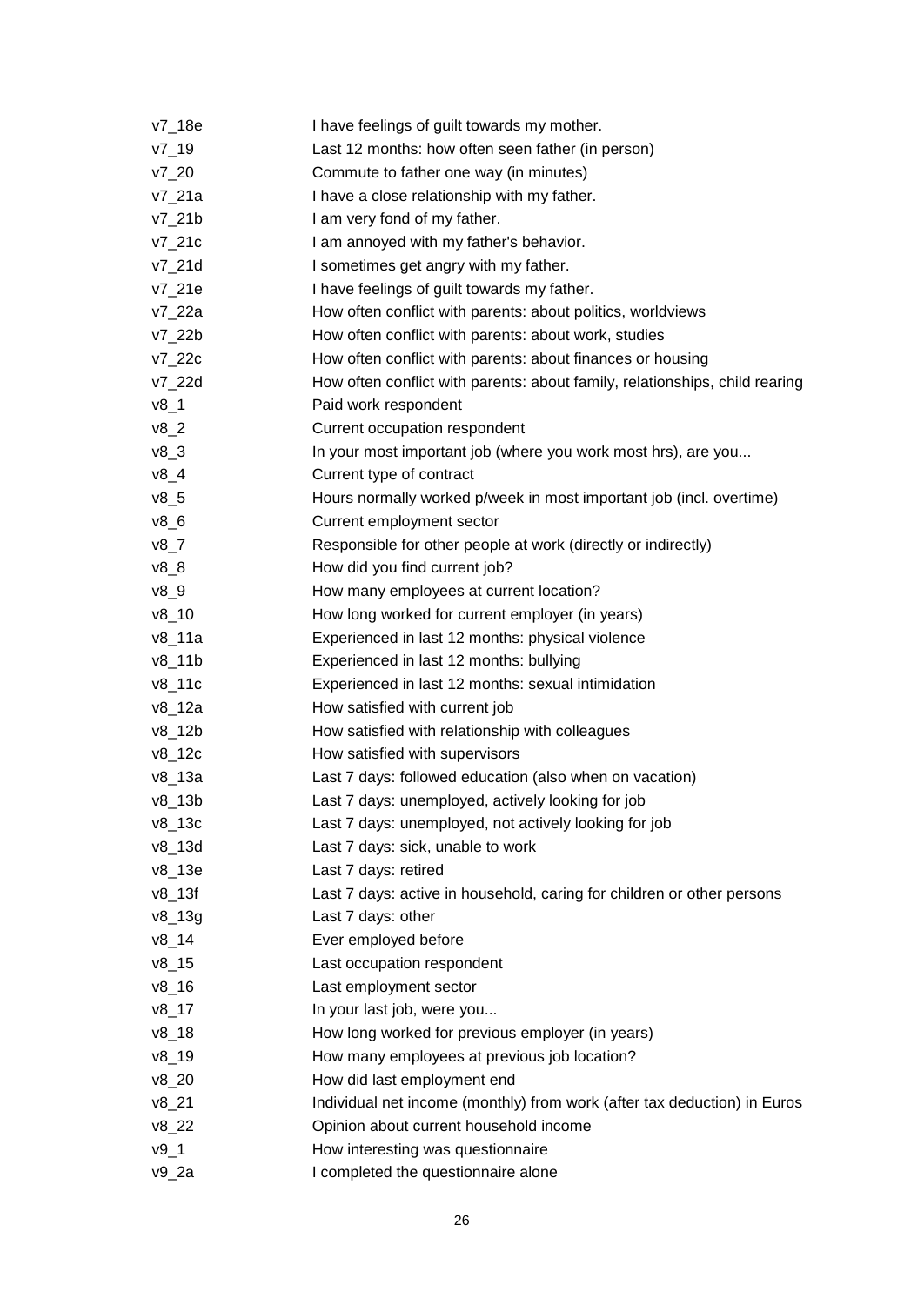| v7_18e       | I have feelings of guilt towards my mother.                                 |
|--------------|-----------------------------------------------------------------------------|
| $V7_{19}$    | Last 12 months: how often seen father (in person)                           |
| $V7_{20}$    | Commute to father one way (in minutes)                                      |
| v7_21a       | I have a close relationship with my father.                                 |
| $v7_21b$     | I am very fond of my father.                                                |
| $v7_2$ 1 $c$ | I am annoyed with my father's behavior.                                     |
| $v7_2$ 1d    | I sometimes get angry with my father.                                       |
| $v7_2$ 1e    | I have feelings of guilt towards my father.                                 |
| v7_22a       | How often conflict with parents: about politics, worldviews                 |
| $v7_22b$     | How often conflict with parents: about work, studies                        |
| v7_22c       | How often conflict with parents: about finances or housing                  |
| v7_22d       | How often conflict with parents: about family, relationships, child rearing |
| $v8_1$       | Paid work respondent                                                        |
| $v8_2$       | Current occupation respondent                                               |
| $v8_3$       | In your most important job (where you work most hrs), are you               |
| $v8_4$       | Current type of contract                                                    |
| $v8_5$       | Hours normally worked p/week in most important job (incl. overtime)         |
| $v8_6$       | Current employment sector                                                   |
| $v8_7$       | Responsible for other people at work (directly or indirectly)               |
| $v8_8$       | How did you find current job?                                               |
| $v8_9$       | How many employees at current location?                                     |
| $v8_{-}10$   | How long worked for current employer (in years)                             |
| v8_11a       | Experienced in last 12 months: physical violence                            |
| $v8$ _11b    | Experienced in last 12 months: bullying                                     |
| v8_11c       | Experienced in last 12 months: sexual intimidation                          |
| v8_12a       | How satisfied with current job                                              |
| $v8$ _12b    | How satisfied with relationship with colleagues                             |
| $v8$ _12 $c$ | How satisfied with supervisors                                              |
| $v8$ _13a    | Last 7 days: followed education (also when on vacation)                     |
| $v8$ _13b    | Last 7 days: unemployed, actively looking for job                           |
| $v8$ _13c    | Last 7 days: unemployed, not actively looking for job                       |
| $v8$ _13d    | Last 7 days: sick, unable to work                                           |
| v8_13e       | Last 7 days: retired                                                        |
| $v8$ _13f    | Last 7 days: active in household, caring for children or other persons      |
| $v8_{139}$   | Last 7 days: other                                                          |
| $v8_14$      | Ever employed before                                                        |
| $v8_{15}$    | Last occupation respondent                                                  |
| $v8_{-}16$   | Last employment sector                                                      |
| $v8_{17}$    | In your last job, were you                                                  |
| $v8_{18}$    | How long worked for previous employer (in years)                            |
| $v8_19$      | How many employees at previous job location?                                |
| $v8_20$      | How did last employment end                                                 |
| $v8_{21}$    | Individual net income (monthly) from work (after tax deduction) in Euros    |
| $v8_22$      | Opinion about current household income                                      |
| $v9_1$       | How interesting was questionnaire                                           |
| $v9_2a$      | I completed the questionnaire alone                                         |
|              |                                                                             |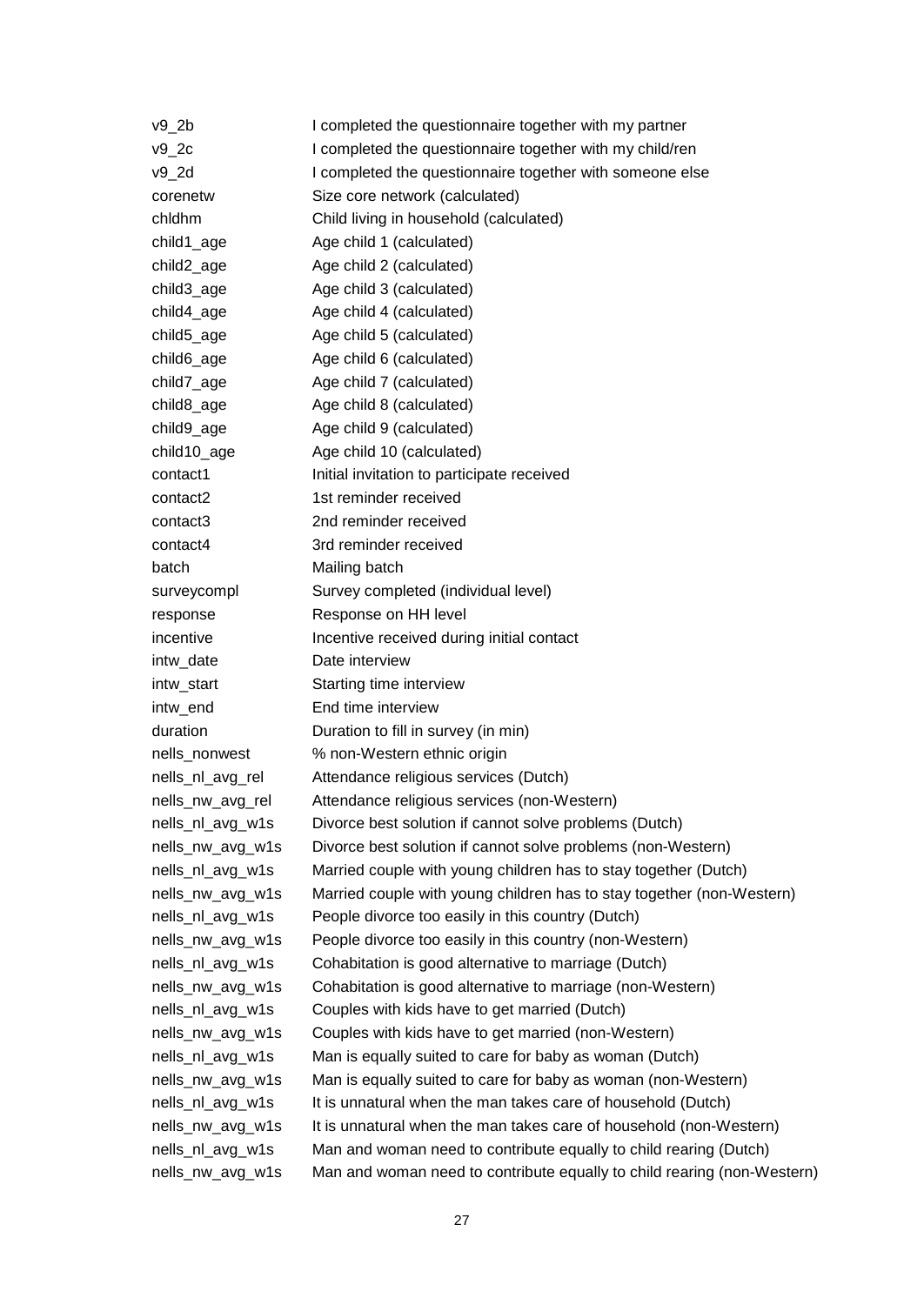| v9_2b            | I completed the questionnaire together with my partner                  |
|------------------|-------------------------------------------------------------------------|
| v9_2c            | I completed the questionnaire together with my child/ren                |
| v9_2d            | I completed the questionnaire together with someone else                |
| corenetw         | Size core network (calculated)                                          |
| chidhm           | Child living in household (calculated)                                  |
| child1_age       | Age child 1 (calculated)                                                |
| child2_age       | Age child 2 (calculated)                                                |
| child3_age       | Age child 3 (calculated)                                                |
| child4_age       | Age child 4 (calculated)                                                |
| child5_age       | Age child 5 (calculated)                                                |
| child6_age       | Age child 6 (calculated)                                                |
| child7_age       | Age child 7 (calculated)                                                |
| child8_age       | Age child 8 (calculated)                                                |
| child9_age       | Age child 9 (calculated)                                                |
| child10_age      | Age child 10 (calculated)                                               |
| contact1         | Initial invitation to participate received                              |
| contact2         | 1st reminder received                                                   |
| contact3         | 2nd reminder received                                                   |
| contact4         | 3rd reminder received                                                   |
| batch            | Mailing batch                                                           |
| surveycompl      | Survey completed (individual level)                                     |
| response         | Response on HH level                                                    |
| incentive        | Incentive received during initial contact                               |
| intw_date        | Date interview                                                          |
| intw_start       | Starting time interview                                                 |
| intw_end         | End time interview                                                      |
| duration         | Duration to fill in survey (in min)                                     |
| nells_nonwest    | % non-Western ethnic origin                                             |
| nells_nl_avg_rel | Attendance religious services (Dutch)                                   |
| nells_nw_avg_rel | Attendance religious services (non-Western)                             |
| nells_nl_avg_w1s | Divorce best solution if cannot solve problems (Dutch)                  |
| nells_nw_avg_w1s | Divorce best solution if cannot solve problems (non-Western)            |
| nells_nl_avg_w1s | Married couple with young children has to stay together (Dutch)         |
| nells_nw_avg_w1s | Married couple with young children has to stay together (non-Western)   |
| nells_nl_avg_w1s | People divorce too easily in this country (Dutch)                       |
| nells_nw_avg_w1s | People divorce too easily in this country (non-Western)                 |
| nells_nl_avg_w1s | Cohabitation is good alternative to marriage (Dutch)                    |
| nells_nw_avg_w1s | Cohabitation is good alternative to marriage (non-Western)              |
| nells_nl_avg_w1s | Couples with kids have to get married (Dutch)                           |
| nells_nw_avg_w1s | Couples with kids have to get married (non-Western)                     |
| nells_nl_avg_w1s | Man is equally suited to care for baby as woman (Dutch)                 |
| nells_nw_avg_w1s | Man is equally suited to care for baby as woman (non-Western)           |
| nells_nl_avg_w1s | It is unnatural when the man takes care of household (Dutch)            |
| nells_nw_avg_w1s | It is unnatural when the man takes care of household (non-Western)      |
| nells_nl_avg_w1s | Man and woman need to contribute equally to child rearing (Dutch)       |
| nells_nw_avg_w1s | Man and woman need to contribute equally to child rearing (non-Western) |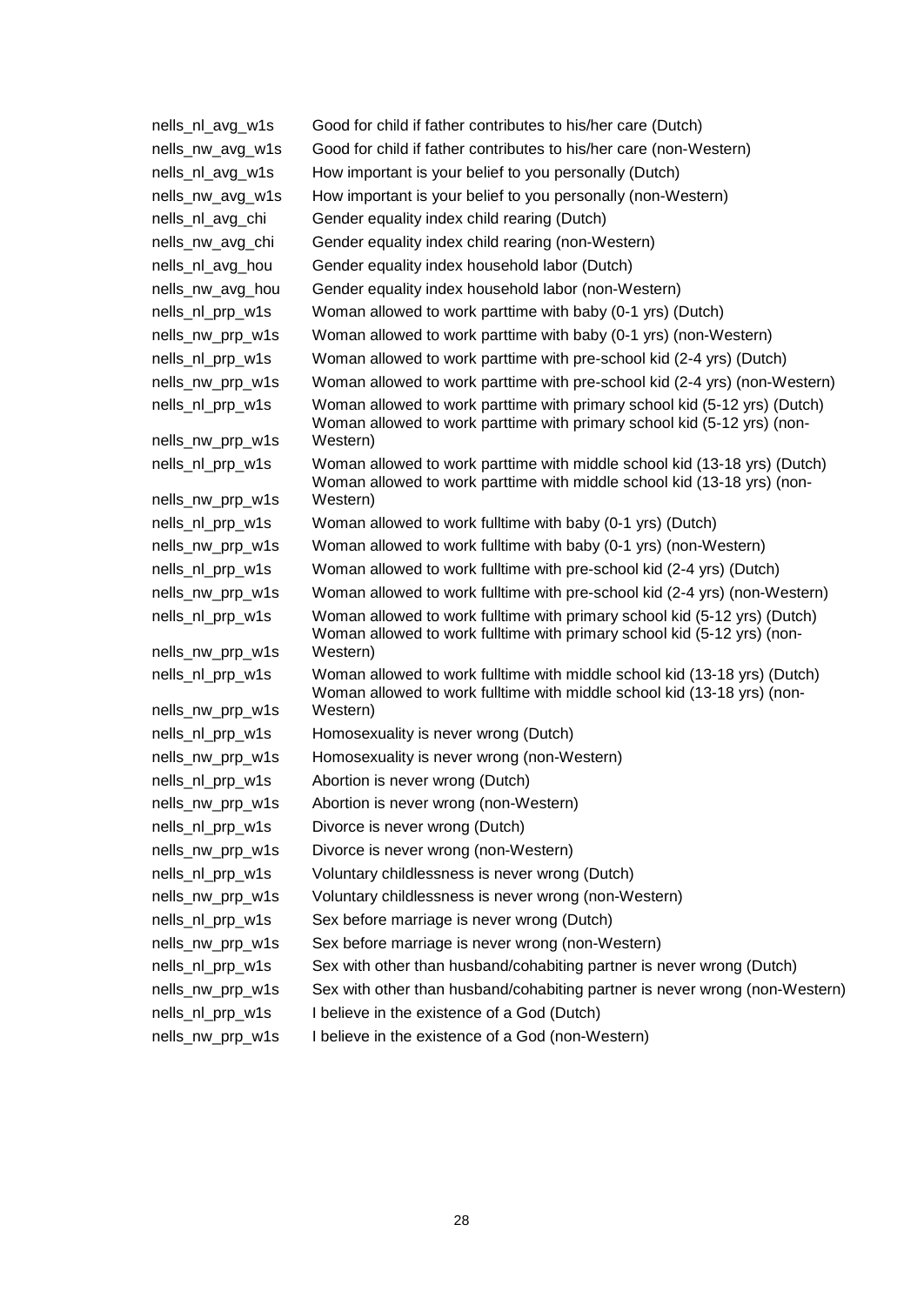| nells_nl_avg_w1s                     | Good for child if father contributes to his/her care (Dutch)                                                                                                     |
|--------------------------------------|------------------------------------------------------------------------------------------------------------------------------------------------------------------|
| nells_nw_avg_w1s                     | Good for child if father contributes to his/her care (non-Western)                                                                                               |
| nells_nl_avg_w1s                     | How important is your belief to you personally (Dutch)                                                                                                           |
| nells_nw_avg_w1s                     | How important is your belief to you personally (non-Western)                                                                                                     |
| nells_nl_avg_chi                     | Gender equality index child rearing (Dutch)                                                                                                                      |
| nells_nw_avg_chi                     | Gender equality index child rearing (non-Western)                                                                                                                |
| nells_nl_avg_hou                     | Gender equality index household labor (Dutch)                                                                                                                    |
| nells_nw_avg_hou                     | Gender equality index household labor (non-Western)                                                                                                              |
| nells_nl_prp_w1s                     | Woman allowed to work parttime with baby (0-1 yrs) (Dutch)                                                                                                       |
| nells_nw_prp_w1s                     | Woman allowed to work parttime with baby (0-1 yrs) (non-Western)                                                                                                 |
| nells_nl_prp_w1s                     | Woman allowed to work parttime with pre-school kid (2-4 yrs) (Dutch)                                                                                             |
| nells_nw_prp_w1s                     | Woman allowed to work parttime with pre-school kid (2-4 yrs) (non-Western)                                                                                       |
| nells_nl_prp_w1s                     | Woman allowed to work parttime with primary school kid (5-12 yrs) (Dutch)<br>Woman allowed to work parttime with primary school kid (5-12 yrs) (non-             |
| nells_nw_prp_w1s                     | Western)                                                                                                                                                         |
| nells_nl_prp_w1s<br>nells_nw_prp_w1s | Woman allowed to work parttime with middle school kid (13-18 yrs) (Dutch)<br>Woman allowed to work parttime with middle school kid (13-18 yrs) (non-<br>Western) |
| nells_nl_prp_w1s                     | Woman allowed to work fulltime with baby (0-1 yrs) (Dutch)                                                                                                       |
| nells_nw_prp_w1s                     | Woman allowed to work fulltime with baby (0-1 yrs) (non-Western)                                                                                                 |
| nells_nl_prp_w1s                     | Woman allowed to work fulltime with pre-school kid (2-4 yrs) (Dutch)                                                                                             |
| nells_nw_prp_w1s                     | Woman allowed to work fulltime with pre-school kid (2-4 yrs) (non-Western)                                                                                       |
| nells_nl_prp_w1s                     | Woman allowed to work fulltime with primary school kid (5-12 yrs) (Dutch)<br>Woman allowed to work fulltime with primary school kid (5-12 yrs) (non-             |
| nells_nw_prp_w1s                     | Western)                                                                                                                                                         |
| nells_nl_prp_w1s                     | Woman allowed to work fulltime with middle school kid (13-18 yrs) (Dutch)<br>Woman allowed to work fulltime with middle school kid (13-18 yrs) (non-             |
| nells_nw_prp_w1s                     | Western)                                                                                                                                                         |
| nells_nl_prp_w1s                     | Homosexuality is never wrong (Dutch)                                                                                                                             |
| nells_nw_prp_w1s                     | Homosexuality is never wrong (non-Western)                                                                                                                       |
| nells_nl_prp_w1s                     | Abortion is never wrong (Dutch)                                                                                                                                  |
| nells_nw_prp_w1s                     | Abortion is never wrong (non-Western)                                                                                                                            |
| nells_nl_prp_w1s                     | Divorce is never wrong (Dutch)                                                                                                                                   |
| nells_nw_prp_w1s                     | Divorce is never wrong (non-Western)                                                                                                                             |
| nells_nl_prp_w1s                     | Voluntary childlessness is never wrong (Dutch)                                                                                                                   |
| nells_nw_prp_w1s                     | Voluntary childlessness is never wrong (non-Western)                                                                                                             |
| nells_nl_prp_w1s                     | Sex before marriage is never wrong (Dutch)                                                                                                                       |
| nells_nw_prp_w1s                     | Sex before marriage is never wrong (non-Western)                                                                                                                 |
| nells_nl_prp_w1s                     | Sex with other than husband/cohabiting partner is never wrong (Dutch)                                                                                            |
| nells_nw_prp_w1s                     | Sex with other than husband/cohabiting partner is never wrong (non-Western)                                                                                      |
| nells_nl_prp_w1s                     | I believe in the existence of a God (Dutch)                                                                                                                      |
|                                      |                                                                                                                                                                  |

nells\_nw\_prp\_w1s I believe in the existence of a God (non-Western)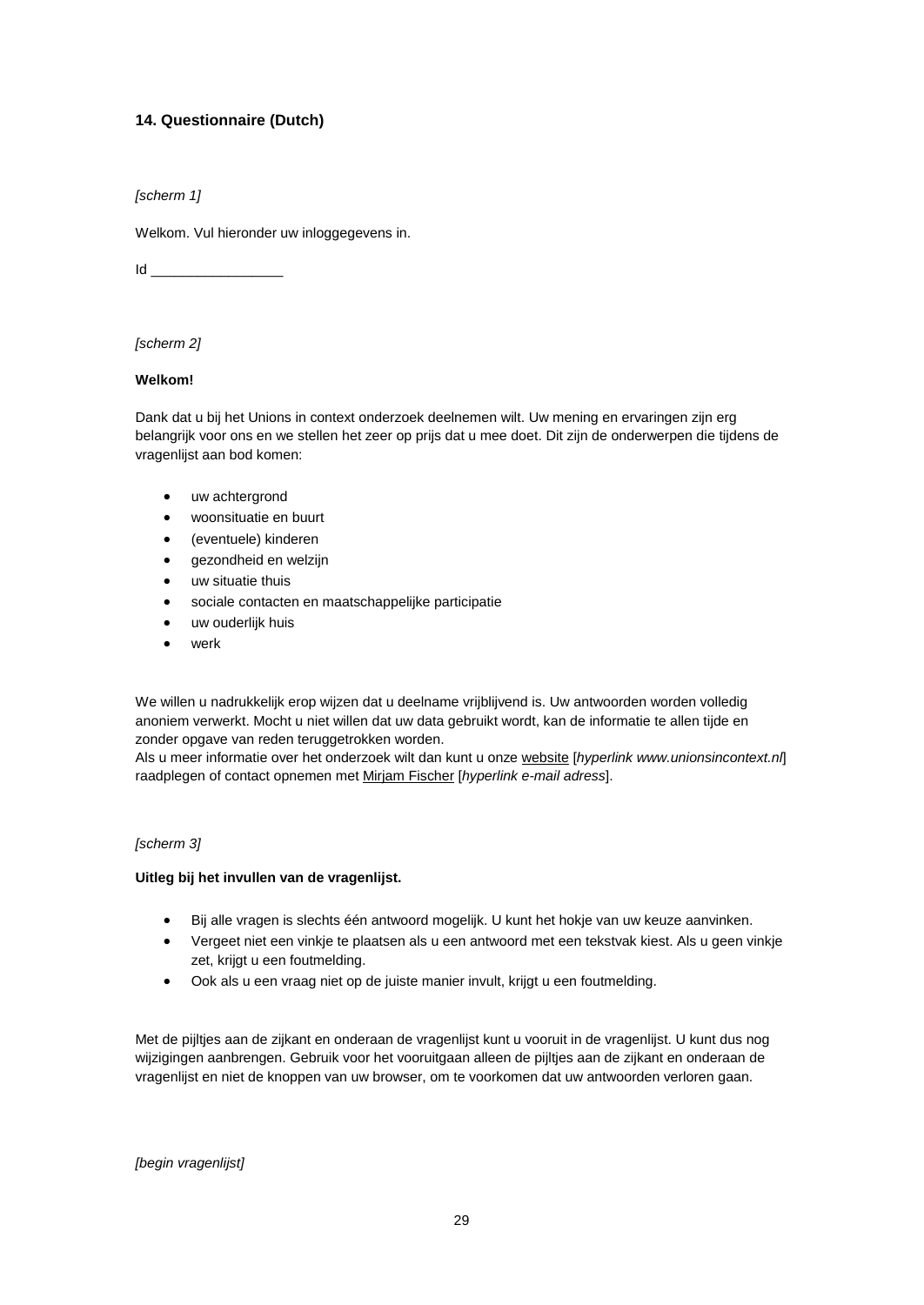# **14. Questionnaire (Dutch)**

*[scherm 1]*

Welkom. Vul hieronder uw inloggegevens in.

 $Id$ 

#### *[scherm 2]*

#### **Welkom!**

Dank dat u bij het Unions in context onderzoek deelnemen wilt. Uw mening en ervaringen zijn erg belangrijk voor ons en we stellen het zeer op prijs dat u mee doet. Dit zijn de onderwerpen die tijdens de vragenlijst aan bod komen:

- uw achtergrond
- woonsituatie en buurt
- (eventuele) kinderen
- gezondheid en welzijn
- uw situatie thuis
- sociale contacten en maatschappelijke participatie
- uw ouderlijk huis
- werk

We willen u nadrukkelijk erop wijzen dat u deelname vrijblijvend is. Uw antwoorden worden volledig anoniem verwerkt. Mocht u niet willen dat uw data gebruikt wordt, kan de informatie te allen tijde en zonder opgave van reden teruggetrokken worden.

Als u meer informatie over het onderzoek wilt dan kunt u onze [website](http://www.unionsincontext.nl/) [*hyperlink www.unionsincontext.nl*] raadplegen of contact opnemen met [Mirjam Fischer](mailto:m.m.fischer@unionsincontext.nl?subject=Reactie%20n.a.v.%20het%20onderzoek%20unions%20in%20context) [*hyperlink e-mail adress*].

#### *[scherm 3]*

#### **Uitleg bij het invullen van de vragenlijst.**

- Bij alle vragen is slechts één antwoord mogelijk. U kunt het hokje van uw keuze aanvinken.
- Vergeet niet een vinkje te plaatsen als u een antwoord met een tekstvak kiest. Als u geen vinkje zet, krijgt u een foutmelding.
- Ook als u een vraag niet op de juiste manier invult, krijgt u een foutmelding.

Met de pijltjes aan de zijkant en onderaan de vragenlijst kunt u vooruit in de vragenlijst. U kunt dus nog wijzigingen aanbrengen. Gebruik voor het vooruitgaan alleen de pijltjes aan de zijkant en onderaan de vragenlijst en niet de knoppen van uw browser, om te voorkomen dat uw antwoorden verloren gaan.

*[begin vragenlijst]*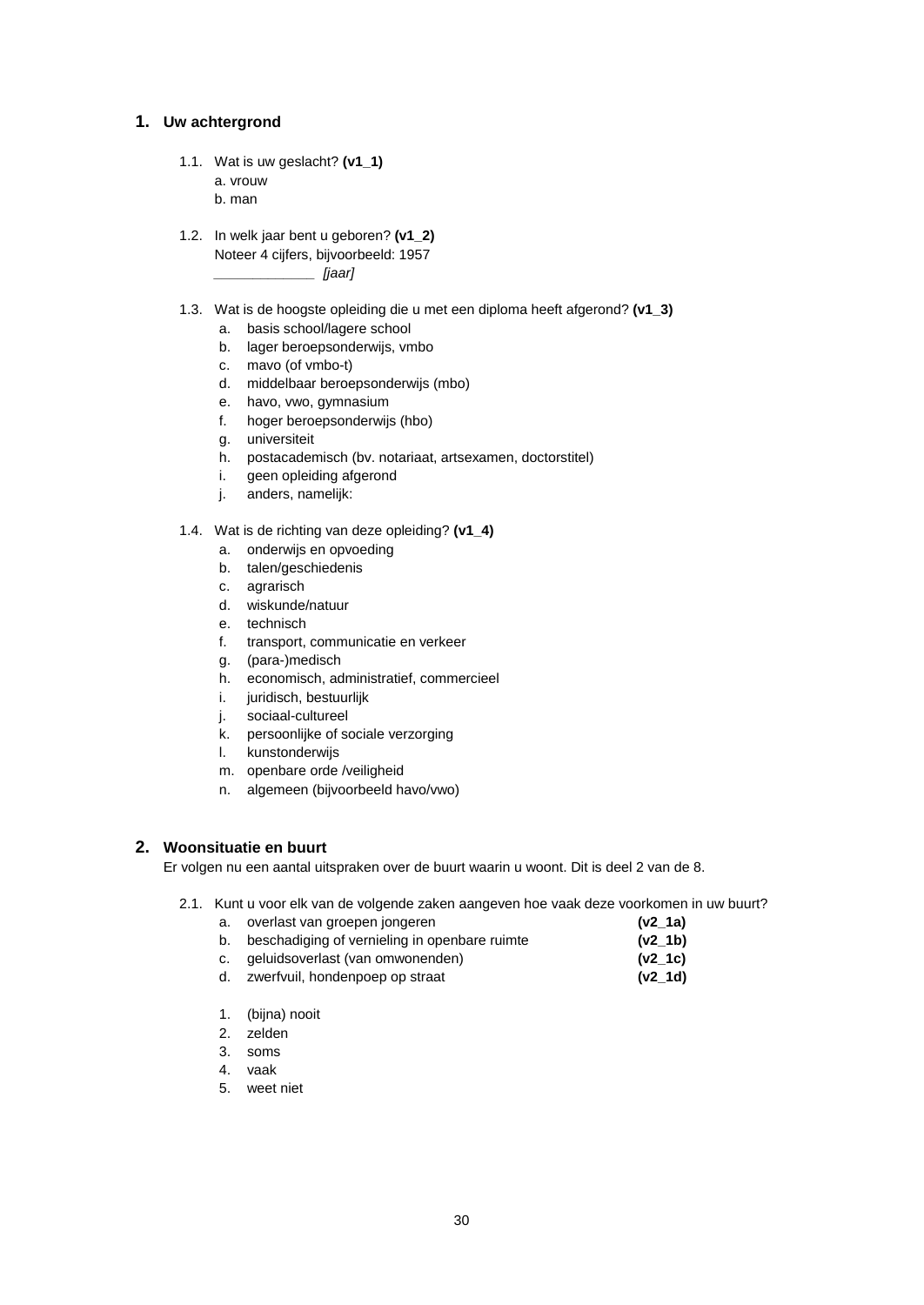#### **1. Uw achtergrond**

1.1. Wat is uw geslacht? **(v1\_1)** a. vrouw

b. man

- 1.2. In welk jaar bent u geboren? **(v1\_2)** Noteer 4 cijfers, bijvoorbeeld: 1957 *\_\_\_\_\_\_\_\_\_\_\_\_\_ [jaar]*
- 1.3. Wat is de hoogste opleiding die u met een diploma heeft afgerond? **(v1\_3)**
	- a. basis school/lagere school
	- b. lager beroepsonderwijs, vmbo
	- c. mavo (of vmbo-t)
	- d. middelbaar beroepsonderwijs (mbo)
	- e. havo, vwo, gymnasium
	- f. hoger beroepsonderwijs (hbo)
	- g. universiteit
	- h. postacademisch (bv. notariaat, artsexamen, doctorstitel)
	- i. geen opleiding afgerond
	- j. anders, namelijk:

1.4. Wat is de richting van deze opleiding? **(v1\_4)**

- a. onderwijs en opvoeding
- b. talen/geschiedenis
- c. agrarisch
- d. wiskunde/natuur
- e. technisch
- f. transport, communicatie en verkeer
- g. (para-)medisch
- h. economisch, administratief, commercieel
- i. juridisch, bestuurlijk
- j. sociaal-cultureel
- k. persoonlijke of sociale verzorging
- l. kunstonderwijs
- m. openbare orde /veiligheid
- n. algemeen (bijvoorbeeld havo/vwo)

# **2. Woonsituatie en buurt**

Er volgen nu een aantal uitspraken over de buurt waarin u woont. Dit is deel 2 van de 8.

| а. | overlast van groepen jongeren                 | $(v2_1a)$ |
|----|-----------------------------------------------|-----------|
| b. | beschadiging of vernieling in openbare ruimte | $(v2_1b)$ |
|    | c. geluidsoverlast (van omwonenden)           | $(v2_1c)$ |
|    | d. zwerfvuil, hondenpoep op straat            | $(v2_1d)$ |

- 1. (bijna) nooit
- 2. zelden
- 3. soms
- 4. vaak
- 5. weet niet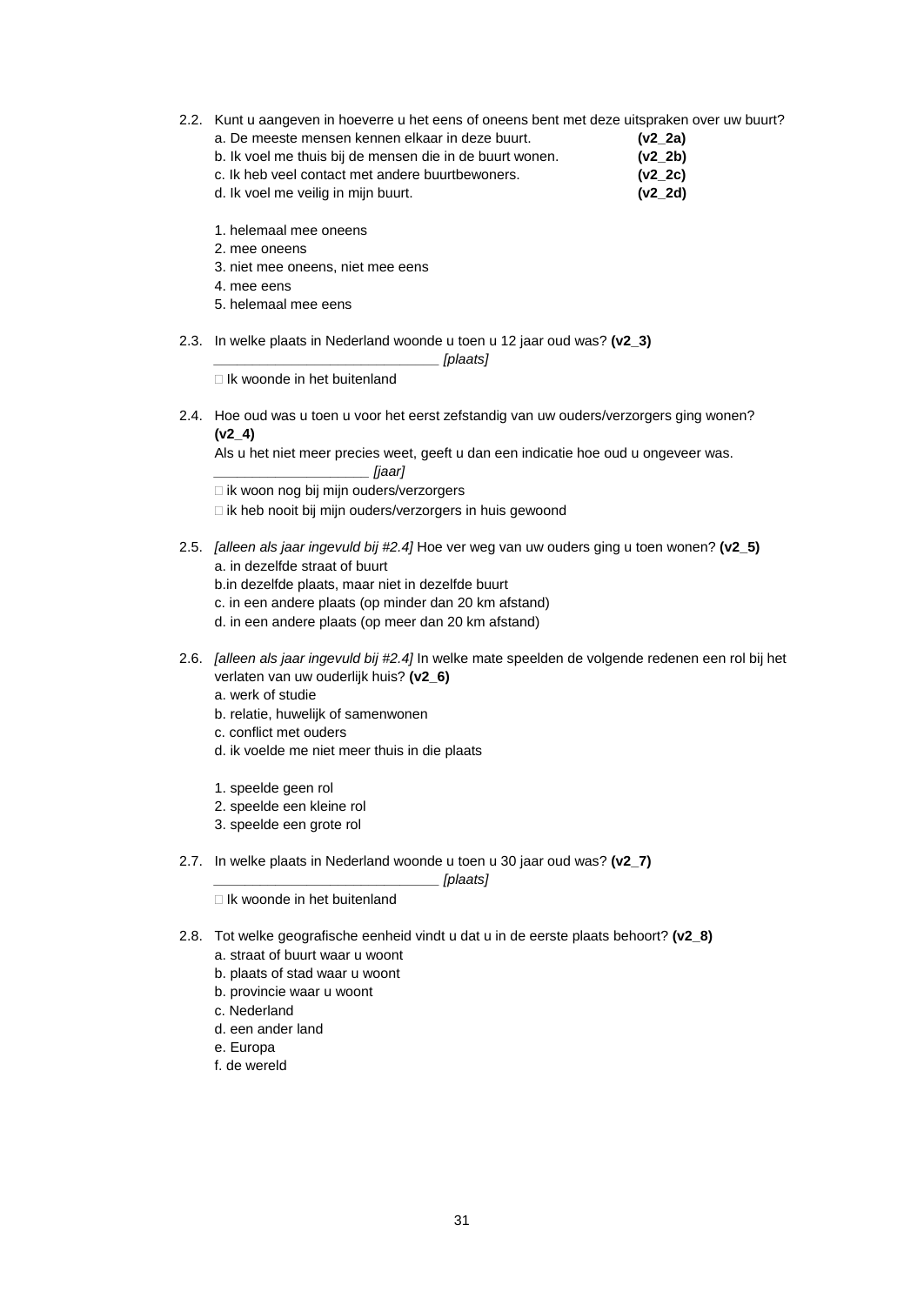2.2. Kunt u aangeven in hoeverre u het eens of oneens bent met deze uitspraken over uw buurt?

| a. De meeste mensen kennen elkaar in deze buurt.         | (v2 2a) |
|----------------------------------------------------------|---------|
| b. Ik voel me thuis bij de mensen die in de buurt wonen. | (v2 2b) |
| c. Ik heb veel contact met andere buurtbewoners.         | (v2 2c) |
| d. Ik voel me veilig in mijn buurt.                      | (v2 2d) |

- 1. helemaal mee oneens
- 2. mee oneens
- 3. niet mee oneens, niet mee eens
- 4. mee eens
- 5. helemaal mee eens
- 2.3. In welke plaats in Nederland woonde u toen u 12 jaar oud was? **(v2\_3)**

*\_\_\_\_\_\_\_\_\_\_\_\_\_\_\_\_\_\_\_\_\_\_\_\_\_\_\_\_\_ [plaats]*

 $\Box$  Ik woonde in het buitenland

2.4. Hoe oud was u toen u voor het eerst zefstandig van uw ouders/verzorgers ging wonen? **(v2\_4)**

Als u het niet meer precies weet, geeft u dan een indicatie hoe oud u ongeveer was.

*\_\_\_\_\_\_\_\_\_\_\_\_\_\_\_\_\_\_\_\_ [jaar]*

- $\Box$  ik woon nog bij mijn ouders/verzorgers
- □ ik heb nooit bij mijn ouders/verzorgers in huis gewoond
- 2.5. *[alleen als jaar ingevuld bij #2.4]* Hoe ver weg van uw ouders ging u toen wonen? **(v2\_5)** a. in dezelfde straat of buurt
	- b.in dezelfde plaats, maar niet in dezelfde buurt
	- c. in een andere plaats (op minder dan 20 km afstand)
	- d. in een andere plaats (op meer dan 20 km afstand)
- 2.6. *[alleen als jaar ingevuld bij #2.4]* In welke mate speelden de volgende redenen een rol bij het verlaten van uw ouderlijk huis? **(v2\_6)**
	- a. werk of studie
	- b. relatie, huwelijk of samenwonen
	- c. conflict met ouders
	- d. ik voelde me niet meer thuis in die plaats
	- 1. speelde geen rol
	- 2. speelde een kleine rol
	- 3. speelde een grote rol
- 2.7. In welke plaats in Nederland woonde u toen u 30 jaar oud was? **(v2\_7)**

*\_\_\_\_\_\_\_\_\_\_\_\_\_\_\_\_\_\_\_\_\_\_\_\_\_\_\_\_\_ [plaats]*

- $\Box$  Ik woonde in het buitenland
- 2.8. Tot welke geografische eenheid vindt u dat u in de eerste plaats behoort? **(v2\_8)**
	- a. straat of buurt waar u woont
	- b. plaats of stad waar u woont
	- b. provincie waar u woont
	- c. Nederland
	- d. een ander land
	- e. Europa
	- f. de wereld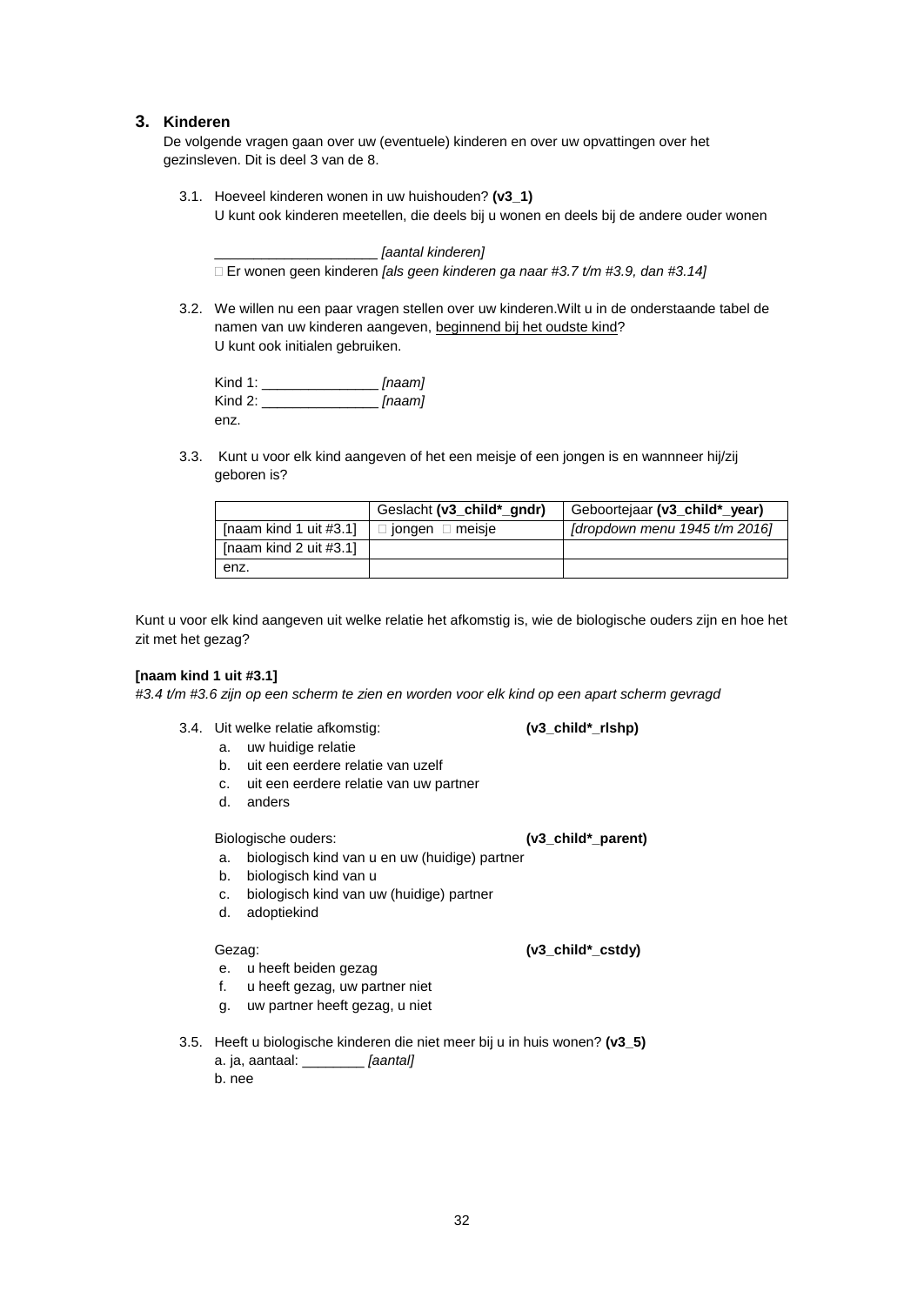# **3. Kinderen**

De volgende vragen gaan over uw (eventuele) kinderen en over uw opvattingen over het gezinsleven. Dit is deel 3 van de 8.

3.1. Hoeveel kinderen wonen in uw huishouden? **(v3\_1)** U kunt ook kinderen meetellen, die deels bij u wonen en deels bij de andere ouder wonen

\_\_\_\_\_\_\_\_\_\_\_\_\_\_\_\_\_\_\_\_\_ *[aantal kinderen]* Er wonen geen kinderen *[als geen kinderen ga naar #3.7 t/m #3.9, dan #3.14]*

3.2. We willen nu een paar vragen stellen over uw kinderen.Wilt u in de onderstaande tabel de namen van uw kinderen aangeven, beginnend bij het oudste kind? U kunt ook initialen gebruiken.

Kind 1: \_\_\_\_\_\_\_\_\_\_\_\_\_\_\_ *[naam]* Kind 2: \_\_\_\_\_\_\_\_\_\_\_\_\_\_\_ *[naam]* enz.

3.3. Kunt u voor elk kind aangeven of het een meisje of een jongen is en wannneer hij/zij geboren is?

|                           | Geslacht (v3_child*_gndr)   | Geboortejaar (v3 child* year)   |
|---------------------------|-----------------------------|---------------------------------|
| [naam kind 1 uit $#3.1$ ] | $\Box$ jongen $\Box$ meisje | [dropdown menu $1945$ t/m 2016] |
| [naam kind 2 uit $#3.1$ ] |                             |                                 |
| enz.                      |                             |                                 |

Kunt u voor elk kind aangeven uit welke relatie het afkomstig is, wie de biologische ouders zijn en hoe het zit met het gezag?

#### **[naam kind 1 uit #3.1]**

*#3.4 t/m #3.6 zijn op een scherm te zien en worden voor elk kind op een apart scherm gevragd*

3.4. Uit welke relatie afkomstig: **(v3\_child\*\_rlshp)**

- a. uw huidige relatie
	- b. uit een eerdere relatie van uzelf
	- c. uit een eerdere relatie van uw partner
	- d. anders

Biologische ouders: **(v3\_child\*\_parent)**

- a. biologisch kind van u en uw (huidige) partner
- b. biologisch kind van u
- c. biologisch kind van uw (huidige) partner
- d. adoptiekind

Gezag: **(v3\_child\*\_cstdy)**

- e. u heeft beiden gezag
- f. u heeft gezag, uw partner niet
- g. uw partner heeft gezag, u niet
- 3.5. Heeft u biologische kinderen die niet meer bij u in huis wonen? **(v3\_5)**

a. ja, aantaal: \_\_\_\_\_\_\_\_ *[aantal]* b. nee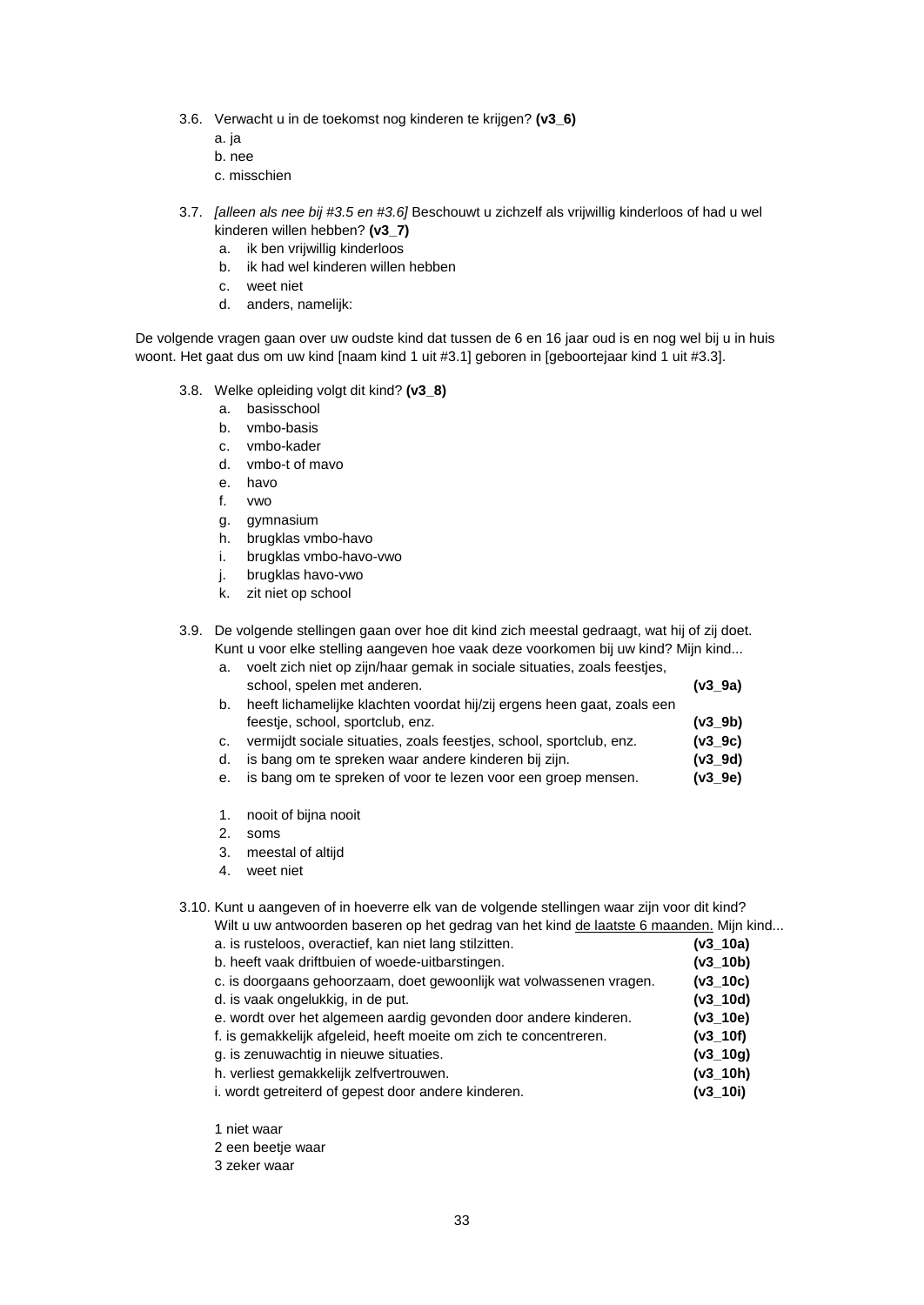- 3.6. Verwacht u in de toekomst nog kinderen te krijgen? **(v3\_6)**
	- a. ja
	- b. nee
	- c. misschien
- 3.7. *[alleen als nee bij #3.5 en #3.6]* Beschouwt u zichzelf als vrijwillig kinderloos of had u wel kinderen willen hebben? **(v3\_7)**
	- a. ik ben vrijwillig kinderloos
	- b. ik had wel kinderen willen hebben
	- c. weet niet
	- d. anders, namelijk:

De volgende vragen gaan over uw oudste kind dat tussen de 6 en 16 jaar oud is en nog wel bij u in huis woont. Het gaat dus om uw kind [naam kind 1 uit #3.1] geboren in [geboortejaar kind 1 uit #3.3].

- 3.8. Welke opleiding volgt dit kind? **(v3\_8)**
	- a. basisschool
	- b. vmbo-basis
	- c. vmbo-kader
	- d. vmbo-t of mavo
	- e. havo
	- f. vwo
	- g. gymnasium
	- h. brugklas vmbo-havo
	- i. brugklas vmbo-havo-vwo
	- j. brugklas havo-vwo
	- k. zit niet op school

#### 3.9. De volgende stellingen gaan over hoe dit kind zich meestal gedraagt, wat hij of zij doet. Kunt u voor elke stelling aangeven hoe vaak deze voorkomen bij uw kind? Mijn kind...

|  | a. voelt zich niet op zijn/haar gemak in sociale situaties, zoals feestjes, |  |
|--|-----------------------------------------------------------------------------|--|
|--|-----------------------------------------------------------------------------|--|

| school, spelen met anderen.                                             | (v3 9a) |
|-------------------------------------------------------------------------|---------|
| heeft lichamelijke klachten voordat hij/zij ergens heen gaat, zoals een |         |
| feestie, school, sportclub, enz.                                        | (v3 9b) |
| vermijdt sociale situaties, zoals feestjes, school, sportclub, enz.     | (v39c)  |

- d. is bang om te spreken waar andere kinderen bij zijn. **(v3\_9d)**
- e. is bang om te spreken of voor te lezen voor een groep mensen. **(v3\_9e)**
- 1. nooit of bijna nooit
- 2. soms
- 3. meestal of altijd
- 4. weet niet

3.10. Kunt u aangeven of in hoeverre elk van de volgende stellingen waar zijn voor dit kind?

Wilt u uw antwoorden baseren op het gedrag van het kind de laatste 6 maanden. Mijn kind...

- a. is rusteloos, overactief, kan niet lang stilzitten. **(v3\_10a)** b. heeft vaak driftbuien of woede-uitbarstingen. **(v3\_10b)** c. is doorgaans gehoorzaam, doet gewoonlijk wat volwassenen vragen. **(v3\_10c)** d. is vaak ongelukkig, in de put. **(v3\_10d)** e. wordt over het algemeen aardig gevonden door andere kinderen. **(v3\_10e)** f. is gemakkelijk afgeleid, heeft moeite om zich te concentreren. **(v3\_10f)** g. is zenuwachtig in nieuwe situaties. **(v3\_10g)** h. verliest gemakkelijk zelfvertrouwen. **(v3\_10h)** i. wordt getreiterd of gepest door andere kinderen. **(v3\_10i)**
- 1 niet waar
- 2 een beetje waar
- 3 zeker waar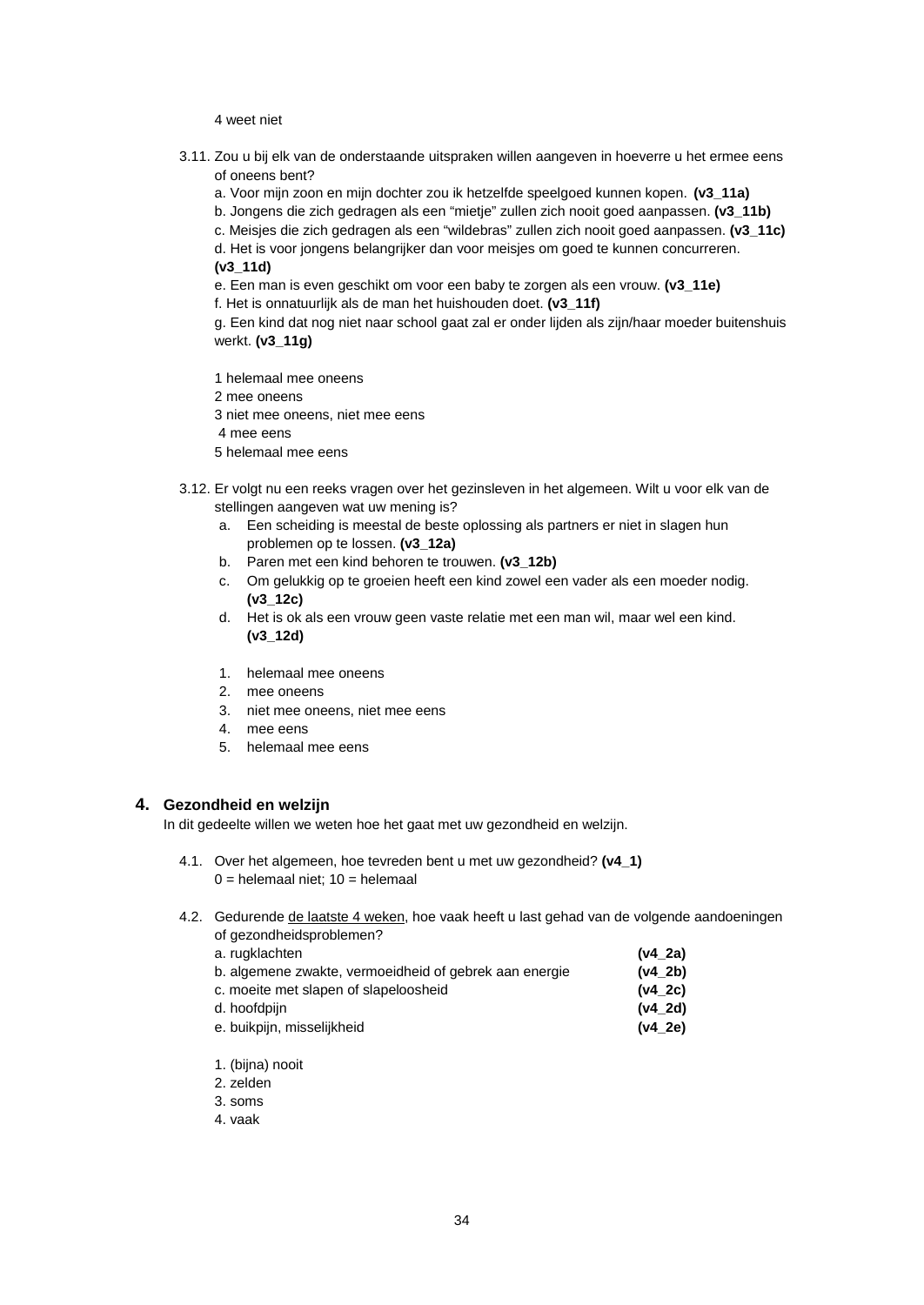#### 4 weet niet

- 3.11. Zou u bij elk van de onderstaande uitspraken willen aangeven in hoeverre u het ermee eens of oneens bent?
	- a. Voor mijn zoon en mijn dochter zou ik hetzelfde speelgoed kunnen kopen. **(v3\_11a)**
	- b. Jongens die zich gedragen als een "mietje" zullen zich nooit goed aanpassen. **(v3\_11b)**
	- c. Meisjes die zich gedragen als een "wildebras" zullen zich nooit goed aanpassen. **(v3\_11c)**
	- d. Het is voor jongens belangrijker dan voor meisjes om goed te kunnen concurreren. **(v3\_11d)**
	- e. Een man is even geschikt om voor een baby te zorgen als een vrouw. **(v3\_11e)**
	- f. Het is onnatuurlijk als de man het huishouden doet. **(v3\_11f)**

g. Een kind dat nog niet naar school gaat zal er onder lijden als zijn/haar moeder buitenshuis werkt. **(v3\_11g)**

1 helemaal mee oneens

- 2 mee oneens
- 3 niet mee oneens, niet mee eens
- 4 mee eens
- 5 helemaal mee eens
- 3.12. Er volgt nu een reeks vragen over het gezinsleven in het algemeen. Wilt u voor elk van de stellingen aangeven wat uw mening is?
	- a. Een scheiding is meestal de beste oplossing als partners er niet in slagen hun problemen op te lossen. **(v3\_12a)**
	- b. Paren met een kind behoren te trouwen. **(v3\_12b)**
	- c. Om gelukkig op te groeien heeft een kind zowel een vader als een moeder nodig. **(v3\_12c)**
	- d. Het is ok als een vrouw geen vaste relatie met een man wil, maar wel een kind. **(v3\_12d)**
	- 1. helemaal mee oneens
	- 2. mee oneens
	- 3. niet mee oneens, niet mee eens
	- 4. mee eens
	- 5. helemaal mee eens

### **4. Gezondheid en welzijn**

In dit gedeelte willen we weten hoe het gaat met uw gezondheid en welzijn.

4.1. Over het algemeen, hoe tevreden bent u met uw gezondheid? **(v4\_1)**  $0 =$  helemaal niet;  $10 =$  helemaal

#### 4.2. Gedurende de laatste 4 weken, hoe vaak heeft u last gehad van de volgende aandoeningen of gezondheidsproblemen?

| a. rugklachten                                         | $(v4_2a)$  |
|--------------------------------------------------------|------------|
| b. algemene zwakte, vermoeidheid of gebrek aan energie | (v4 2b)    |
| c. moeite met slapen of slapeloosheid                  | (v4 2c)    |
| d. hoofdpiin                                           | $(v4\ 2d)$ |
| e. buikpijn, misselijkheid                             | $(v4\ 2e)$ |
|                                                        |            |

- 1. (bijna) nooit
- 2. zelden
- 3. soms
- 4. vaak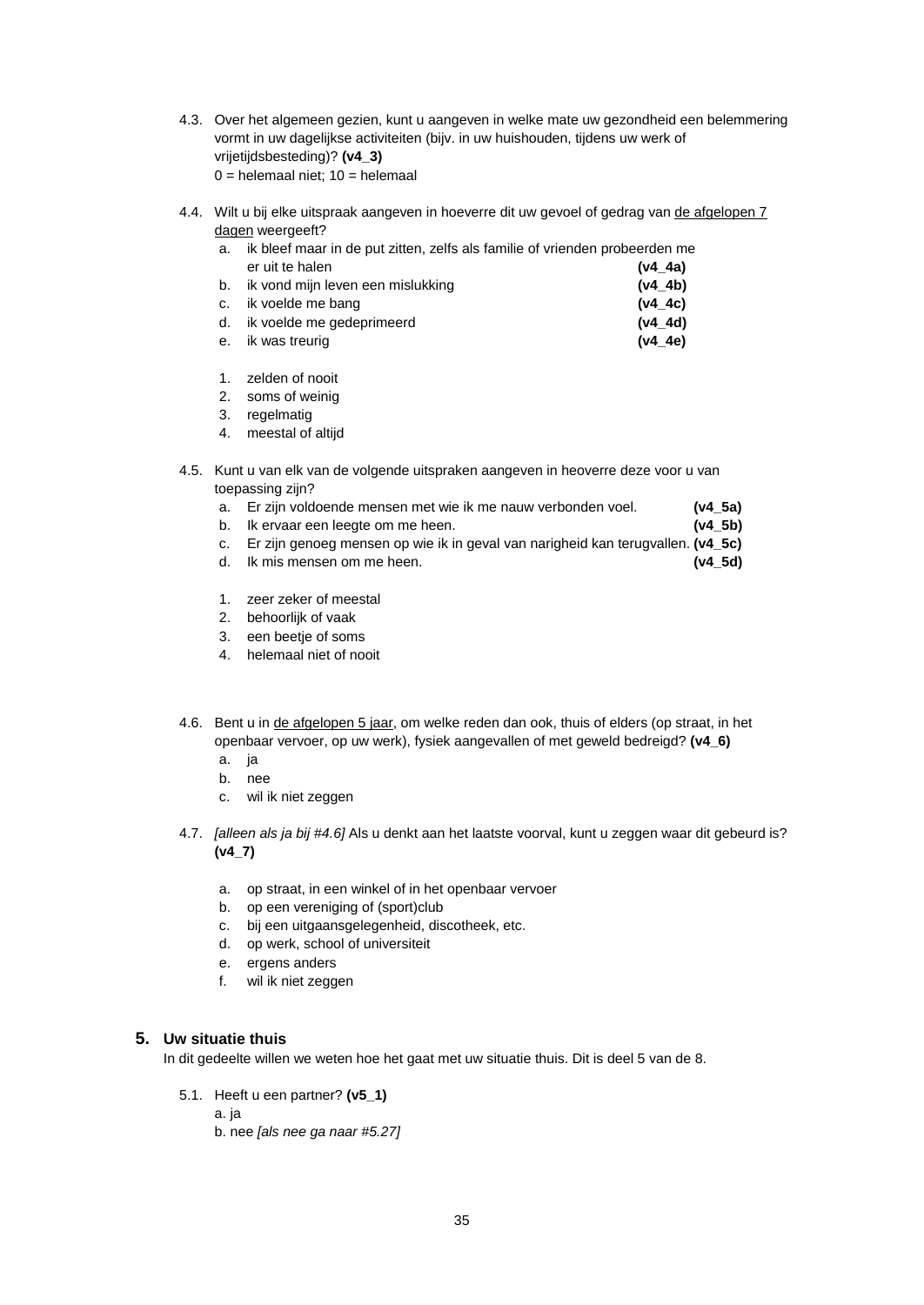- 4.3. Over het algemeen gezien, kunt u aangeven in welke mate uw gezondheid een belemmering vormt in uw dagelijkse activiteiten (bijv. in uw huishouden, tijdens uw werk of vrijetijdsbesteding)? **(v4\_3)**  $0 =$  helemaal niet;  $10 =$  helemaal
- 4.4. Wilt u bij elke uitspraak aangeven in hoeverre dit uw gevoel of gedrag van de afgelopen 7 dagen weergeeft?

| а. | ik bleef maar in de put zitten, zelfs als familie of vrienden probeerden me |           |
|----|-----------------------------------------------------------------------------|-----------|
|    | er uit te halen                                                             | $(v4_4a)$ |
| b. | ik vond mijn leven een mislukking                                           | (v4 4b)   |
|    | c. ik voelde me bang                                                        | (v4.4c)   |
|    | d. ik voelde me gedeprimeerd                                                | (v4 4d)   |

- e. ik was treurig **(v4\_4e)**
- 1. zelden of nooit
- 2. soms of weinig
- 3. regelmatig
- 4. meestal of altijd
- 4.5. Kunt u van elk van de volgende uitspraken aangeven in heoverre deze voor u van toepassing zijn?
	- a. Er zijn voldoende mensen met wie ik me nauw verbonden voel. **(v4\_5a)**
	- b. Ik ervaar een leegte om me heen. **(v4\_5b)**
	- c. Er zijn genoeg mensen op wie ik in geval van narigheid kan terugvallen. **(v4\_5c)**
	- d. Ik mis mensen om me heen. **(v4\_5d)**
	- 1. zeer zeker of meestal
	- 2. behoorlijk of vaak
	- 3. een beetje of soms
	- 4. helemaal niet of nooit
- 4.6. Bent u in de afgelopen 5 jaar, om welke reden dan ook, thuis of elders (op straat, in het openbaar vervoer, op uw werk), fysiek aangevallen of met geweld bedreigd? **(v4\_6)**
	- a. ja
	- b. nee
	- c. wil ik niet zeggen
- 4.7. *[alleen als ja bij #4.6]* Als u denkt aan het laatste voorval, kunt u zeggen waar dit gebeurd is? **(v4\_7)**
	- a. op straat, in een winkel of in het openbaar vervoer
	- b. op een vereniging of (sport)club
	- c. bij een uitgaansgelegenheid, discotheek, etc.
	- d. op werk, school of universiteit
	- e. ergens anders
	- f. wil ik niet zeggen

#### **5. Uw situatie thuis**

In dit gedeelte willen we weten hoe het gaat met uw situatie thuis. Dit is deel 5 van de 8.

- 5.1. Heeft u een partner? **(v5\_1)**
	- a. ja b. nee *[als nee ga naar #5.27]*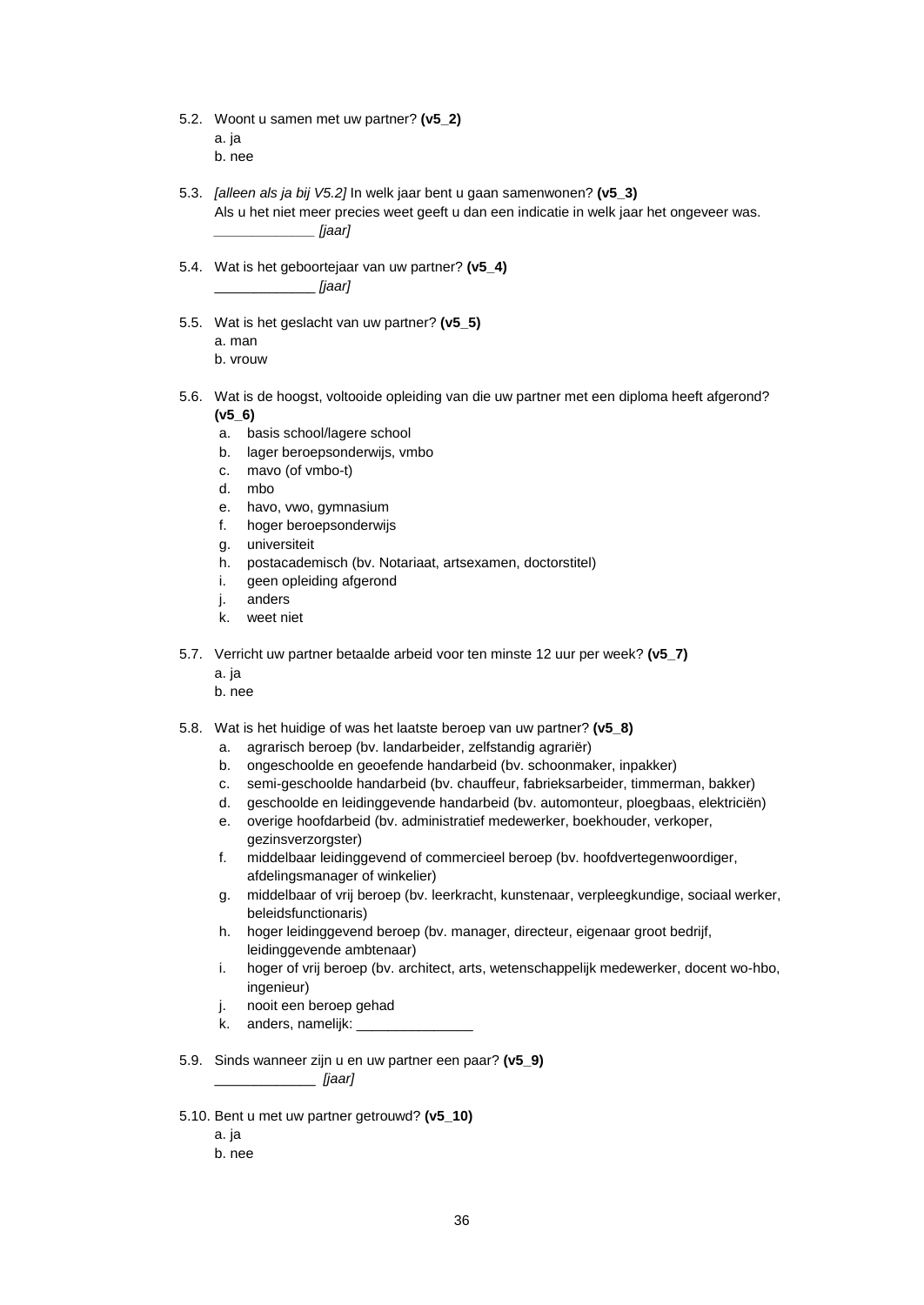- 5.2. Woont u samen met uw partner? **(v5\_2)** a. ja b. nee
- 5.3. *[alleen als ja bij V5.2]* In welk jaar bent u gaan samenwonen? **(v5\_3)** Als u het niet meer precies weet geeft u dan een indicatie in welk jaar het ongeveer was. *\_\_\_\_\_\_\_\_\_\_\_\_\_ [jaar]*
- 5.4. Wat is het geboortejaar van uw partner? **(v5\_4)** \_\_\_\_\_\_\_\_\_\_\_\_\_ *[jaar]*
- 5.5. Wat is het geslacht van uw partner? **(v5\_5)** a. man b. vrouw
- 5.6. Wat is de hoogst, voltooide opleiding van die uw partner met een diploma heeft afgerond? **(v5\_6)**
	- a. basis school/lagere school
	- b. lager beroepsonderwijs, vmbo
	- c. mavo (of vmbo-t)
	- d. mbo
	- e. havo, vwo, gymnasium
	- f. hoger beroepsonderwijs
	- g. universiteit
	- h. postacademisch (bv. Notariaat, artsexamen, doctorstitel)
	- i. geen opleiding afgerond
	- j. anders
	- k. weet niet
- 5.7. Verricht uw partner betaalde arbeid voor ten minste 12 uur per week? **(v5\_7)**
	- a. ja
	- b. nee
- 5.8. Wat is het huidige of was het laatste beroep van uw partner? **(v5\_8)**
	- a. agrarisch beroep (bv. landarbeider, zelfstandig agrariër)
	- b. ongeschoolde en geoefende handarbeid (bv. schoonmaker, inpakker)
	- c. semi-geschoolde handarbeid (bv. chauffeur, fabrieksarbeider, timmerman, bakker)
	- d. geschoolde en leidinggevende handarbeid (bv. automonteur, ploegbaas, elektriciën)
	- e. overige hoofdarbeid (bv. administratief medewerker, boekhouder, verkoper, gezinsverzorgster)
	- f. middelbaar leidinggevend of commercieel beroep (bv. hoofdvertegenwoordiger, afdelingsmanager of winkelier)
	- g. middelbaar of vrij beroep (bv. leerkracht, kunstenaar, verpleegkundige, sociaal werker, beleidsfunctionaris)
	- h. hoger leidinggevend beroep (bv. manager, directeur, eigenaar groot bedrijf, leidinggevende ambtenaar)
	- i. hoger of vrij beroep (bv. architect, arts, wetenschappelijk medewerker, docent wo-hbo, ingenieur)
	- j. nooit een beroep gehad
	- k. anders, namelijk:
- 5.9. Sinds wanneer zijn u en uw partner een paar? **(v5\_9)** \_\_\_\_\_\_\_\_\_\_\_\_\_ *[jaar]*
- 5.10. Bent u met uw partner getrouwd? **(v5\_10)**
	- a. ja
	- b. nee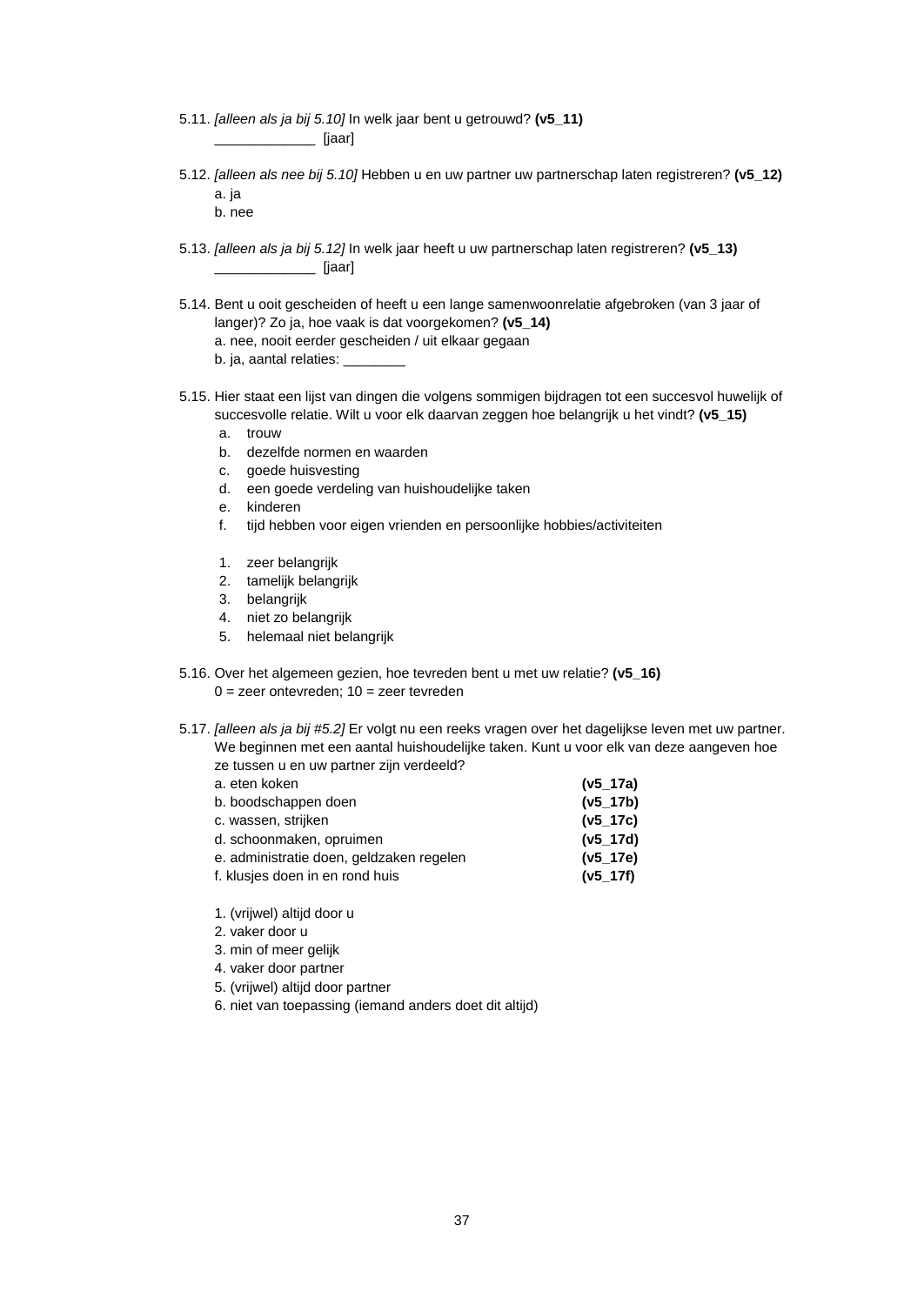- 5.11. *[alleen als ja bij 5.10]* In welk jaar bent u getrouwd? **(v5\_11)** \_\_\_\_\_\_\_\_\_\_\_\_\_ [jaar]
- 5.12. *[alleen als nee bij 5.10]* Hebben u en uw partner uw partnerschap laten registreren? **(v5\_12)** a. ja

b. nee

- 5.13. *[alleen als ja bij 5.12]* In welk jaar heeft u uw partnerschap laten registreren? **(v5\_13)** \_\_\_\_\_\_\_\_\_\_\_\_\_ [jaar]
- 5.14. Bent u ooit gescheiden of heeft u een lange samenwoonrelatie afgebroken (van 3 jaar of langer)? Zo ja, hoe vaak is dat voorgekomen? **(v5\_14)** a. nee, nooit eerder gescheiden / uit elkaar gegaan b. ja, aantal relaties:
- 5.15. Hier staat een lijst van dingen die volgens sommigen bijdragen tot een succesvol huwelijk of succesvolle relatie. Wilt u voor elk daarvan zeggen hoe belangrijk u het vindt? **(v5\_15)**
	- a. trouw
	- b. dezelfde normen en waarden
	- c. goede huisvesting
	- d. een goede verdeling van huishoudelijke taken
	- e. kinderen
	- f. tijd hebben voor eigen vrienden en persoonlijke hobbies/activiteiten
	- 1. zeer belangrijk
	- 2. tamelijk belangrijk
	- 3. belangrijk
	- 4. niet zo belangrijk
	- 5. helemaal niet belangrijk
- 5.16. Over het algemeen gezien, hoe tevreden bent u met uw relatie? **(v5\_16)**  $0 =$  zeer ontevreden;  $10 =$  zeer tevreden
- 5.17. *[alleen als ja bij #5.2]* Er volgt nu een reeks vragen over het dagelijkse leven met uw partner. We beginnen met een aantal huishoudelijke taken. Kunt u voor elk van deze aangeven hoe ze tussen u en uw partner zijn verdeeld?
	- a. eten koken **(v5\_17a)** b. boodschappen doen **(v5\_17b)** c. wassen, strijken **(v5\_17c)** d. schoonmaken, opruimen **(v5\_17d)** e. administratie doen, geldzaken regelen **(v5\_17e)** f. klusjes doen in en rond huis **(v5\_17f)**
	- 1. (vrijwel) altijd door u
	- 2. vaker door u
	- 3. min of meer gelijk
	- 4. vaker door partner
	- 5. (vrijwel) altijd door partner
	- 6. niet van toepassing (iemand anders doet dit altijd)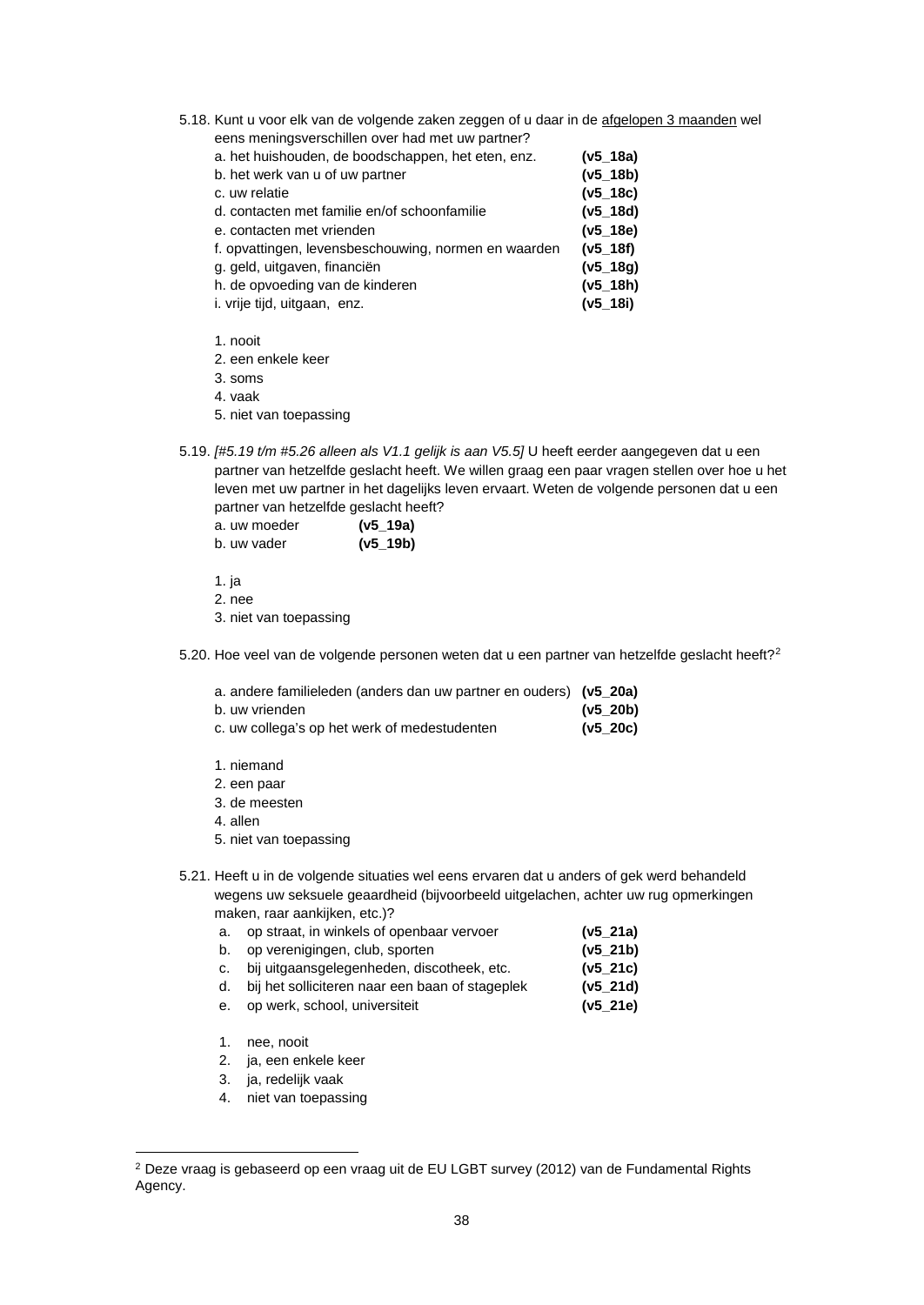5.18. Kunt u voor elk van de volgende zaken zeggen of u daar in de afgelopen 3 maanden wel eens meningsverschillen over had met uw partner?

| $(v5_18a)$   |
|--------------|
| (v5 18b)     |
| $(v5_{18c})$ |
| $(v5_18d)$   |
| $(v5_18e)$   |
| (v5 18f)     |
| $(v5_18g)$   |
| $(v5_18h)$   |
| $(v5_18i)$   |
|              |

1. nooit

2. een enkele keer

3. soms

4. vaak

5. niet van toepassing

5.19. *[#5.19 t/m #5.26 alleen als V1.1 gelijk is aan V5.5]* U heeft eerder aangegeven dat u een partner van hetzelfde geslacht heeft. We willen graag een paar vragen stellen over hoe u het leven met uw partner in het dagelijks leven ervaart. Weten de volgende personen dat u een partner van hetzelfde geslacht heeft?

| a. uw moeder | $(v5_19a)$ |
|--------------|------------|
| b. uw vader  | $(v5_19b)$ |

1. ja

2. nee

3. niet van toepassing

5.[2](#page-38-0)0. Hoe veel van de volgende personen weten dat u een partner van hetzelfde geslacht heeft?<sup>2</sup>

| a. andere familieleden (anders dan uw partner en ouders) (v5_20a) |  |  |  |  |
|-------------------------------------------------------------------|--|--|--|--|
|-------------------------------------------------------------------|--|--|--|--|

- b. uw vrienden **(v5\_20b)**
- c. uw collega's op het werk of medestudenten **(v5\_20c)**
- 1. niemand
- 2. een paar
- 3. de meesten
- 4. allen
- 5. niet van toepassing
- 5.21. Heeft u in de volgende situaties wel eens ervaren dat u anders of gek werd behandeld wegens uw seksuele geaardheid (bijvoorbeeld uitgelachen, achter uw rug opmerkingen maken, raar aankijken, etc.)?

| a. op straat, in winkels of openbaar vervoer                                                                   | $(v5_21a)$                           |
|----------------------------------------------------------------------------------------------------------------|--------------------------------------|
| b. op verenigingen, club, sporten                                                                              | (v5_21b)                             |
| restricted the contract of the contract of the contract of the contract of the contract of the contract of the | $\mathbf{A}$ . The same $\mathbf{A}$ |

- c. bij uitgaansgelegenheden, discotheek, etc. **(v5\_21c)** d. bij het solliciteren naar een baan of stageplek **(v5\_21d)**
- e. op werk, school, universiteit **(v5\_21e)**
- 1. nee, nooit

1

- 2. ja, een enkele keer
- 3. ja, redelijk vaak
- 4. niet van toepassing

<span id="page-38-0"></span> $^{\rm 2}$  Deze vraag is gebaseerd op een vraag uit de EU LGBT survey (2012) van de Fundamental Rights Agency.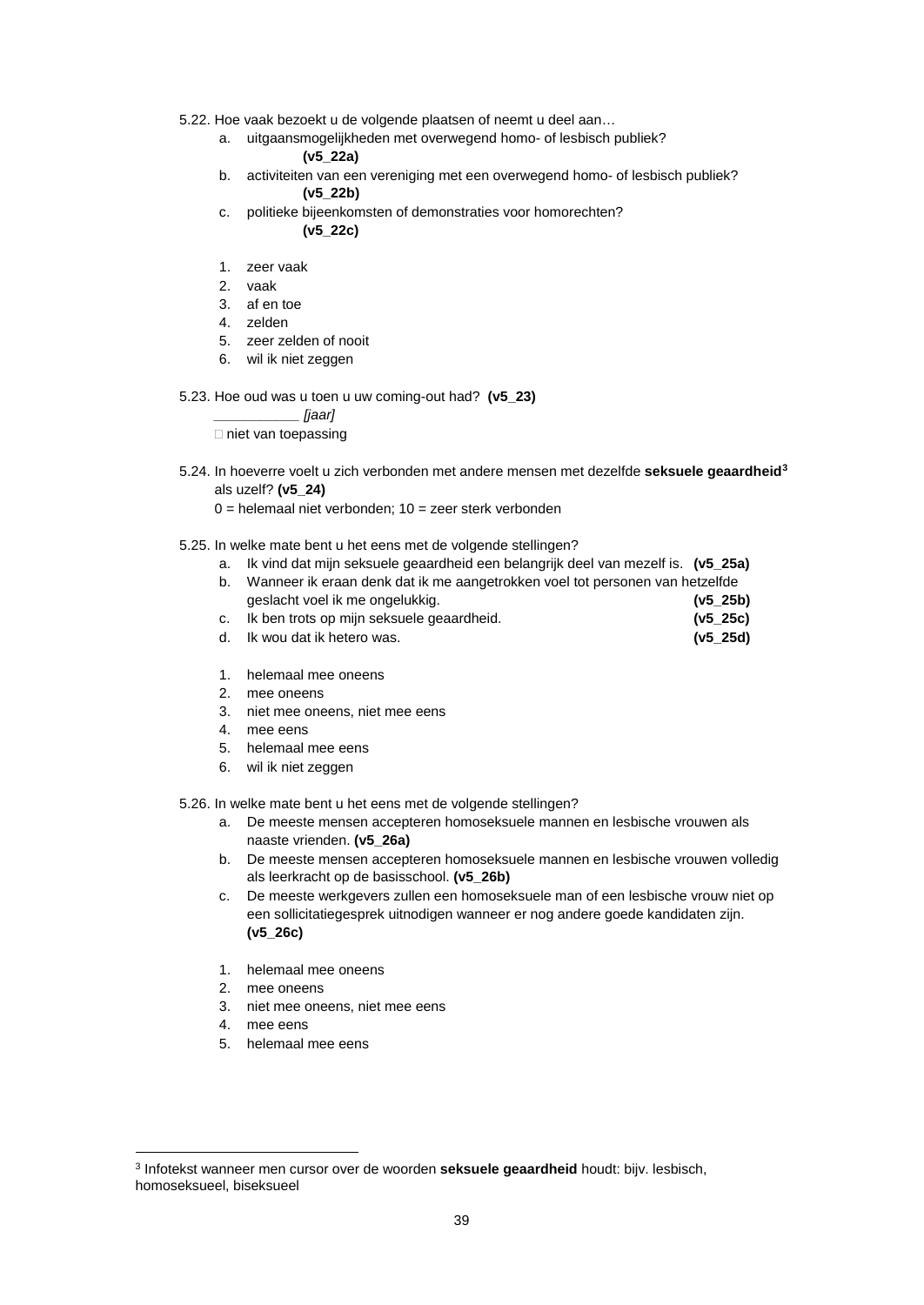- 5.22. Hoe vaak bezoekt u de volgende plaatsen of neemt u deel aan…
	- a. uitgaansmogelijkheden met overwegend homo- of lesbisch publiek? **(v5\_22a)**
	- b. activiteiten van een vereniging met een overwegend homo- of lesbisch publiek? **(v5\_22b)**
	- c. politieke bijeenkomsten of demonstraties voor homorechten? **(v5\_22c)**
	- 1. zeer vaak
	- 2. vaak
	- 3. af en toe
	- 4. zelden
	- 5. zeer zelden of nooit
	- 6. wil ik niet zeggen

#### 5.23. Hoe oud was u toen u uw coming-out had? **(v5\_23)**

*\_\_\_\_\_\_\_\_\_\_\_ [jaar]*

 $\Box$  niet van toepassing

- 5.24. In hoeverre voelt u zich verbonden met andere mensen met dezelfde **seksuele geaardheid[3](#page-39-0)** als uzelf? **(v5\_24)**
	- $0 =$  helemaal niet verbonden;  $10 =$  zeer sterk verbonden
- 5.25. In welke mate bent u het eens met de volgende stellingen?
	- a. Ik vind dat mijn seksuele geaardheid een belangrijk deel van mezelf is. **(v5\_25a)**
	- b. Wanneer ik eraan denk dat ik me aangetrokken voel tot personen van hetzelfde geslacht voel ik me ongelukkig. **(v5\_25b)** c. Ik ben trots op mijn seksuele geaardheid. **(v5\_25c)**
	- d. Ik wou dat ik hetero was. **(v5\_25d)**
	- 1. helemaal mee oneens
	- 2. mee oneens
	- 3. niet mee oneens, niet mee eens
	- 4. mee eens
	- 5. helemaal mee eens
	- 6. wil ik niet zeggen

#### 5.26. In welke mate bent u het eens met de volgende stellingen?

- a. De meeste mensen accepteren homoseksuele mannen en lesbische vrouwen als naaste vrienden. **(v5\_26a)**
- b. De meeste mensen accepteren homoseksuele mannen en lesbische vrouwen volledig als leerkracht op de basisschool. **(v5\_26b)**
- c. De meeste werkgevers zullen een homoseksuele man of een lesbische vrouw niet op een sollicitatiegesprek uitnodigen wanneer er nog andere goede kandidaten zijn. **(v5\_26c)**
- 1. helemaal mee oneens
- 2. mee oneens
- 3. niet mee oneens, niet mee eens
- 4. mee eens
- 5. helemaal mee eens

<span id="page-39-0"></span><sup>3</sup> Infotekst wanneer men cursor over de woorden **seksuele geaardheid** houdt: bijv. lesbisch, homoseksueel, biseksueel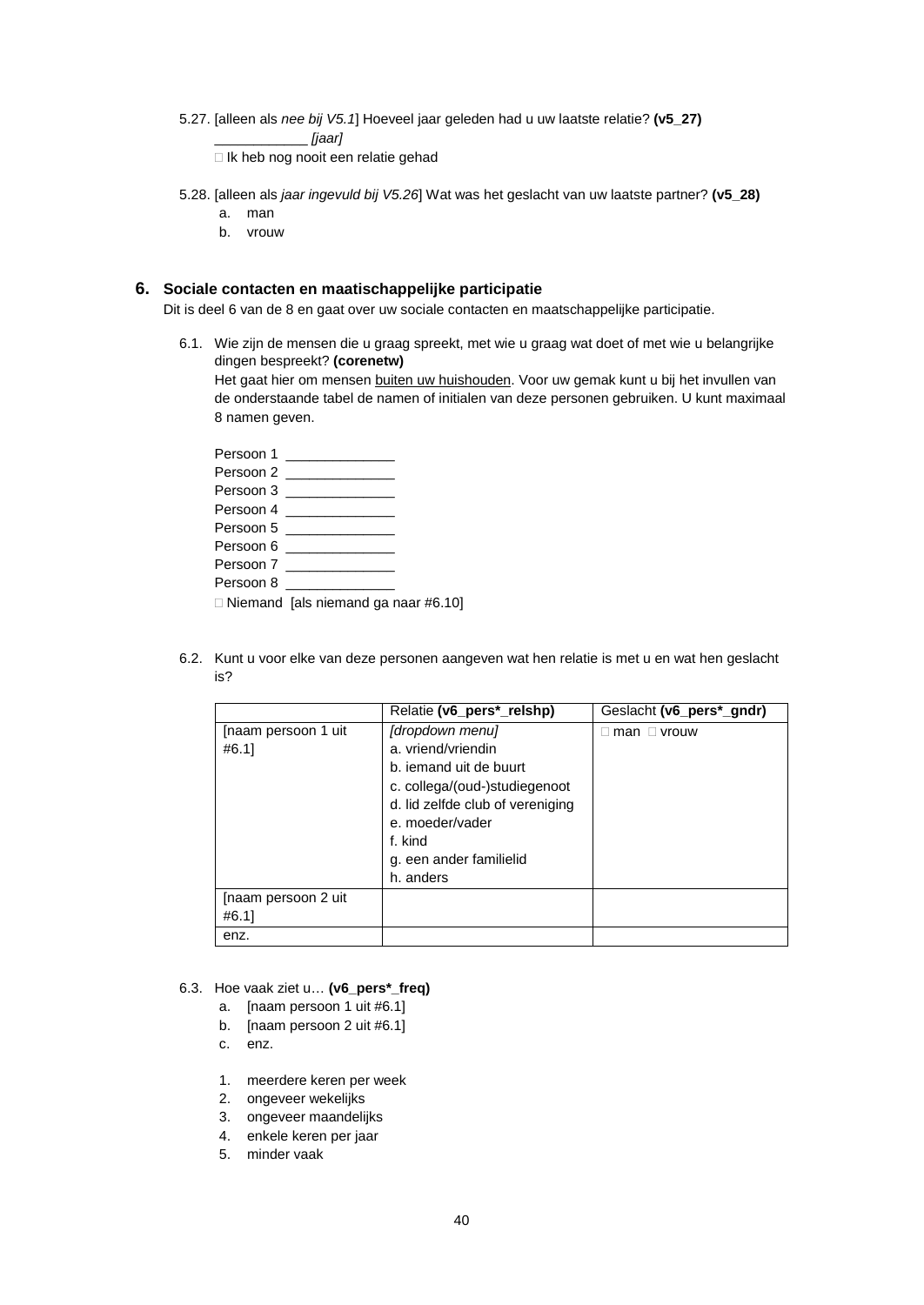5.27. [alleen als *nee bij V5.1*] Hoeveel jaar geleden had u uw laatste relatie? **(v5\_27)**

\_\_\_\_\_\_\_\_\_\_\_\_ *[jaar]*

Ik heb nog nooit een relatie gehad

- 5.28. [alleen als *jaar ingevuld bij V5.26*] Wat was het geslacht van uw laatste partner? **(v5\_28)**
	- a. man
	- b. vrouw

#### **6. Sociale contacten en maatischappelijke participatie**

Dit is deel 6 van de 8 en gaat over uw sociale contacten en maatschappelijke participatie.

6.1. Wie zijn de mensen die u graag spreekt, met wie u graag wat doet of met wie u belangrijke dingen bespreekt? **(corenetw)**

Het gaat hier om mensen buiten uw huishouden. Voor uw gemak kunt u bij het invullen van de onderstaande tabel de namen of initialen van deze personen gebruiken. U kunt maximaal 8 namen geven.

|           | Persoon 1                 |  |
|-----------|---------------------------|--|
|           | Persoon 2 _______________ |  |
|           | Persoon 3 ______________  |  |
|           | Persoon 4 ______________  |  |
|           | Persoon 5                 |  |
|           | Persoon 6                 |  |
|           | Persoon 7                 |  |
| Persoon 8 |                           |  |

 $\Box$  Niemand [als niemand ga naar #6.10]

6.2. Kunt u voor elke van deze personen aangeven wat hen relatie is met u en wat hen geslacht is?

|                              | Relatie (v6 pers <sup>*</sup> relshp)                                                                                                                                                         | Geslacht (v6_pers*_gndr) |
|------------------------------|-----------------------------------------------------------------------------------------------------------------------------------------------------------------------------------------------|--------------------------|
| [naam persoon 1 uit<br>#6.1] | [dropdown menu]<br>a. vriend/vriendin<br>b. iemand uit de buurt<br>c. collega/(oud-)studiegenoot<br>d. lid zelfde club of vereniging<br>e. moeder/vader<br>f. kind<br>g. een ander familielid | ⊟ man ⊟ vrouw            |
|                              | h. anders                                                                                                                                                                                     |                          |
| [naam persoon 2 uit          |                                                                                                                                                                                               |                          |
| #6.1]                        |                                                                                                                                                                                               |                          |
| enz.                         |                                                                                                                                                                                               |                          |

#### 6.3. Hoe vaak ziet u… **(v6\_pers\*\_freq)**

- a. [naam persoon 1 uit #6.1]
- b. [naam persoon 2 uit #6.1]
- c. enz.
- 1. meerdere keren per week
- 2. ongeveer wekelijks
- 3. ongeveer maandelijks
- 4. enkele keren per jaar
- 5. minder vaak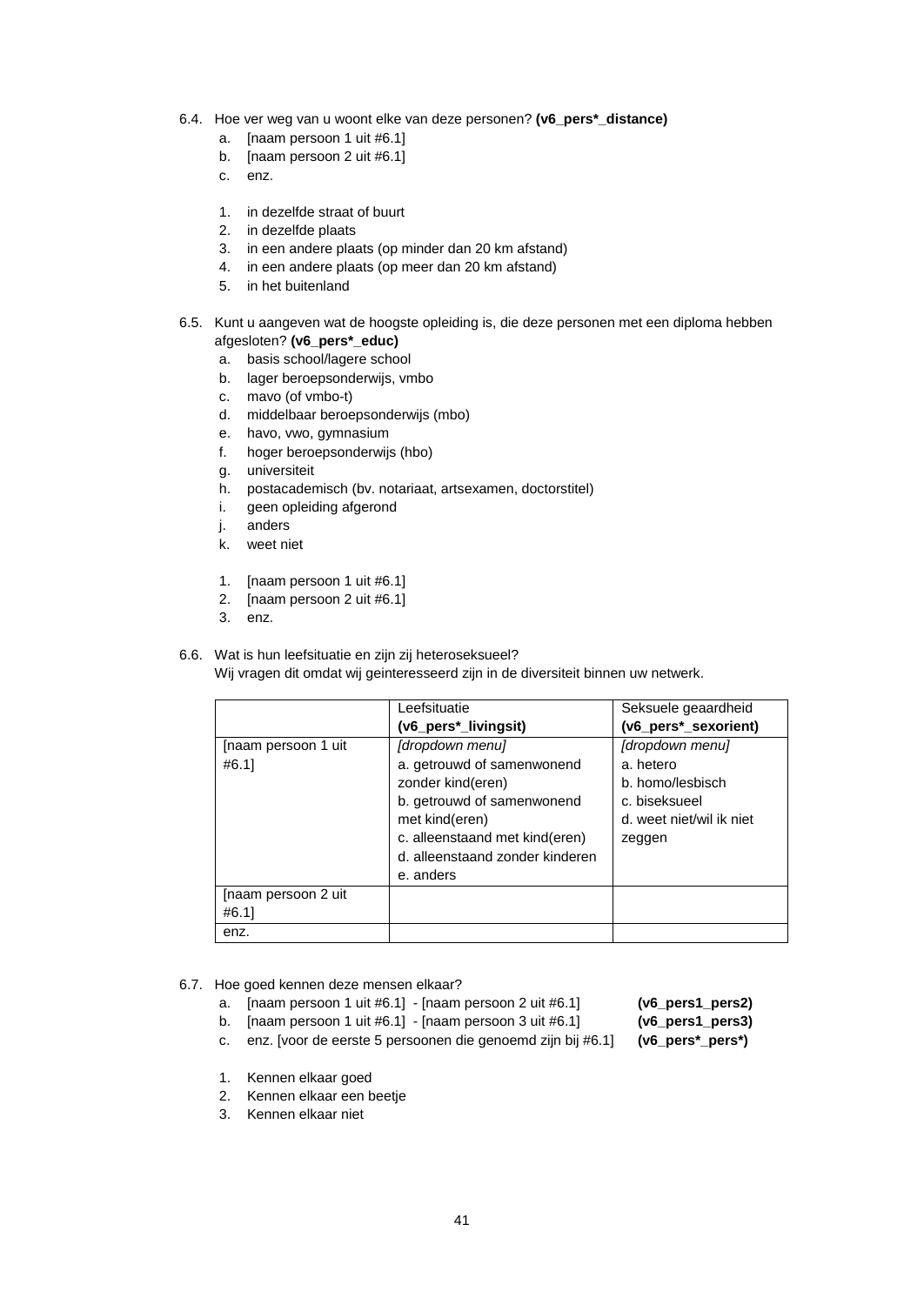- 6.4. Hoe ver weg van u woont elke van deze personen? **(v6\_pers\*\_distance)**
	- a. [naam persoon 1 uit #6.1]
	- b. [naam persoon 2 uit #6.1]
	- c. enz.
	- 1. in dezelfde straat of buurt
	- 2. in dezelfde plaats
	- 3. in een andere plaats (op minder dan 20 km afstand)
	- 4. in een andere plaats (op meer dan 20 km afstand)
	- 5. in het buitenland
- 6.5. Kunt u aangeven wat de hoogste opleiding is, die deze personen met een diploma hebben afgesloten? **(v6\_pers\*\_educ)**
	- a. basis school/lagere school
	- b. lager beroepsonderwijs, vmbo
	- c. mavo (of vmbo-t)
	- d. middelbaar beroepsonderwijs (mbo)
	- e. havo, vwo, gymnasium
	- f. hoger beroepsonderwijs (hbo)
	- g. universiteit
	- h. postacademisch (bv. notariaat, artsexamen, doctorstitel)
	- i. geen opleiding afgerond
	- j. anders
	- k. weet niet
	- 1. [naam persoon 1 uit #6.1]
	- 2. [naam persoon 2 uit #6.1]
	- 3. enz.

# 6.6. Wat is hun leefsituatie en zijn zij heteroseksueel?

Wij vragen dit omdat wij geinteresseerd zijn in de diversiteit binnen uw netwerk.

|                     | Leefsituatie                    | Seksuele geaardheid      |
|---------------------|---------------------------------|--------------------------|
|                     | (v6_pers*_livingsit)            | (v6_pers*_sexorient)     |
| [naam persoon 1 uit | [dropdown menu]                 | [dropdown menu]          |
| #6.1]               | a. getrouwd of samenwonend      | a. hetero                |
|                     | zonder kind(eren)               | b. homo/lesbisch         |
|                     | b. getrouwd of samenwonend      | c. biseksueel            |
|                     | met kind(eren)                  | d. weet niet/wil ik niet |
|                     | c. alleenstaand met kind(eren)  | zeggen                   |
|                     | d. alleenstaand zonder kinderen |                          |
|                     | e. anders                       |                          |
| [naam persoon 2 uit |                                 |                          |
| #6.1]               |                                 |                          |
| enz.                |                                 |                          |

#### 6.7. Hoe goed kennen deze mensen elkaar?

- a. [naam persoon 1 uit #6.1] [naam persoon 2 uit #6.1] **(v6\_pers1\_pers2)**
	-
- b. [naam persoon 1 uit #6.1] [naam persoon 3 uit #6.1] **(v6\_pers1\_pers3)**
- c. enz. [voor de eerste 5 persoonen die genoemd zijn bij #6.1] **(v6\_pers\*\_pers\*)**
- 1. Kennen elkaar goed
- 2. Kennen elkaar een beetje
- 3. Kennen elkaar niet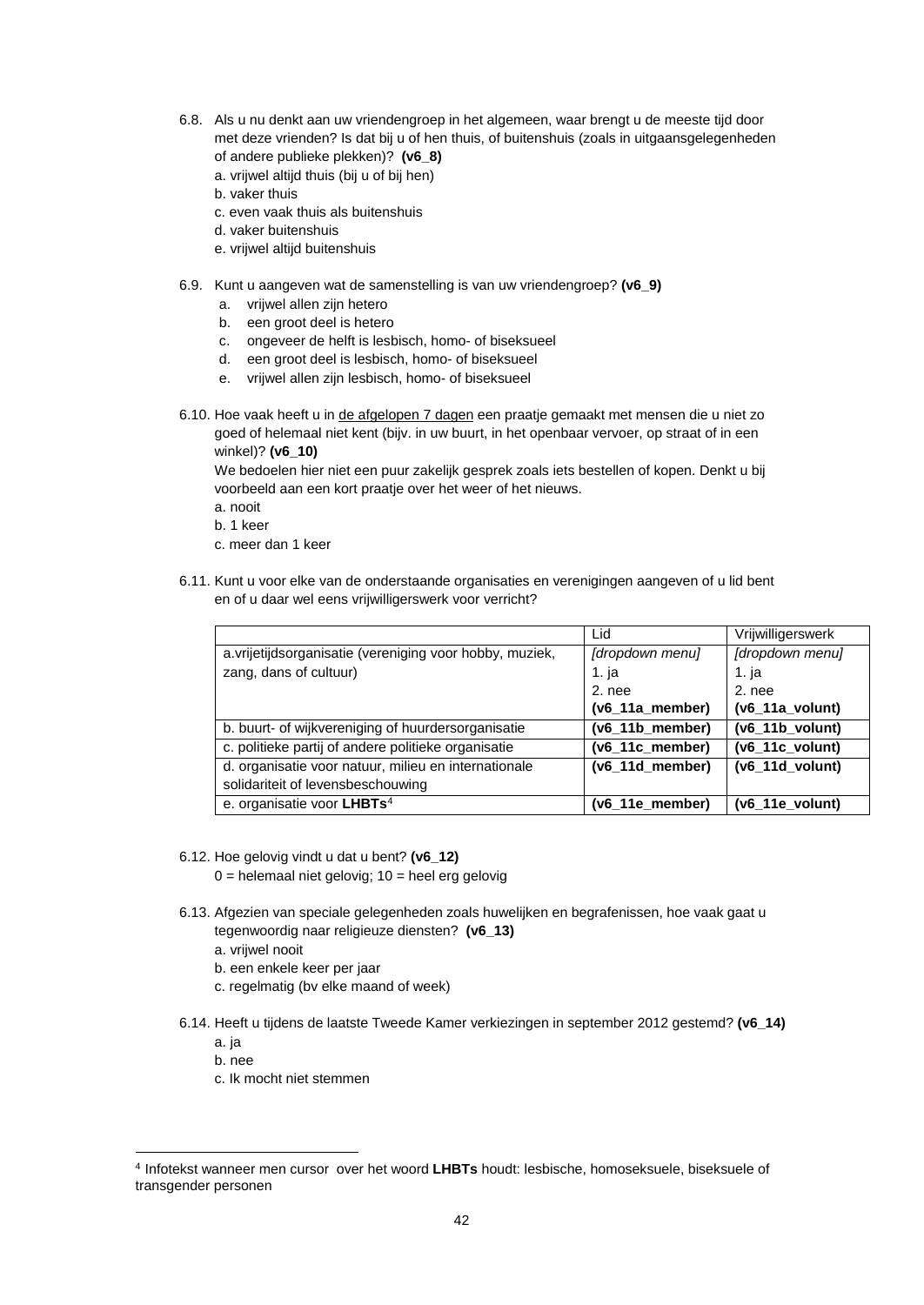- 6.8. Als u nu denkt aan uw vriendengroep in het algemeen, waar brengt u de meeste tijd door met deze vrienden? Is dat bij u of hen thuis, of buitenshuis (zoals in uitgaansgelegenheden of andere publieke plekken)? **(v6\_8)**
	- a. vrijwel altijd thuis (bij u of bij hen)
	- b. vaker thuis
	- c. even vaak thuis als buitenshuis
	- d. vaker buitenshuis
	- e. vrijwel altijd buitenshuis
- 6.9. Kunt u aangeven wat de samenstelling is van uw vriendengroep? **(v6\_9)**
	- a. vrijwel allen zijn hetero
	- b. een groot deel is hetero
	- c. ongeveer de helft is lesbisch, homo- of biseksueel
	- d. een groot deel is lesbisch, homo- of biseksueel
	- e. vrijwel allen zijn lesbisch, homo- of biseksueel
- 6.10. Hoe vaak heeft u in de afgelopen 7 dagen een praatje gemaakt met mensen die u niet zo goed of helemaal niet kent (bijv. in uw buurt, in het openbaar vervoer, op straat of in een winkel)? **(v6\_10)**

We bedoelen hier niet een puur zakelijk gesprek zoals iets bestellen of kopen. Denkt u bij voorbeeld aan een kort praatje over het weer of het nieuws.

- a. nooit
- b. 1 keer
- c. meer dan 1 keer
- 6.11. Kunt u voor elke van de onderstaande organisaties en verenigingen aangeven of u lid bent en of u daar wel eens vrijwilligerswerk voor verricht?

|                                                           | Lid                | Vrijwilligerswerk  |
|-----------------------------------------------------------|--------------------|--------------------|
| a. vrijetijd sorganisatie (vereniging voor hobby, muziek, | [dropdown menu]    | [dropdown menu]    |
| zang, dans of cultuur)                                    | 1. ja              | 1. ja              |
|                                                           | 2. nee             | 2. nee             |
|                                                           | $(v6_11a_$ member) | $(v6_11a_$ volunt) |
| b. buurt- of wijkvereniging of huurdersorganisatie        | (v6 11b member)    | $(v6 11b$ volunt)  |
| c. politieke partij of andere politieke organisatie       | (v6_11c_member)    | $(v6_11c_$ volunt) |
| d. organisatie voor natuur, milieu en internationale      | $(v6_11d$ member)  | $(v6$ 11d volunt)  |
| solidariteit of levensbeschouwing                         |                    |                    |
| e. organisatie voor LHBTs <sup>4</sup>                    | (v6_11e_member)    | $(v6_11e_$ volunt) |

- 6.12. Hoe gelovig vindt u dat u bent? **(v6\_12)**
	- $0 =$  helemaal niet gelovig;  $10 =$  heel erg gelovig
- 6.13. Afgezien van speciale gelegenheden zoals huwelijken en begrafenissen, hoe vaak gaat u tegenwoordig naar religieuze diensten? **(v6\_13)**
	- a. vrijwel nooit
	- b. een enkele keer per jaar
	- c. regelmatig (bv elke maand of week)
- 6.14. Heeft u tijdens de laatste Tweede Kamer verkiezingen in september 2012 gestemd? **(v6\_14)**
	- a. ja
	- b. nee
	- c. Ik mocht niet stemmen

<span id="page-42-0"></span><sup>4</sup> Infotekst wanneer men cursor over het woord **LHBTs** houdt: lesbische, homoseksuele, biseksuele of transgender personen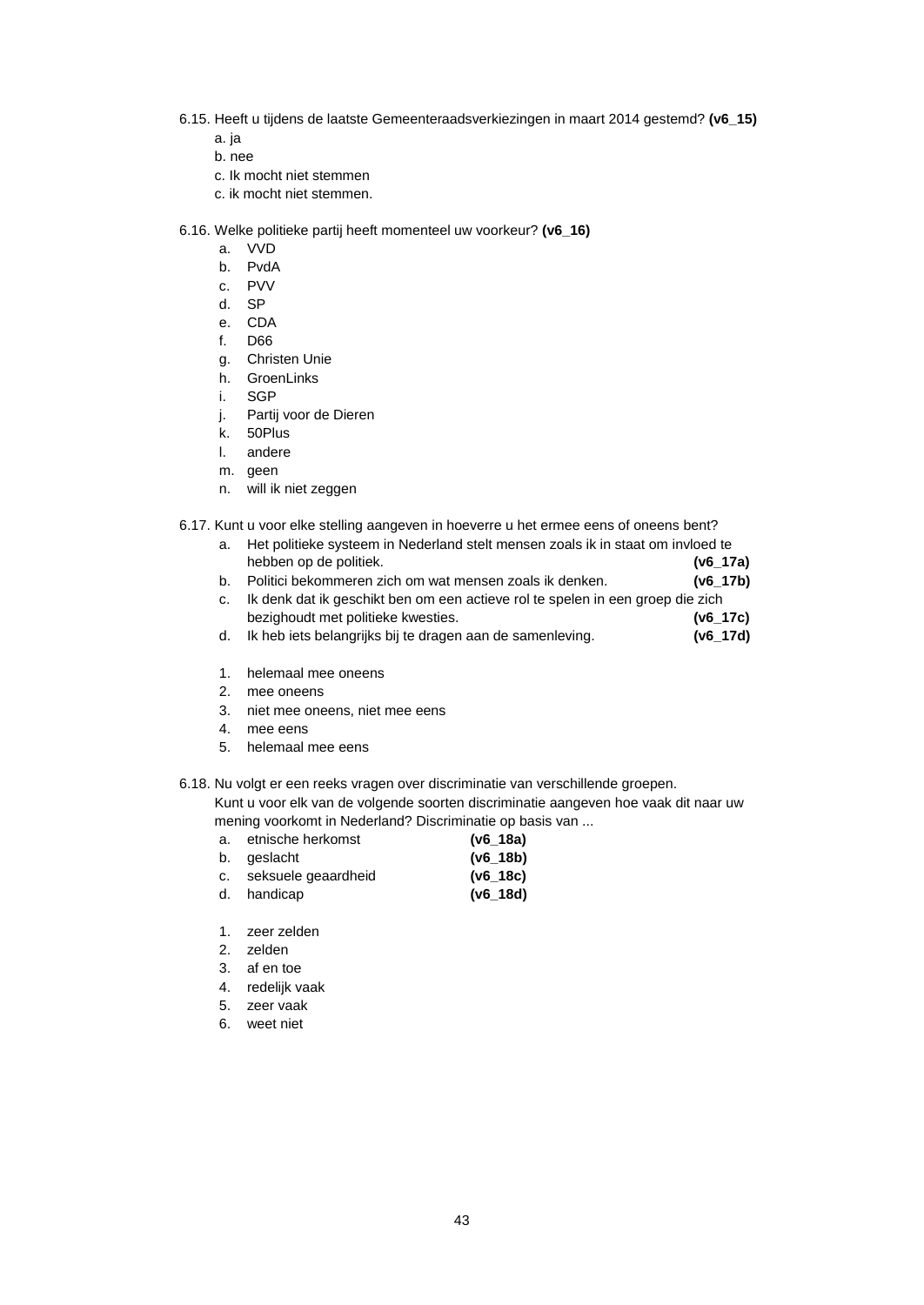- 6.15. Heeft u tijdens de laatste Gemeenteraadsverkiezingen in maart 2014 gestemd? **(v6\_15)**
	- a. ja
	- b. nee
	- c. Ik mocht niet stemmen
	- c. ik mocht niet stemmen.
- 6.16. Welke politieke partij heeft momenteel uw voorkeur? **(v6\_16)**
	- a. VVD
	- b. PvdA
	- c. PVV
	- d. SP
	- e. CDA
	- f. D66
	- g. Christen Unie
	- h. GroenLinks
	- i. SGP
	- j. Partij voor de Dieren
	- k. 50Plus
	- l. andere
	- m. geen
	- n. will ik niet zeggen
- 6.17. Kunt u voor elke stelling aangeven in hoeverre u het ermee eens of oneens bent?
	- a. Het politieke systeem in Nederland stelt mensen zoals ik in staat om invloed te hebben op de politiek. **(v6\_17a)**
	- b. Politici bekommeren zich om wat mensen zoals ik denken. **(v6\_17b)**
	- c. Ik denk dat ik geschikt ben om een actieve rol te spelen in een groep die zich bezighoudt met politieke kwesties. **(v6\_17c)**
	- d. Ik heb iets belangrijks bij te dragen aan de samenleving. **(v6\_17d)**
	- 1. helemaal mee oneens
	- 2. mee oneens
	- 3. niet mee oneens, niet mee eens
	- 4. mee eens
	- 5. helemaal mee eens
- 6.18. Nu volgt er een reeks vragen over discriminatie van verschillende groepen. Kunt u voor elk van de volgende soorten discriminatie aangeven hoe vaak dit naar uw

mening voorkomt in Nederland? Discriminatie op basis van ...

- a. etnische herkomst **(v6\_18a)** b. geslacht **(v6\_18b)** c. seksuele geaardheid **(v6\_18c)** d. handicap **(v6\_18d)**
- 1. zeer zelden
- 2. zelden
- 3. af en toe
- 4. redelijk vaak
- 5. zeer vaak
- 6. weet niet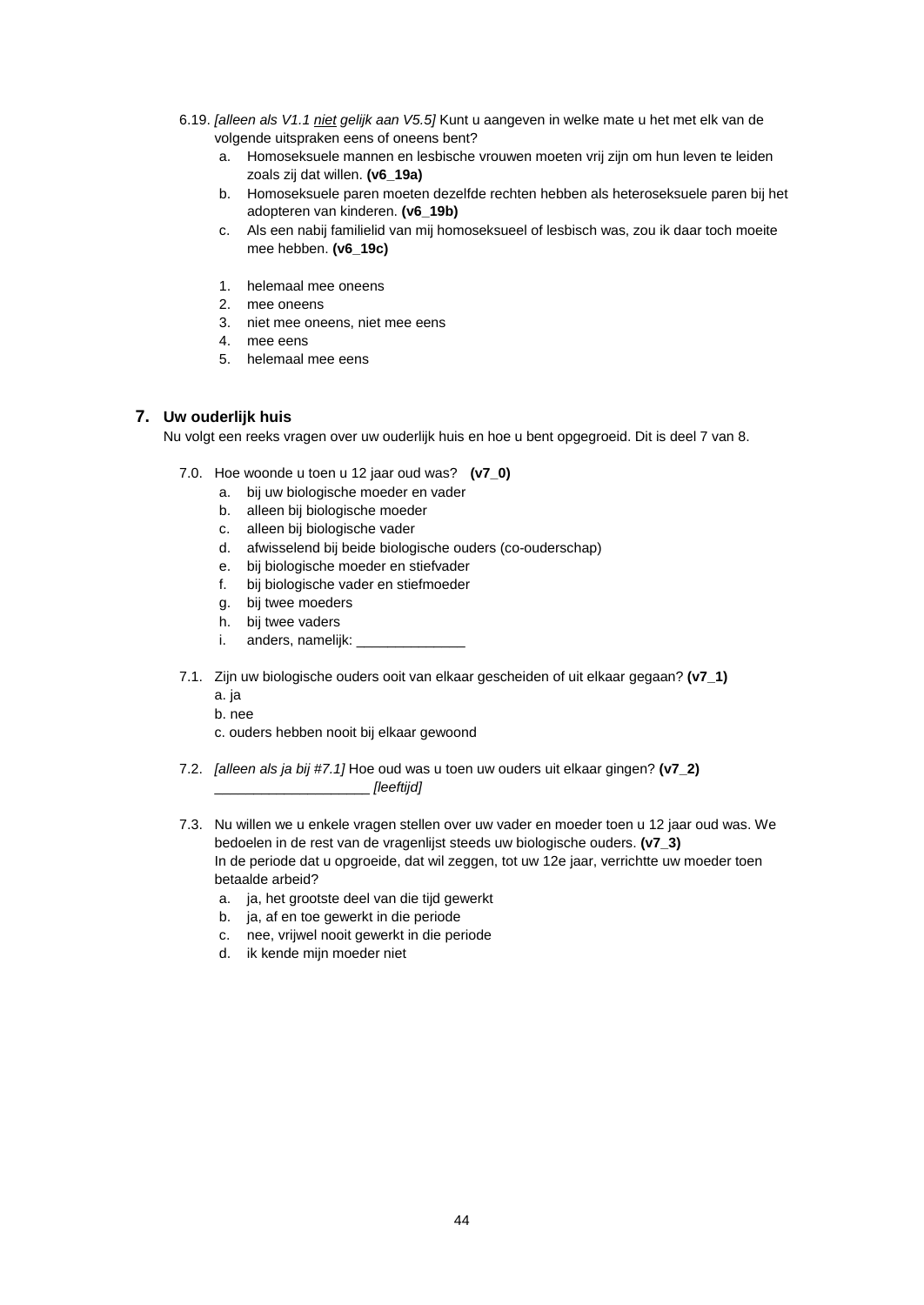- 6.19. *[alleen als V1.1 niet gelijk aan V5.5]* Kunt u aangeven in welke mate u het met elk van de volgende uitspraken eens of oneens bent?
	- a. Homoseksuele mannen en lesbische vrouwen moeten vrij zijn om hun leven te leiden zoals zij dat willen. **(v6\_19a)**
	- b. Homoseksuele paren moeten dezelfde rechten hebben als heteroseksuele paren bij het adopteren van kinderen. **(v6\_19b)**
	- c. Als een nabij familielid van mij homoseksueel of lesbisch was, zou ik daar toch moeite mee hebben. **(v6\_19c)**
	- 1. helemaal mee oneens
	- 2. mee oneens
	- 3. niet mee oneens, niet mee eens
	- 4. mee eens
	- 5. helemaal mee eens

# **7. Uw ouderlijk huis**

Nu volgt een reeks vragen over uw ouderlijk huis en hoe u bent opgegroeid. Dit is deel 7 van 8.

- 7.0. Hoe woonde u toen u 12 jaar oud was? **(v7\_0)**
	- a. bij uw biologische moeder en vader
	- b. alleen bij biologische moeder
	- c. alleen bij biologische vader
	- d. afwisselend bij beide biologische ouders (co-ouderschap)
	- e. bij biologische moeder en stiefvader
	- f. bij biologische vader en stiefmoeder
	- g. bij twee moeders
	- h. bij twee vaders
	- i. anders, namelijk:
- 7.1. Zijn uw biologische ouders ooit van elkaar gescheiden of uit elkaar gegaan? **(v7\_1)** a. ja
	- b. nee
	- c. ouders hebben nooit bij elkaar gewoond
- 7.2. *[alleen als ja bij #7.1]* Hoe oud was u toen uw ouders uit elkaar gingen? **(v7\_2)** \_\_\_\_\_\_\_\_\_\_\_\_\_\_\_\_\_\_\_\_ *[leeftijd]*
- 7.3. Nu willen we u enkele vragen stellen over uw vader en moeder toen u 12 jaar oud was. We bedoelen in de rest van de vragenlijst steeds uw biologische ouders. **(v7\_3)** In de periode dat u opgroeide, dat wil zeggen, tot uw 12e jaar, verrichtte uw moeder toen betaalde arbeid?
	- a. ja, het grootste deel van die tijd gewerkt
	- b. ja, af en toe gewerkt in die periode
	- c. nee, vrijwel nooit gewerkt in die periode
	- d. ik kende mijn moeder niet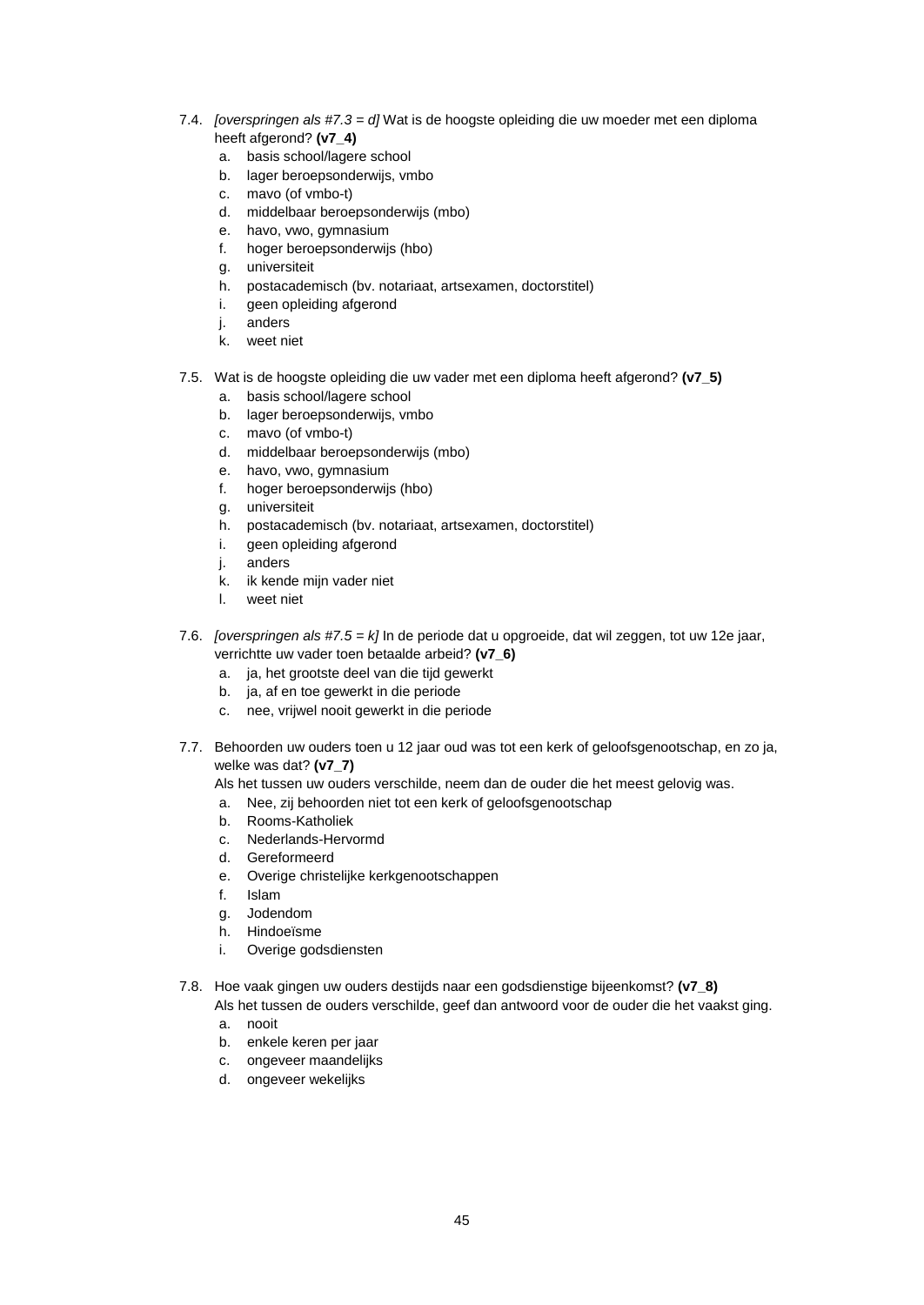- 7.4. *[overspringen als #7.3 = d]* Wat is de hoogste opleiding die uw moeder met een diploma heeft afgerond? **(v7\_4)**
	- a. basis school/lagere school
	- b. lager beroepsonderwijs, vmbo
	- c. mavo (of vmbo-t)
	- d. middelbaar beroepsonderwijs (mbo)
	- e. havo, vwo, gymnasium
	- f. hoger beroepsonderwijs (hbo)
	- g. universiteit
	- h. postacademisch (bv. notariaat, artsexamen, doctorstitel)
	- i. geen opleiding afgerond
	- j. anders
	- k. weet niet
- 7.5. Wat is de hoogste opleiding die uw vader met een diploma heeft afgerond? **(v7\_5)**
	- a. basis school/lagere school
	- b. lager beroepsonderwijs, vmbo
	- c. mavo (of vmbo-t)
	- d. middelbaar beroepsonderwijs (mbo)
	- e. havo, vwo, gymnasium<br>f. hoger beroepsonderwij
	- hoger beroepsonderwijs (hbo)
	- g. universiteit
	- h. postacademisch (bv. notariaat, artsexamen, doctorstitel)
	- i. geen opleiding afgerond
	- j. anders
	- k. ik kende mijn vader niet
	- l. weet niet
- 7.6. *[overspringen als #7.5 = k]* In de periode dat u opgroeide, dat wil zeggen, tot uw 12e jaar, verrichtte uw vader toen betaalde arbeid? **(v7\_6)**
	- a. ja, het grootste deel van die tijd gewerkt
	- b. ja, af en toe gewerkt in die periode
	- c. nee, vrijwel nooit gewerkt in die periode
- 7.7. Behoorden uw ouders toen u 12 jaar oud was tot een kerk of geloofsgenootschap, en zo ja, welke was dat? **(v7\_7)**
	- Als het tussen uw ouders verschilde, neem dan de ouder die het meest gelovig was.
	- a. Nee, zij behoorden niet tot een kerk of geloofsgenootschap
	- b. Rooms-Katholiek
	- c. Nederlands-Hervormd
	- d. Gereformeerd
	- e. Overige christelijke kerkgenootschappen
	- f. Islam
	- g. Jodendom
	- h. Hindoeïsme
	- i. Overige godsdiensten
- 7.8. Hoe vaak gingen uw ouders destijds naar een godsdienstige bijeenkomst? **(v7\_8)**
	- Als het tussen de ouders verschilde, geef dan antwoord voor de ouder die het vaakst ging. a. nooit
	- b. enkele keren per jaar
	- c. ongeveer maandelijks
	- d. ongeveer wekelijks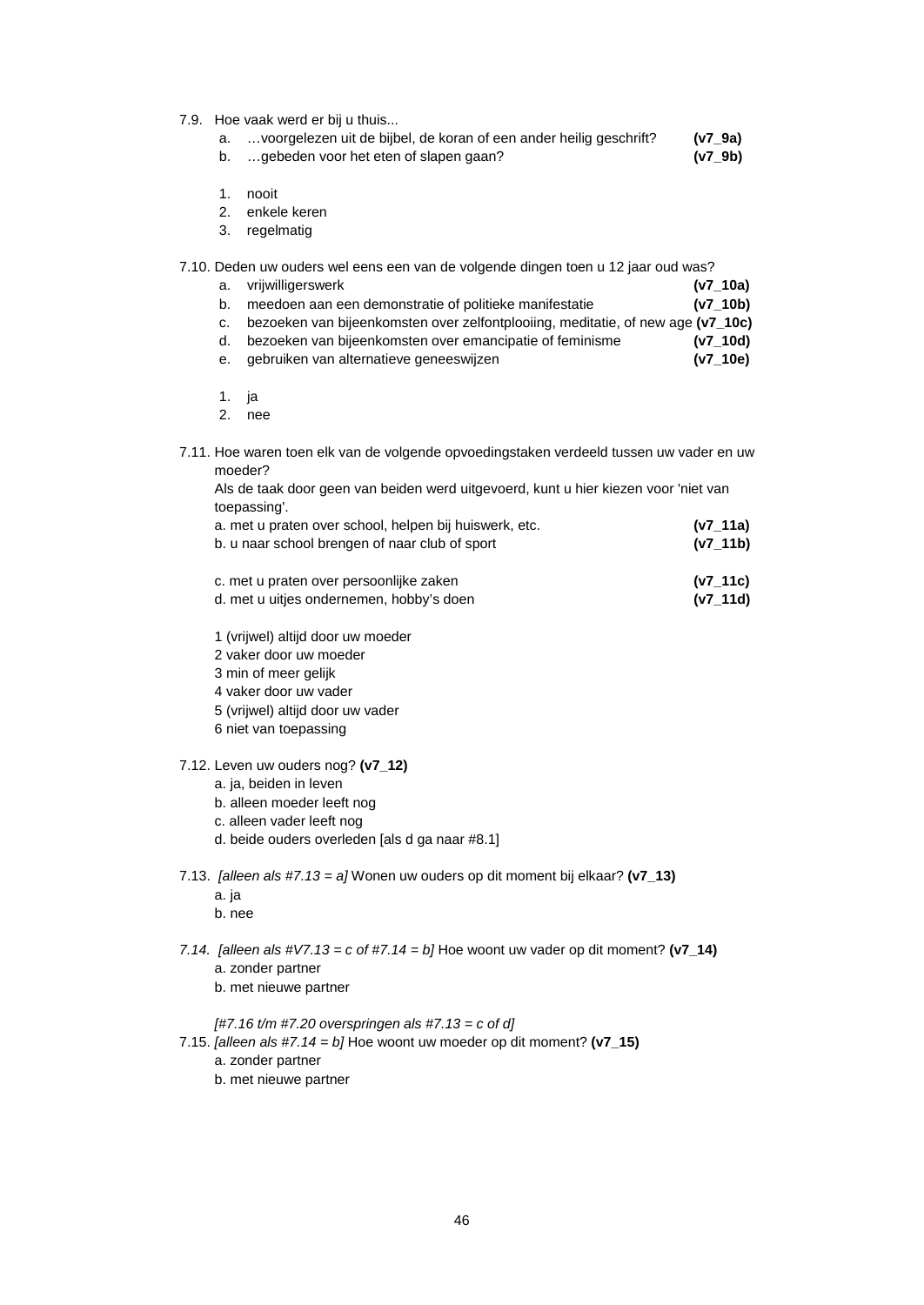- 7.9. Hoe vaak werd er bij u thuis...
	- a. …voorgelezen uit de bijbel, de koran of een ander heilig geschrift? **(v7\_9a)**
	- b. …gebeden voor het eten of slapen gaan? **(v7\_9b)**
	- 1. nooit
	- 2. enkele keren
	- 3. regelmatig

#### 7.10. Deden uw ouders wel eens een van de volgende dingen toen u 12 jaar oud was?

- a. vrijwilligerswerk **(v7\_10a)** b. meedoen aan een demonstratie of politieke manifestatie **(v7\_10b)**
- c. bezoeken van bijeenkomsten over zelfontplooiing, meditatie, of new age **(v7\_10c)**
- d. bezoeken van bijeenkomsten over emancipatie of feminisme
- e. gebruiken van alternatieve geneeswijzen **(v7\_10e)**
- 1. ja
- 2. nee
- 7.11. Hoe waren toen elk van de volgende opvoedingstaken verdeeld tussen uw vader en uw moeder?

| $1.77.44 - 1$<br>المفاري والمحاربين والمتالي والمتحارب والمحامل والمستحدث والمتحارب فمحمد المراجع |  |
|---------------------------------------------------------------------------------------------------|--|
| toepassing'.                                                                                      |  |
| Als de taak door geen van beiden werd uitgevoerd, kunt u hier kiezen voor 'niet van               |  |

| a. met u praten over school, helpen bij huiswerk, etc. | (V/ 11a) |
|--------------------------------------------------------|----------|
| b. u naar school brengen of naar club of sport         | (v7 11b) |
| c. met u praten over persoonlijke zaken                | (v7 11c) |

- d. met u uitjes ondernemen, hobby's doen **(v7\_11d)**
- 1 (vrijwel) altijd door uw moeder
- 2 vaker door uw moeder
- 3 min of meer gelijk
- 4 vaker door uw vader
- 5 (vrijwel) altijd door uw vader
- 6 niet van toepassing

#### 7.12. Leven uw ouders nog? **(v7\_12)**

- a. ja, beiden in leven
- b. alleen moeder leeft nog
- c. alleen vader leeft nog
- d. beide ouders overleden [als d ga naar #8.1]
- 7.13. *[alleen als #7.13 = a]* Wonen uw ouders op dit moment bij elkaar? **(v7\_13)**
	- a. ja
	- b. nee
- *7.14. [alleen als #V7.13 = c of #7.14 = b]* Hoe woont uw vader op dit moment? **(v7\_14)** a. zonder partner
	- b. met nieuwe partner

#### *[#7.16 t/m #7.20 overspringen als #7.13 = c of d]*

- 7.15. *[alleen als #7.14 = b]* Hoe woont uw moeder op dit moment? **(v7\_15)**
	- a. zonder partner
	- b. met nieuwe partner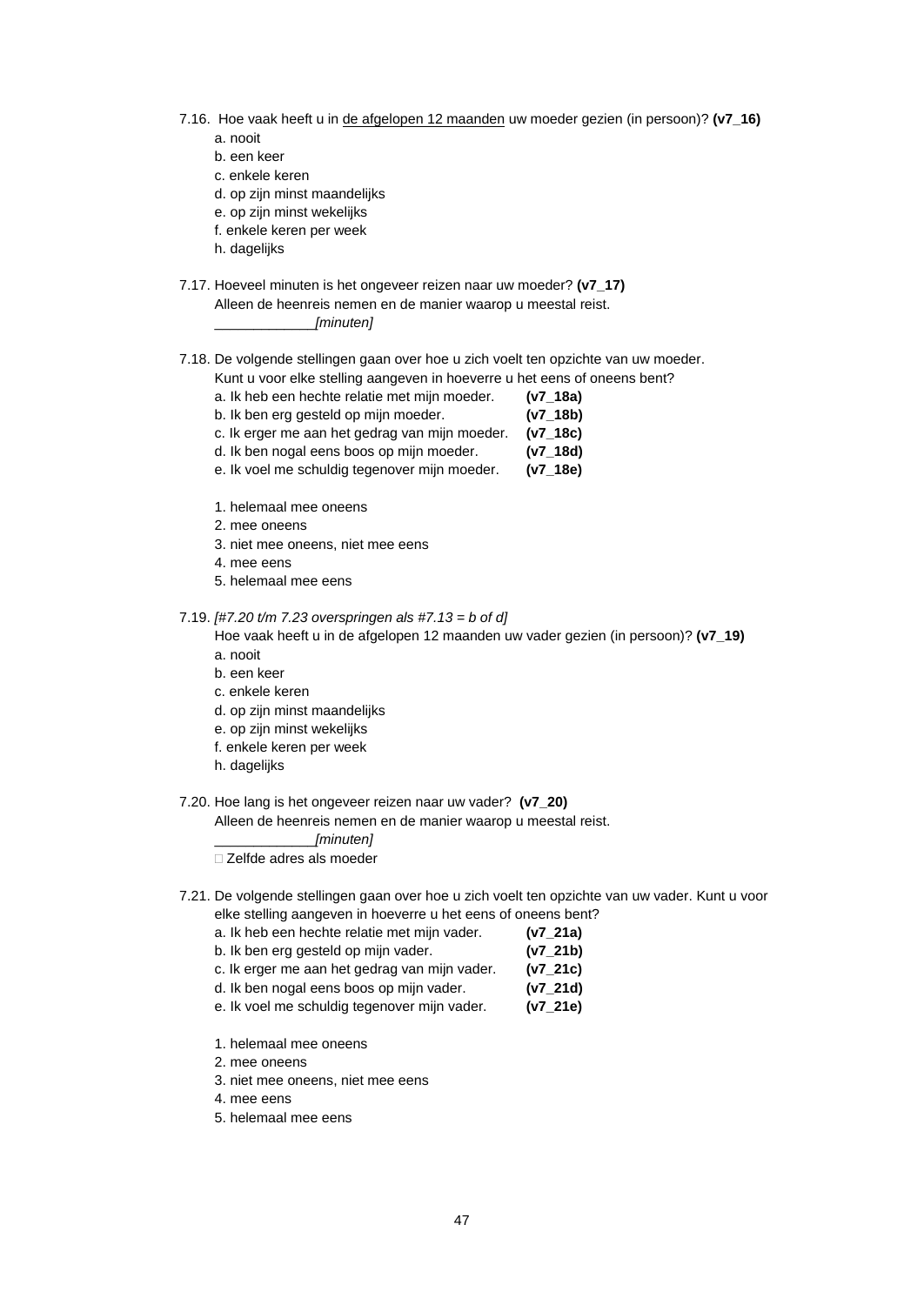- 7.16. Hoe vaak heeft u in de afgelopen 12 maanden uw moeder gezien (in persoon)? **(v7\_16)** a. nooit
	- b. een keer
	- c. enkele keren
	-
	- d. op zijn minst maandelijks e. op zijn minst wekelijks
	- f. enkele keren per week
	-
	- h. dagelijks
- 7.17. Hoeveel minuten is het ongeveer reizen naar uw moeder? **(v7\_17)** Alleen de heenreis nemen en de manier waarop u meestal reist.

\_\_\_\_\_\_\_\_\_\_\_\_\_*[minuten]*

- 7.18. De volgende stellingen gaan over hoe u zich voelt ten opzichte van uw moeder.
	- Kunt u voor elke stelling aangeven in hoeverre u het eens of oneens bent?
		- a. Ik heb een hechte relatie met mijn moeder. **(v7\_18a)**
		- b. Ik ben erg gesteld op mijn moeder. **(v7\_18b)**
		- c. Ik erger me aan het gedrag van mijn moeder. **(v7\_18c)**
		- d. Ik ben nogal eens boos op mijn moeder. **(v7\_18d)**
		- e. Ik voel me schuldig tegenover mijn moeder. **(v7\_18e)**
		- 1. helemaal mee oneens
		- 2. mee oneens
		- 3. niet mee oneens, niet mee eens
		- 4. mee eens
		- 5. helemaal mee eens

7.19. *[#7.20 t/m 7.23 overspringen als #7.13 = b of d]*

Hoe vaak heeft u in de afgelopen 12 maanden uw vader gezien (in persoon)? **(v7\_19)** a. nooit

- 
- b. een keer c. enkele keren
- d. op zijn minst maandelijks
- e. op zijn minst wekelijks
- f. enkele keren per week
- h. dagelijks
- 

7.20. Hoe lang is het ongeveer reizen naar uw vader? **(v7\_20)** Alleen de heenreis nemen en de manier waarop u meestal reist.

\_\_\_\_\_\_\_\_\_\_\_\_\_*[minuten]*

Zelfde adres als moeder

- 7.21. De volgende stellingen gaan over hoe u zich voelt ten opzichte van uw vader. Kunt u voor elke stelling aangeven in hoeverre u het eens of oneens bent?
	- a. Ik heb een hechte relatie met mijn vader. **(v7\_21a)**
	- b. Ik ben erg gesteld op mijn vader. **(v7\_21b)**
	- c. Ik erger me aan het gedrag van mijn vader. **(v7\_21c)**
	- d. Ik ben nogal eens boos op mijn vader. **(v7\_21d)**
	- e. Ik voel me schuldig tegenover mijn vader. **(v7\_21e)**
	- 1. helemaal mee oneens
	- 2. mee oneens
	- 3. niet mee oneens, niet mee eens
	- 4. mee eens
	- 5. helemaal mee eens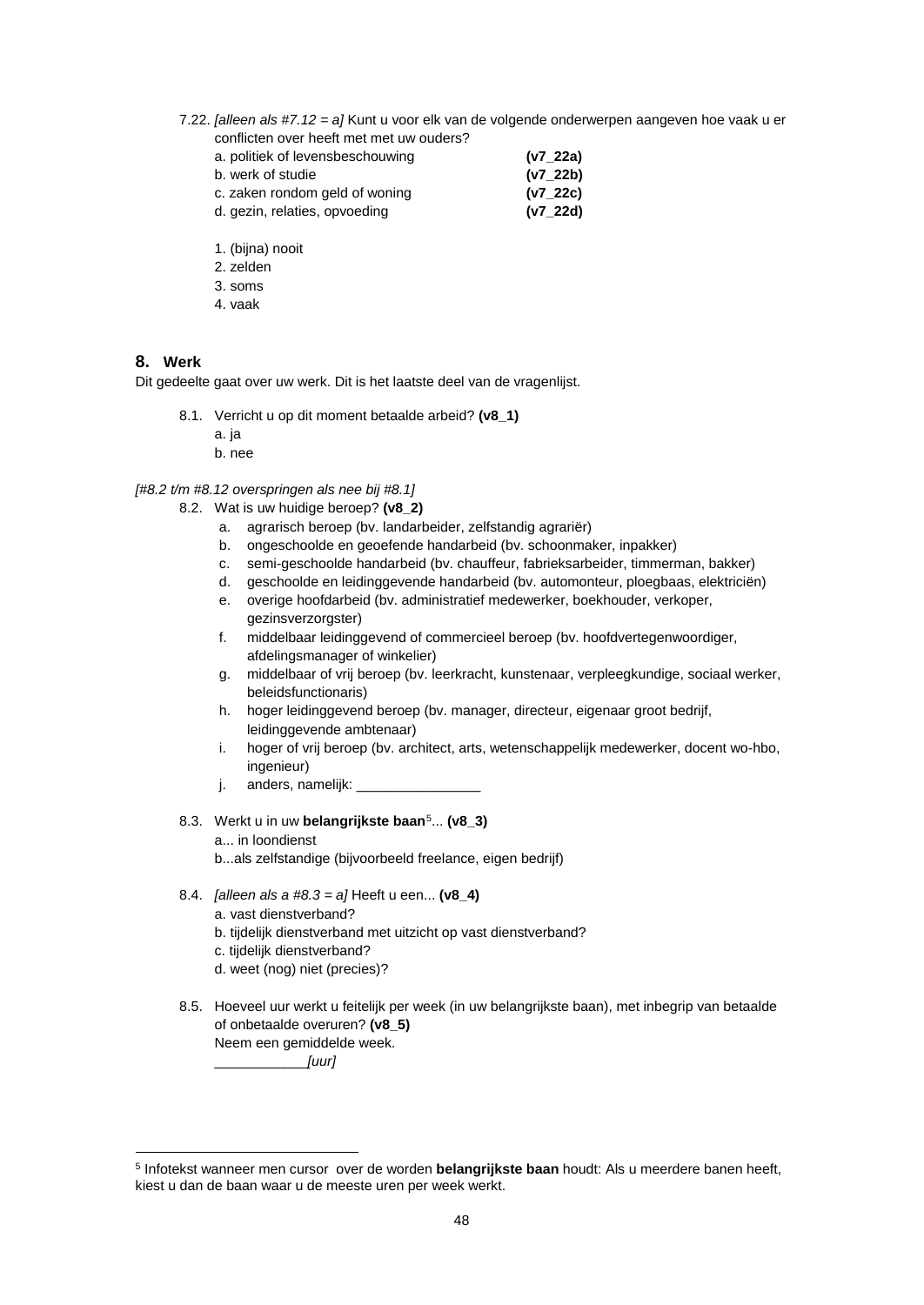7.22. *[alleen als #7.12 = a]* Kunt u voor elk van de volgende onderwerpen aangeven hoe vaak u er conflicten over heeft met met uw ouders?

| a. politiek of levensbeschouwing | (v7 22a) |
|----------------------------------|----------|
| b. werk of studie                | (v7 22b) |
| c. zaken rondom geld of woning   | (v7 22c) |
| d. gezin, relaties, opvoeding    | (v7 22d) |

- 1. (bijna) nooit
- 2. zelden
- 3. soms
- 4. vaak

#### **8. Werk**

Dit gedeelte gaat over uw werk. Dit is het laatste deel van de vragenlijst.

- 8.1. Verricht u op dit moment betaalde arbeid? **(v8\_1)**
	- a. ja
	- b. nee

*[#8.2 t/m #8.12 overspringen als nee bij #8.1]*

- 8.2. Wat is uw huidige beroep? **(v8\_2)**
	- a. agrarisch beroep (bv. landarbeider, zelfstandig agrariër)
	- b. ongeschoolde en geoefende handarbeid (bv. schoonmaker, inpakker)
	- c. semi-geschoolde handarbeid (bv. chauffeur, fabrieksarbeider, timmerman, bakker)
	- d. geschoolde en leidinggevende handarbeid (bv. automonteur, ploegbaas, elektriciën)
	- e. overige hoofdarbeid (bv. administratief medewerker, boekhouder, verkoper, gezinsverzorgster)
	- f. middelbaar leidinggevend of commercieel beroep (bv. hoofdvertegenwoordiger, afdelingsmanager of winkelier)
	- g. middelbaar of vrij beroep (bv. leerkracht, kunstenaar, verpleegkundige, sociaal werker, beleidsfunctionaris)
	- h. hoger leidinggevend beroep (bv. manager, directeur, eigenaar groot bedrijf, leidinggevende ambtenaar)
	- i. hoger of vrij beroep (bv. architect, arts, wetenschappelijk medewerker, docent wo-hbo, ingenieur)
	- j. anders, namelijk: \_
- 8.3. Werkt u in uw **belangrijkste baan**[5](#page-48-0)... **(v8\_3)**
	- a... in loondienst
	- b...als zelfstandige (bijvoorbeeld freelance, eigen bedrijf)
- 8.4. *[alleen als a #8.3 = a]* Heeft u een... **(v8\_4)**
	- a. vast dienstverband?
	- b. tijdelijk dienstverband met uitzicht op vast dienstverband?
	- c. tijdelijk dienstverband?
	- d. weet (nog) niet (precies)?
- 8.5. Hoeveel uur werkt u feitelijk per week (in uw belangrijkste baan), met inbegrip van betaalde of onbetaalde overuren? **(v8\_5)** Neem een gemiddelde week. \_\_\_\_\_\_\_\_\_\_\_\_*[uur]*

<span id="page-48-0"></span><sup>5</sup> Infotekst wanneer men cursor over de worden **belangrijkste baan** houdt: Als u meerdere banen heeft, kiest u dan de baan waar u de meeste uren per week werkt.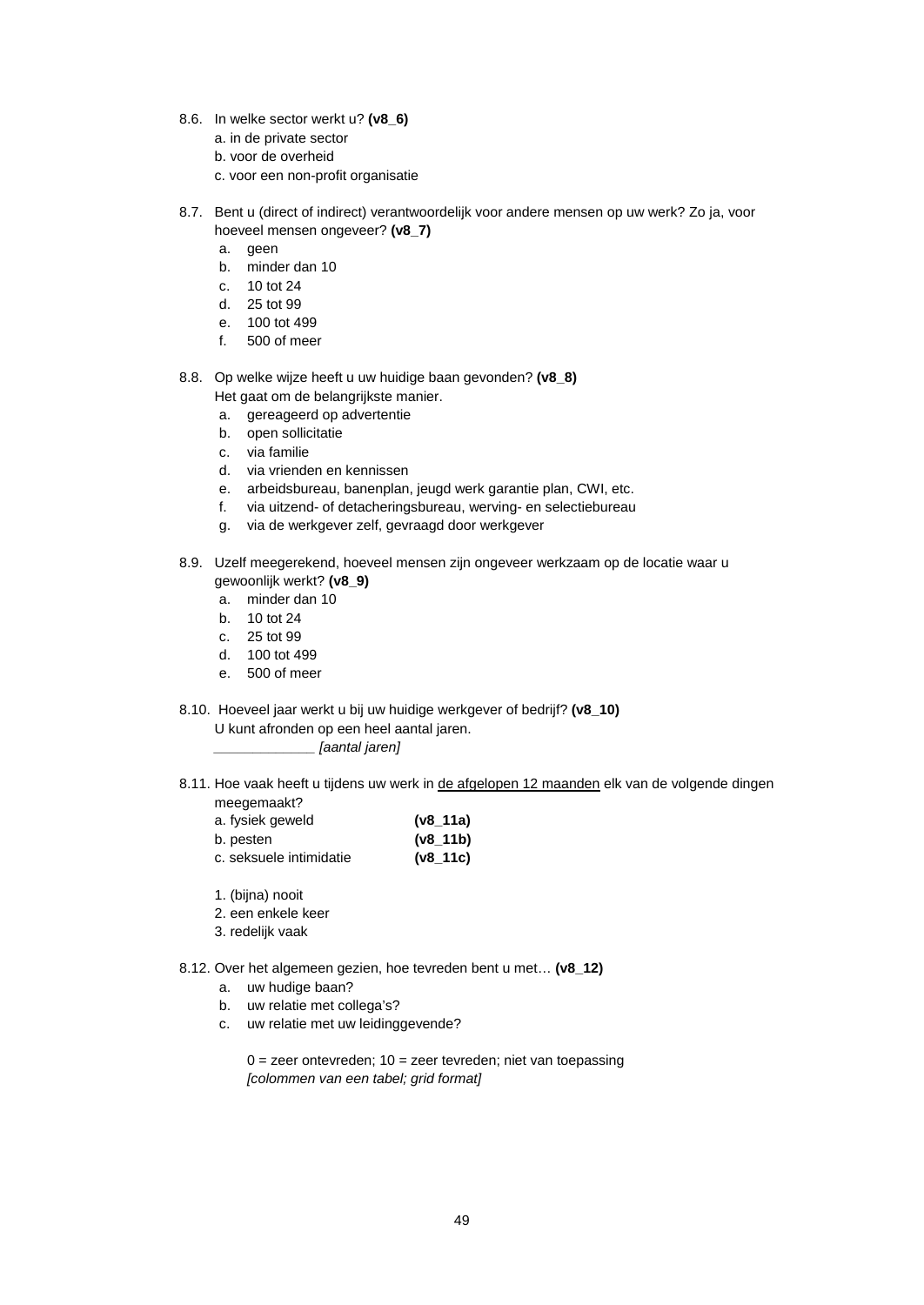- 8.6. In welke sector werkt u? **(v8\_6)**
	- a. in de private sector
	- b. voor de overheid
	- c. voor een non-profit organisatie
- 8.7. Bent u (direct of indirect) verantwoordelijk voor andere mensen op uw werk? Zo ja, voor hoeveel mensen ongeveer? **(v8\_7)**
	- a. geen
	- b. minder dan 10
	- c. 10 tot 24
	- d. 25 tot 99
	- e. 100 tot 499
	- f. 500 of meer
- 8.8. Op welke wijze heeft u uw huidige baan gevonden? **(v8\_8)**
	- Het gaat om de belangrijkste manier.
	- a. gereageerd op advertentie b. open sollicitatie
	-
	- c. via familie
	- d. via vrienden en kennissen
	- e. arbeidsbureau, banenplan, jeugd werk garantie plan, CWI, etc.
	- f. via uitzend- of detacheringsbureau, werving- en selectiebureau
	- g. via de werkgever zelf, gevraagd door werkgever
- 8.9. Uzelf meegerekend, hoeveel mensen zijn ongeveer werkzaam op de locatie waar u gewoonlijk werkt? **(v8\_9)**
	- a. minder dan 10
	- b. 10 tot 24
	- c. 25 tot 99
	- d. 100 tot 499
	- e. 500 of meer
- 8.10. Hoeveel jaar werkt u bij uw huidige werkgever of bedrijf? **(v8\_10)** U kunt afronden op een heel aantal jaren. *\_\_\_\_\_\_\_\_\_\_\_\_\_ [aantal jaren]*
- 8.11. Hoe vaak heeft u tijdens uw werk in de afgelopen 12 maanden elk van de volgende dingen meegemaakt?

| a. fysiek geweld        | $(v8_11a)$  |
|-------------------------|-------------|
| b. pesten               | $(v8_111b)$ |
| c. seksuele intimidatie | $(v8_111c)$ |

- 1. (bijna) nooit
- 2. een enkele keer
- 3. redelijk vaak
- 8.12. Over het algemeen gezien, hoe tevreden bent u met… **(v8\_12)**
	- a. uw hudige baan?
	- b. uw relatie met collega's?
	- c. uw relatie met uw leidinggevende?
		- $0 =$  zeer ontevreden;  $10 =$  zeer tevreden; niet van toepassing *[colommen van een tabel; grid format]*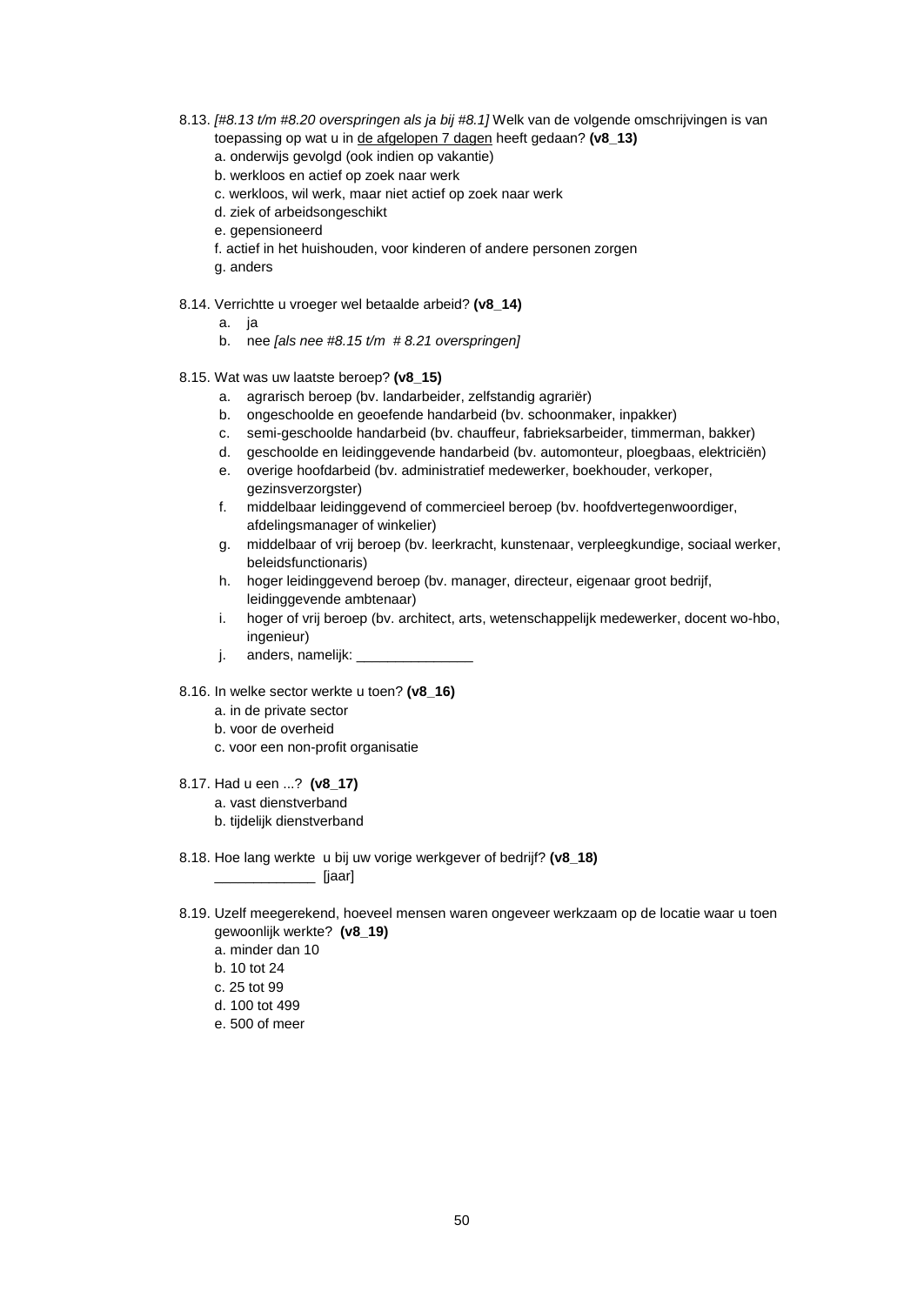- 8.13. *[#8.13 t/m #8.20 overspringen als ja bij #8.1]* Welk van de volgende omschrijvingen is van toepassing op wat u in de afgelopen 7 dagen heeft gedaan? **(v8\_13)**
	- a. onderwijs gevolgd (ook indien op vakantie)
	- b. werkloos en actief op zoek naar werk
	- c. werkloos, wil werk, maar niet actief op zoek naar werk
	- d. ziek of arbeidsongeschikt
	- e. gepensioneerd
	- f. actief in het huishouden, voor kinderen of andere personen zorgen
	- g. anders
- 8.14. Verrichtte u vroeger wel betaalde arbeid? **(v8\_14)**
	- a. ja
	- b. nee *[als nee #8.15 t/m # 8.21 overspringen]*
- 8.15. Wat was uw laatste beroep? **(v8\_15)**
	- a. agrarisch beroep (bv. landarbeider, zelfstandig agrariër)
	- b. ongeschoolde en geoefende handarbeid (bv. schoonmaker, inpakker)
	- c. semi-geschoolde handarbeid (bv. chauffeur, fabrieksarbeider, timmerman, bakker)
	- d. geschoolde en leidinggevende handarbeid (bv. automonteur, ploegbaas, elektriciën)
	- e. overige hoofdarbeid (bv. administratief medewerker, boekhouder, verkoper, gezinsverzorgster)
	- f. middelbaar leidinggevend of commercieel beroep (bv. hoofdvertegenwoordiger, afdelingsmanager of winkelier)
	- g. middelbaar of vrij beroep (bv. leerkracht, kunstenaar, verpleegkundige, sociaal werker, beleidsfunctionaris)
	- h. hoger leidinggevend beroep (bv. manager, directeur, eigenaar groot bedrijf, leidinggevende ambtenaar)
	- i. hoger of vrij beroep (bv. architect, arts, wetenschappelijk medewerker, docent wo-hbo, ingenieur)
	- j. anders, namelijk:
- 8.16. In welke sector werkte u toen? **(v8\_16)**
	- a. in de private sector
	- b. voor de overheid
	- c. voor een non-profit organisatie
- 8.17. Had u een ...? **(v8\_17)** a. vast dienstverband b. tijdelijk dienstverband
- 8.18. Hoe lang werkte u bij uw vorige werkgever of bedrijf? **(v8\_18)**

 $\blacksquare$ 

- 8.19. Uzelf meegerekend, hoeveel mensen waren ongeveer werkzaam op de locatie waar u toen gewoonlijk werkte? **(v8\_19)**
	- a. minder dan 10
	- b. 10 tot 24
	- c. 25 tot 99
	- d. 100 tot 499
	- e. 500 of meer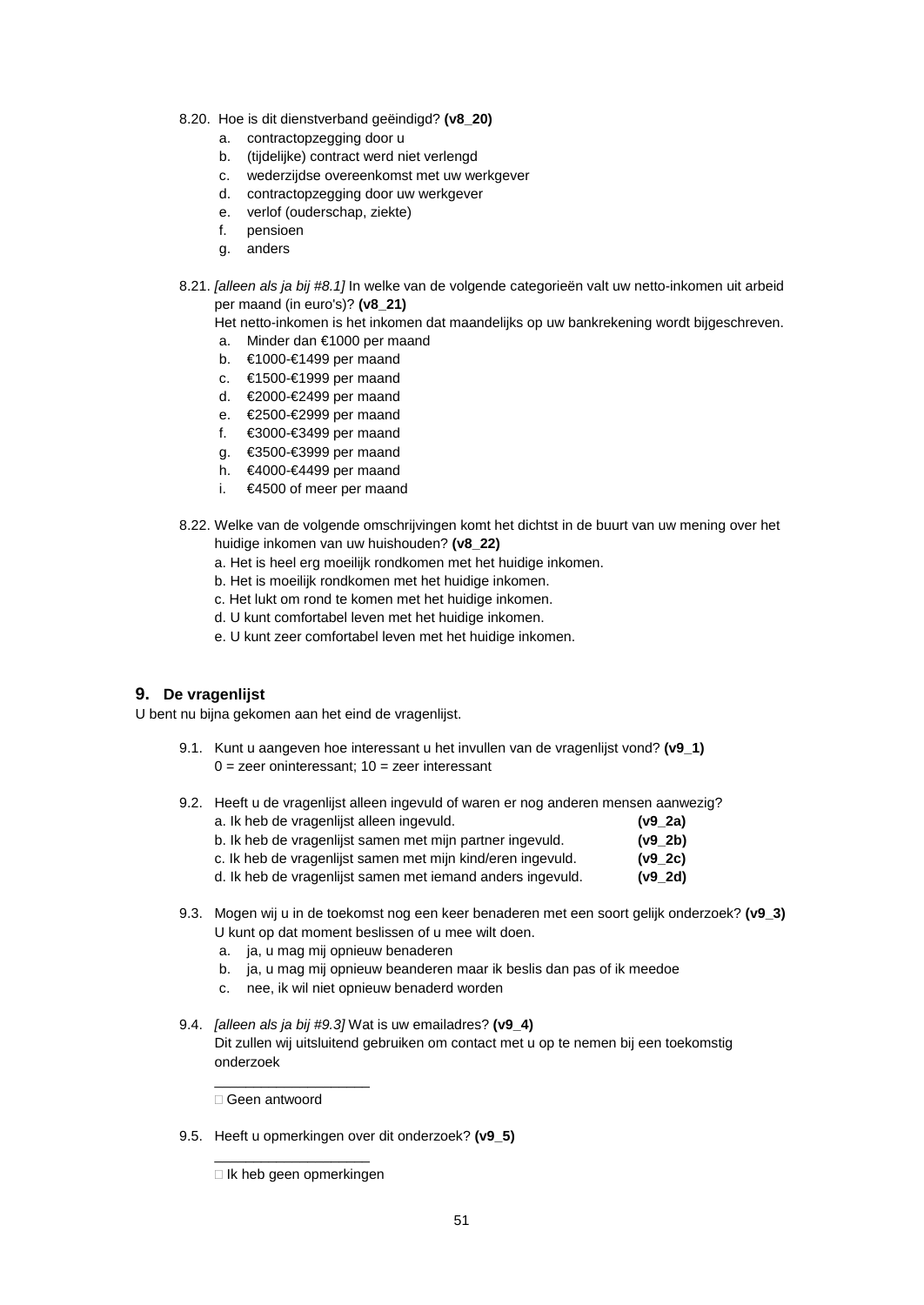- 8.20. Hoe is dit dienstverband geëindigd? **(v8\_20)**
	- a. contractopzegging door u
	- b. (tijdelijke) contract werd niet verlengd
	- c. wederzijdse overeenkomst met uw werkgever
	- d. contractopzegging door uw werkgever
	- e. verlof (ouderschap, ziekte)
	- f. pensioen
	- g. anders
- 8.21. *[alleen als ja bij #8.1]* In welke van de volgende categorieën valt uw netto-inkomen uit arbeid per maand (in euro's)? **(v8\_21)**
	- Het netto-inkomen is het inkomen dat maandelijks op uw bankrekening wordt bijgeschreven.
	- a. Minder dan €1000 per maand
	- b. €1000-€1499 per maand
	- c. €1500-€1999 per maand
	- d. €2000-€2499 per maand
	- e. €2500-€2999 per maand
	- f. €3000-€3499 per maand
	- g. €3500-€3999 per maand
	- h. €4000-€4499 per maand
	- i. €4500 of meer per maand
- 8.22. Welke van de volgende omschrijvingen komt het dichtst in de buurt van uw mening over het huidige inkomen van uw huishouden? **(v8\_22)**
	- a. Het is heel erg moeilijk rondkomen met het huidige inkomen.
	- b. Het is moeilijk rondkomen met het huidige inkomen.
	- c. Het lukt om rond te komen met het huidige inkomen.
	- d. U kunt comfortabel leven met het huidige inkomen.
	- e. U kunt zeer comfortabel leven met het huidige inkomen.

#### **9. De vragenlijst**

U bent nu bijna gekomen aan het eind de vragenlijst.

- 9.1. Kunt u aangeven hoe interessant u het invullen van de vragenlijst vond? **(v9\_1)**  $0 =$  zeer oninteressant;  $10 =$  zeer interessant
- 9.2. Heeft u de vragenlijst alleen ingevuld of waren er nog anderen mensen aanwezig?

| a. Ik heb de vragenlijst alleen ingevuld.<br>b. Ik heb de vragenlijst samen met mijn partner ingevuld.<br>c. Ik heb de vragenlijst samen met mijn kind/eren ingevuld.<br>d. Ik heb de vragenlijst samen met iemand anders ingevuld. | $(v9_2a)$ |
|-------------------------------------------------------------------------------------------------------------------------------------------------------------------------------------------------------------------------------------|-----------|
|                                                                                                                                                                                                                                     | $(v9_2b)$ |
|                                                                                                                                                                                                                                     | $(v9_2c)$ |
|                                                                                                                                                                                                                                     | $(v9_2d)$ |

- 9.3. Mogen wij u in de toekomst nog een keer benaderen met een soort gelijk onderzoek? **(v9\_3)** U kunt op dat moment beslissen of u mee wilt doen.
	- a. ja, u mag mij opnieuw benaderen
	- b. ja, u mag mij opnieuw beanderen maar ik beslis dan pas of ik meedoe
	- c. nee, ik wil niet opnieuw benaderd worden
- 9.4. *[alleen als ja bij #9.3]* Wat is uw emailadres? **(v9\_4)** Dit zullen wij uitsluitend gebruiken om contact met u op te nemen bij een toekomstig onderzoek

Geen antwoord

\_\_\_\_\_\_\_\_\_\_\_\_\_\_\_\_\_\_\_\_

9.5. Heeft u opmerkingen over dit onderzoek? **(v9\_5)**

\_\_\_\_\_\_\_\_\_\_\_\_\_\_\_\_\_\_\_\_  $\Box$  Ik heb geen opmerkingen